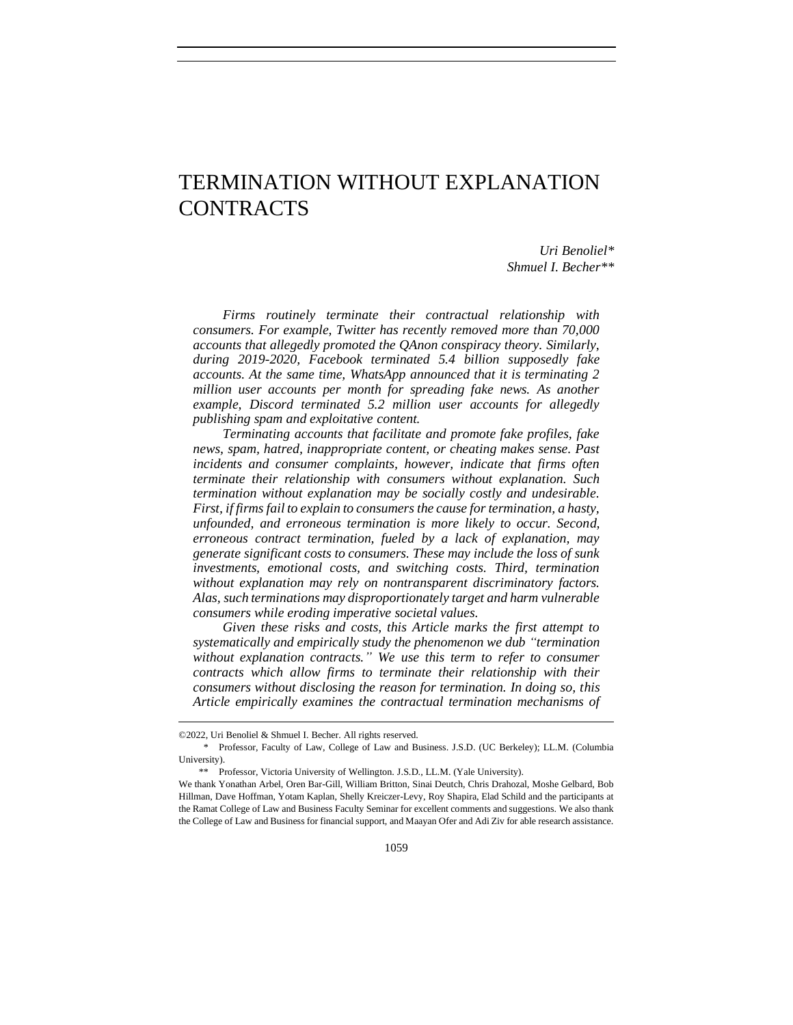# TERMINATION WITHOUT EXPLANATION CONTRACTS

*Uri Benoliel\* Shmuel I. Becher\*\**

*Firms routinely terminate their contractual relationship with consumers. For example, Twitter has recently removed more than 70,000 accounts that allegedly promoted the QAnon conspiracy theory. Similarly, during 2019-2020, Facebook terminated 5.4 billion supposedly fake accounts. At the same time, WhatsApp announced that it is terminating 2*  million user accounts per month for spreading fake news. As another *example, Discord terminated 5.2 million user accounts for allegedly publishing spam and exploitative content.* 

*Terminating accounts that facilitate and promote fake profiles, fake news, spam, hatred, inappropriate content, or cheating makes sense. Past incidents and consumer complaints, however, indicate that firms often terminate their relationship with consumers without explanation. Such termination without explanation may be socially costly and undesirable. First, if firms fail to explain to consumers the cause for termination, a hasty, unfounded, and erroneous termination is more likely to occur. Second, erroneous contract termination, fueled by a lack of explanation, may generate significant costs to consumers. These may include the loss of sunk investments, emotional costs, and switching costs. Third, termination without explanation may rely on nontransparent discriminatory factors. Alas, such terminations may disproportionately target and harm vulnerable consumers while eroding imperative societal values.*

*Given these risks and costs, this Article marks the first attempt to systematically and empirically study the phenomenon we dub "termination without explanation contracts." We use this term to refer to consumer contracts which allow firms to terminate their relationship with their consumers without disclosing the reason for termination. In doing so, this Article empirically examines the contractual termination mechanisms of* 

<sup>©2022,</sup> Uri Benoliel & Shmuel I. Becher. All rights reserved.

<sup>\*</sup> Professor, Faculty of Law, College of Law and Business. J.S.D. (UC Berkeley); LL.M. (Columbia University).

<sup>\*\*</sup> Professor, Victoria University of Wellington. J.S.D., LL.M. (Yale University).

We thank Yonathan Arbel, Oren Bar-Gill, William Britton, Sinai Deutch, Chris Drahozal, Moshe Gelbard, Bob Hillman, Dave Hoffman, Yotam Kaplan, Shelly Kreiczer-Levy, Roy Shapira, Elad Schild and the participants at the Ramat College of Law and Business Faculty Seminar for excellent comments and suggestions. We also thank the College of Law and Business for financial support, and Maayan Ofer and Adi Ziv for able research assistance.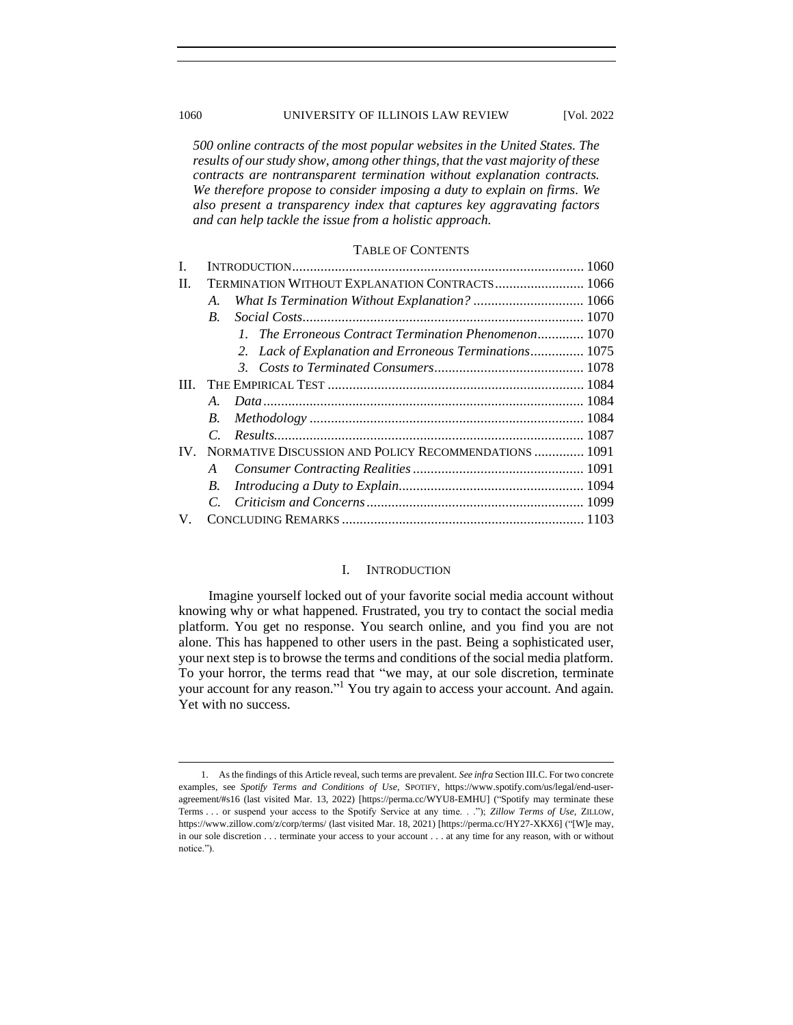## 1060 UNIVERSITY OF ILLINOIS LAW REVIEW [Vol. 2022

*500 online contracts of the most popular websites in the United States. The results of our study show, among other things, that the vast majority of these contracts are nontransparent termination without explanation contracts. We therefore propose to consider imposing a duty to explain on firms. We also present a transparency index that captures key aggravating factors and can help tackle the issue from a holistic approach.* 

## TABLE OF CONTENTS

| <b>TERMINATION WITHOUT EXPLANATION CONTRACTS 1066</b>             |  |
|-------------------------------------------------------------------|--|
| А.                                                                |  |
| $B_{\cdot}$                                                       |  |
| 1. The Erroneous Contract Termination Phenomenon 1070             |  |
| 2. Lack of Explanation and Erroneous Terminations 1075            |  |
|                                                                   |  |
|                                                                   |  |
| A                                                                 |  |
| B.                                                                |  |
|                                                                   |  |
| NORMATIVE DISCUSSION AND POLICY RECOMMENDATIONS  1091<br>$IV_{-}$ |  |
| A                                                                 |  |
| B.                                                                |  |
|                                                                   |  |
|                                                                   |  |
|                                                                   |  |

## I. INTRODUCTION

<span id="page-1-0"></span>Imagine yourself locked out of your favorite social media account without knowing why or what happened. Frustrated, you try to contact the social media platform. You get no response. You search online, and you find you are not alone. This has happened to other users in the past. Being a sophisticated user, your next step is to browse the terms and conditions of the social media platform. To your horror, the terms read that "we may, at our sole discretion, terminate your account for any reason."<sup>1</sup> You try again to access your account. And again. Yet with no success.

<sup>1.</sup> As the findings of this Article reveal, such terms are prevalent. *See infra* Section III.C. For two concrete examples, see *Spotify Terms and Conditions of Use*, SPOTIFY, https://www.spotify.com/us/legal/end-useragreement/#s16 (last visited Mar. 13, 2022) [https://perma.cc/WYU8-EMHU] ("Spotify may terminate these Terms . . . or suspend your access to the Spotify Service at any time. . ."); *Zillow Terms of Use*, ZILLOW, https://www.zillow.com/z/corp/terms/ (last visited Mar. 18, 2021) [https://perma.cc/HY27-XKX6] ("[W]e may, in our sole discretion . . . terminate your access to your account . . . at any time for any reason, with or without notice.").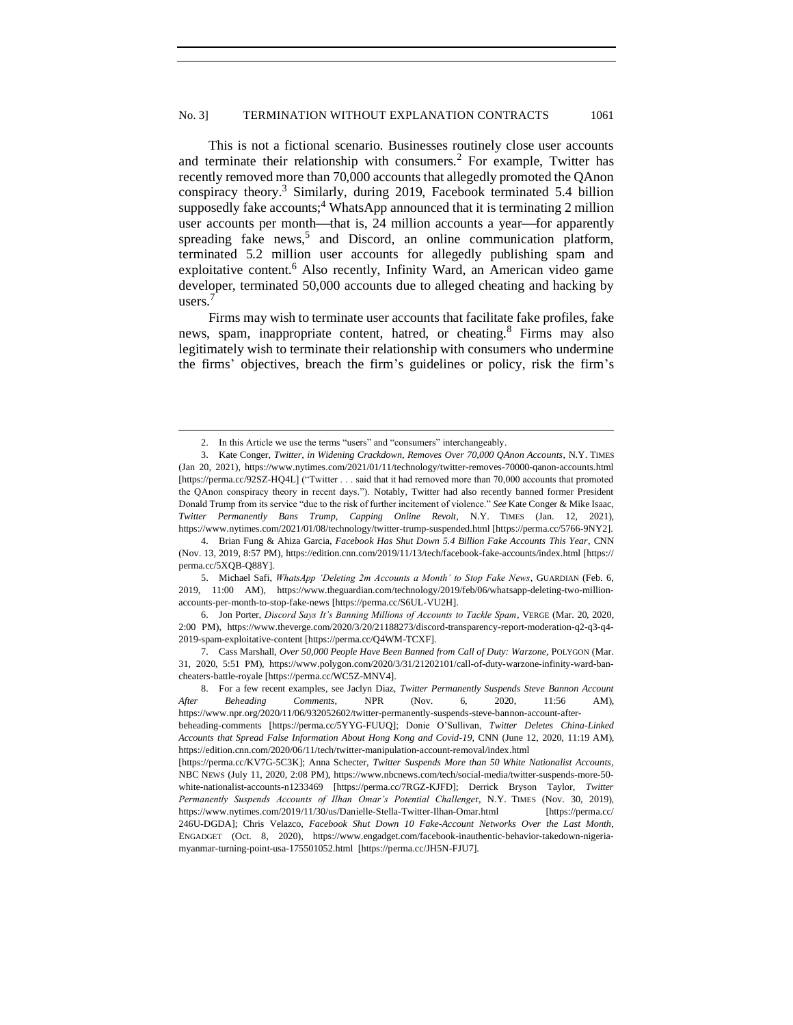This is not a fictional scenario. Businesses routinely close user accounts and terminate their relationship with consumers.<sup>2</sup> For example, Twitter has recently removed more than 70,000 accounts that allegedly promoted the QAnon conspiracy theory.<sup>3</sup> Similarly, during 2019, Facebook terminated 5.4 billion supposedly fake accounts;<sup>4</sup> WhatsApp announced that it is terminating 2 million user accounts per month—that is, 24 million accounts a year—for apparently spreading fake  $n$ ews,<sup>5</sup> and Discord, an online communication platform, terminated 5.2 million user accounts for allegedly publishing spam and exploitative content.<sup>6</sup> Also recently, Infinity Ward, an American video game developer, terminated 50,000 accounts due to alleged cheating and hacking by users.

Firms may wish to terminate user accounts that facilitate fake profiles, fake news, spam, inappropriate content, hatred, or cheating.<sup>8</sup> Firms may also legitimately wish to terminate their relationship with consumers who undermine the firms' objectives, breach the firm's guidelines or policy, risk the firm's

5. Michael Safi, *WhatsApp 'Deleting 2m Accounts a Month' to Stop Fake News*, GUARDIAN (Feb. 6, 2019, 11:00 AM), https://www.theguardian.com/technology/2019/feb/06/whatsapp-deleting-two-millionaccounts-per-month-to-stop-fake-news [https://perma.cc/S6UL-VU2H].

<sup>2.</sup> In this Article we use the terms "users" and "consumers" interchangeably.

<sup>3.</sup> [Kate Conger,](https://www.nytimes.com/by/kate-conger) *Twitter, in Widening Crackdown, Removes Over 70,000 QAnon Accounts*, N.Y. TIMES (Jan 20, 2021), https://www.nytimes.com/2021/01/11/technology/twitter-removes-70000-qanon-accounts.html [https://perma.cc/92SZ-HQ4L] ("Twitter . . . said that it had removed more than 70,000 accounts that promoted the QAnon conspiracy theory in recent days."). Notably, Twitter had also recently banned former President Donald Trump from its service "due to the risk of further incitement of violence." *See* Kate Conger & Mike Isaac, *Twitter Permanently Bans Trump, Capping Online Revolt*, N.Y. TIMES (Jan. 12, 2021), https://www.nytimes.com/2021/01/08/technology/twitter-trump-suspended.html [https://perma.cc/5766-9NY2].

<sup>4.</sup> Brian Fung & Ahiza Garcia, *Facebook Has Shut Down 5.4 Billion Fake Accounts This Year*, CNN (Nov. 13, 2019, 8:57 PM), https://edition.cnn.com/2019/11/13/tech/facebook-fake-accounts/index.html [https:// perma.cc/5XQB-Q88Y].

<sup>6.</sup> Jon Porter, *Discord Says It's Banning Millions of Accounts to Tackle Spam*, VERGE (Mar. 20, 2020, 2:00 PM), https://www.theverge.com/2020/3/20/21188273/discord-transparency-report-moderation-q2-q3-q4- 2019-spam-exploitative-content [https://perma.cc/Q4WM-TCXF].

<sup>7.</sup> Cass Marshall, *Over 50,000 People Have Been Banned from Call of Duty: Warzone*, POLYGON (Mar. 31, 2020, 5:51 PM), https://www.polygon.com/2020/3/31/21202101/call-of-duty-warzone-infinity-ward-bancheaters-battle-royale [https://perma.cc/WC5Z-MNV4].

<sup>8.</sup> For a few recent examples, see Jaclyn Diaz, *Twitter Permanently Suspends Steve Bannon Account After Beheading Comments,* NPR (Nov. 6, 2020, 11:56 AM), https://www.npr.org/2020/11/06/932052602/twitter-permanently-suspends-steve-bannon-account-afterbeheading-comments [https://perma.cc/5YYG-FUUQ]; Donie O'Sullivan, *Twitter Deletes China-Linked Accounts that Spread False Information About Hong Kong and Covid-19,* CNN (June 12, 2020, 11:19 AM), https://edition.cnn.com/2020/06/11/tech/twitter-manipulation-account-removal/index.html

<sup>[</sup>https://perma.cc/KV7G-5C3K]; Anna Schecter, *Twitter Suspends More than 50 White Nationalist Accounts,*  NBC NEWS (July 11, 2020, 2:08 PM), https://www.nbcnews.com/tech/social-media/twitter-suspends-more-50 white-nationalist-accounts-n1233469 [https://perma.cc/7RGZ-KJFD]; Derrick Bryson Taylor, *Twitter Permanently Suspends Accounts of Ilhan Omar's Potential Challenge*r, N.Y. TIMES (Nov. 30, 2019), https://www.nytimes.com/2019/11/30/us/Danielle-Stella-Twitter-Ilhan-Omar.html [https://perma.cc/ 246U-DGDA]; Chris Velazco, *Facebook Shut Down 10 Fake-Account Networks Over the Last Month*, ENGADGET (Oct. 8, 2020), https://www.engadget.com/facebook-inauthentic-behavior-takedown-nigeriamyanmar-turning-point-usa-175501052.html [https://perma.cc/JH5N-FJU7].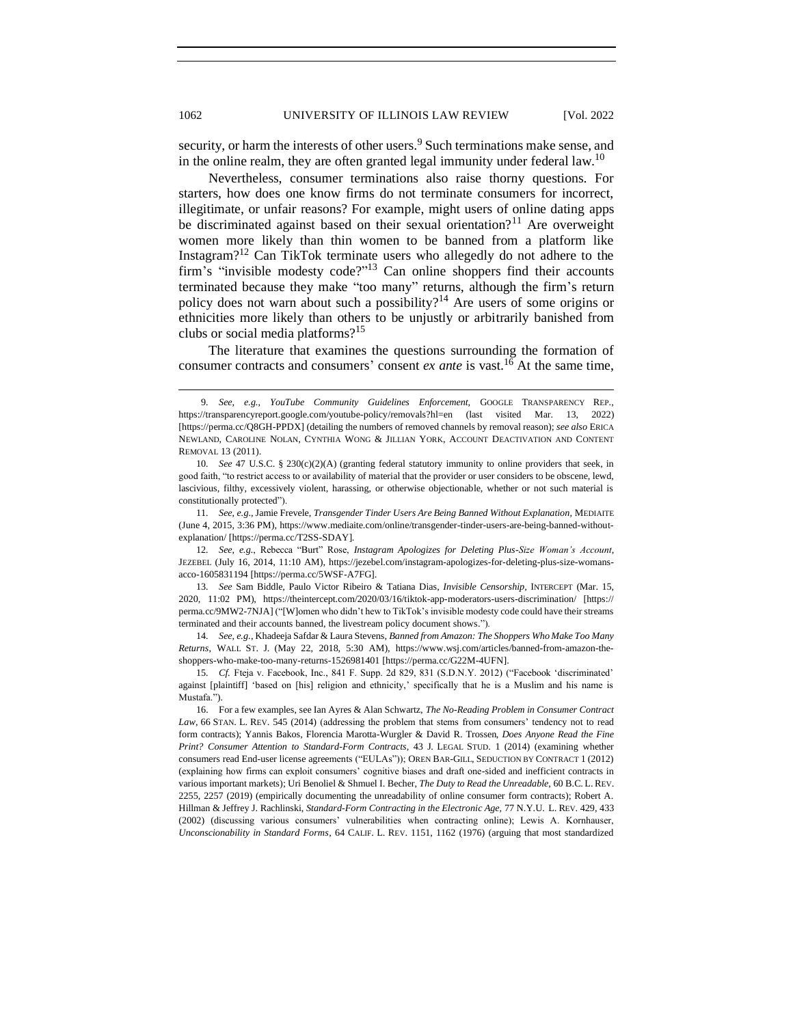<span id="page-3-4"></span>security, or harm the interests of other users.<sup>9</sup> Such terminations make sense, and in the online realm, they are often granted legal immunity under federal law.<sup>10</sup>

<span id="page-3-2"></span><span id="page-3-1"></span>Nevertheless, consumer terminations also raise thorny questions. For starters, how does one know firms do not terminate consumers for incorrect, illegitimate, or unfair reasons? For example, might users of online dating apps be discriminated against based on their sexual orientation?<sup>11</sup> Are overweight women more likely than thin women to be banned from a platform like Instagram?<sup>12</sup> Can TikTok terminate users who allegedly do not adhere to the firm's "invisible modesty code?"<sup>13</sup> Can online shoppers find their accounts terminated because they make "too many" returns, although the firm's return policy does not warn about such a possibility?<sup>14</sup> Are users of some origins or ethnicities more likely than others to be unjustly or arbitrarily banished from clubs or social media platforms?<sup>15</sup>

<span id="page-3-5"></span><span id="page-3-3"></span><span id="page-3-0"></span>The literature that examines the questions surrounding the formation of consumer contracts and consumers' consent *ex ante* is vast.<sup>16</sup> At the same time,

<sup>9</sup>*. See, e.g.*, *YouTube Community Guidelines Enforcement,* GOOGLE TRANSPARENCY REP., https://transparencyreport.google.com/youtube-policy/removals?hl=en (last visited Mar. 13, 2022) [https://perma.cc/Q8GH-PPDX] (detailing the numbers of removed channels by removal reason); *see also* ERICA NEWLAND, CAROLINE NOLAN, CYNTHIA WONG & JILLIAN YORK, ACCOUNT DEACTIVATION AND CONTENT REMOVAL 13 (2011).

<sup>10</sup>*. See* 47 U.S.C. § 230(c)(2)(A) (granting federal statutory immunity to online providers that seek, in good faith, "to restrict access to or availability of material that the provider or user considers to be obscene, lewd, lascivious, filthy, excessively violent, harassing, or otherwise objectionable, whether or not such material is constitutionally protected").

<sup>11</sup>*. See*, *e.g.*, Jamie Frevele, *Transgender Tinder Users Are Being Banned Without Explanation*, MEDIAITE (June 4, 2015, 3:36 PM), https://www.mediaite.com/online/transgender-tinder-users-are-being-banned-withoutexplanation/ [https://perma.cc/T2SS-SDAY].

<sup>12</sup>*. See*, *e.g.*, Rebecca "Burt" Rose, *Instagram Apologizes for Deleting Plus-Size Woman's Account*, JEZEBEL (July 16, 2014, 11:10 AM), https://jezebel.com/instagram-apologizes-for-deleting-plus-size-womansacco-1605831194 [https://perma.cc/5WSF-A7FG].

<sup>13</sup>*. See* Sam Biddle, Paulo Victor Ribeiro & Tatiana Dias, *Invisible Censorship,* INTERCEPT (Mar. 15, 2020, 11:02 PM), https://theintercept.com/2020/03/16/tiktok-app-moderators-users-discrimination/ [https:// perma.cc/9MW2-7NJA] ("[W]omen who didn't hew to TikTok's invisible modesty code could have their streams terminated and their accounts banned, the livestream policy document shows.").

<sup>14</sup>*. See*, *e.g.*, Khadeeja Safdar & Laura Stevens, *Banned from Amazon: The Shoppers Who Make Too Many Returns*, WALL ST. J. (May 22, 2018, 5:30 AM), https://www.wsj.com/articles/banned-from-amazon-theshoppers-who-make-too-many-returns-1526981401 [https://perma.cc/G22M-4UFN].

<sup>15</sup>*. Cf.* Fteja v. Facebook, Inc., 841 F. Supp. 2d 829, 831 (S.D.N.Y. 2012) ("Facebook 'discriminated' against [plaintiff] 'based on [his] religion and ethnicity,' specifically that he is a Muslim and his name is Mustafa.").

<sup>16.</sup> For a few examples, see Ian Ayres & Alan Schwartz, *[The No-Reading Problem in Consumer Contract](https://1.next.westlaw.com/Link/Document/FullText?findType=Y&serNum=0402385103&pubNum=0001239&originatingDoc=I10e9de7bb9a211e498db8b09b4f043e0&refType=LR&fi=co_pp_sp_1239_579&originationContext=document&transitionType=DocumentItem&contextData=(sc.Search)#co_pp_sp_1239_579)*  Law, 66 STAN. L. REV[. 545 \(2014\)](https://1.next.westlaw.com/Link/Document/FullText?findType=Y&serNum=0402385103&pubNum=0001239&originatingDoc=I10e9de7bb9a211e498db8b09b4f043e0&refType=LR&fi=co_pp_sp_1239_579&originationContext=document&transitionType=DocumentItem&contextData=(sc.Search)#co_pp_sp_1239_579) (addressing the problem that stems from consumers' tendency not to read form contracts); Yannis Bakos, Florencia Marotta-Wurgler & David R. Trossen, *Does Anyone Read the Fine Print? Consumer Attention to Standard-Form Contracts*, 43 J. LEGAL STUD. 1 (2014) (examining whether consumers read End-user license agreements ("EULAs")); OREN BAR-GILL, SEDUCTION BY CONTRACT 1 (2012) (explaining how firms can exploit consumers' cognitive biases and draft one-sided and inefficient contracts in various important markets); Uri Benoliel & Shmuel I. Becher, *The Duty to Read the Unreadable*, 60 B.C. L. REV. 2255, 2257 (2019) (empirically documenting the unreadability of online consumer form contracts); Robert A. Hillman & Jeffrey J. Rachlinski, *Standard-Form Contracting in the Electronic Age,* 77 N.Y.U. L. REV. 429, 433 (2002) (discussing various consumers' vulnerabilities when contracting online); Lewis A. Kornhauser, *Unconscionability in Standard Forms*, 64 CALIF. L. REV. 1151, 1162 (1976) (arguing that most standardized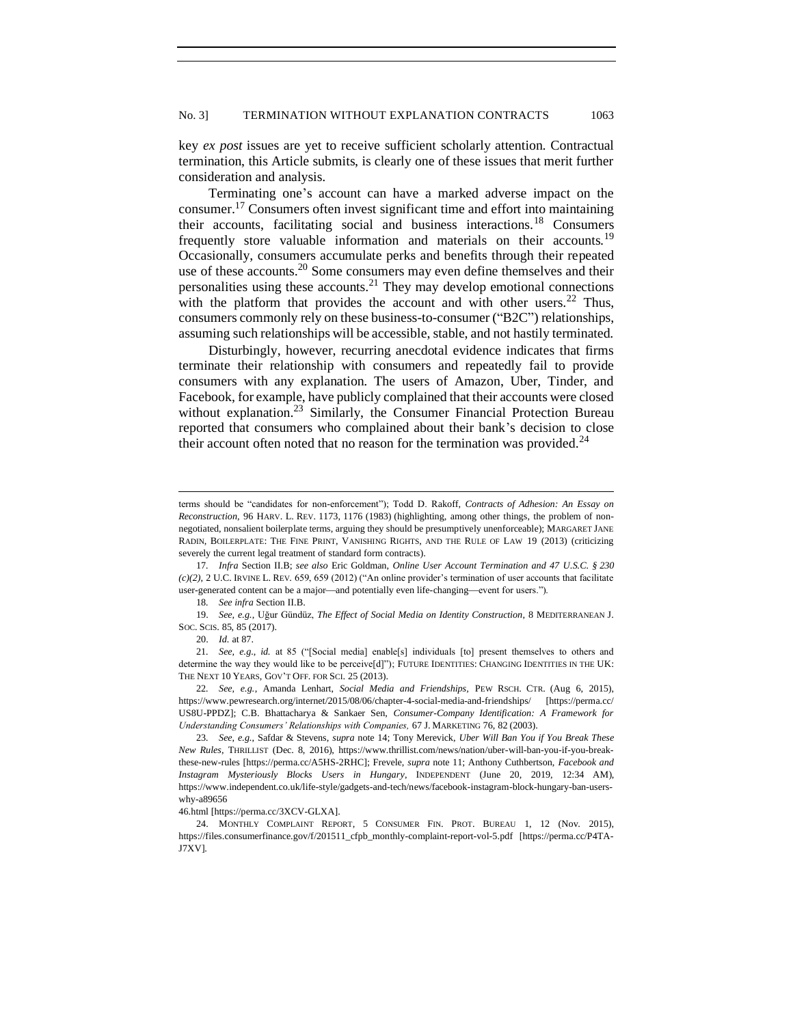key *ex post* issues are yet to receive sufficient scholarly attention. Contractual termination, this Article submits, is clearly one of these issues that merit further consideration and analysis.

<span id="page-4-0"></span>Terminating one's account can have a marked adverse impact on the consumer.<sup>17</sup> Consumers often invest significant time and effort into maintaining their accounts, facilitating social and business interactions.<sup>18</sup> Consumers frequently store valuable information and materials on their accounts.<sup>19</sup> Occasionally, consumers accumulate perks and benefits through their repeated use of these accounts.<sup>20</sup> Some consumers may even define themselves and their personalities using these accounts.<sup>21</sup> They may develop emotional connections with the platform that provides the account and with other users.<sup>22</sup> Thus, consumers commonly rely on these business-to-consumer ("B2C") relationships, assuming such relationships will be accessible, stable, and not hastily terminated.

Disturbingly, however, recurring anecdotal evidence indicates that firms terminate their relationship with consumers and repeatedly fail to provide consumers with any explanation. The users of Amazon, Uber, Tinder, and Facebook, for example, have publicly complained that their accounts were closed without explanation.<sup>23</sup> Similarly, the Consumer Financial Protection Bureau reported that consumers who complained about their bank's decision to close their account often noted that no reason for the termination was provided.<sup>24</sup>

terms should be "candidates for non-enforcement"); Todd D. Rakoff, *Contracts of Adhesion: An Essay on Reconstruction*, 96 HARV. L. REV. 1173, 1176 (1983) (highlighting, among other things, the problem of nonnegotiated, nonsalient boilerplate terms, arguing they should be presumptively unenforceable); MARGARET JANE RADIN, BOILERPLATE: THE FINE PRINT, VANISHING RIGHTS, AND THE RULE OF LAW 19 (2013) (criticizing severely the current legal treatment of standard form contracts).

<sup>17</sup>*. Infra* Section II.B; *see also* Eric Goldman, *Online User Account Termination and 47 U.S.C. § 230*   $(c)(2)$ , 2 U.C. IRVINE L. REV. 659, 659 (2012) ("An online provider's termination of user accounts that facilitate user-generated content can be a major-and potentially even life-changing-event for users.").

<sup>18</sup>*. See infra* Section II.B.

<sup>19.</sup> *See, e.g.*, Uğur Gündüz, *The Effect of Social Media on Identity Construction*, 8 MEDITERRANEAN J. SOC. SCIS. 85, 85 (2017).

<sup>20.</sup> *Id.* at 87.

<sup>21</sup>*. See, e.g.*, *id.* at 85 ("[Social media] enable[s] individuals [to] present themselves to others and determine the way they would like to be perceive[d]"); FUTURE IDENTITIES: CHANGING IDENTITIES IN THE UK: THE NEXT 10 YEARS, GOV'T OFF. FOR SCI. 25 (2013).

<sup>22</sup>*. See, e.g.*, Amanda Lenhart, *Social Media and Friendships,* PEW RSCH. CTR. (Aug 6, 2015), https://www.pewresearch.org/internet/2015/08/06/chapter-4-social-media-and-friendships/ [https://perma.cc/ US8U-PPDZ]; C.B. Bhattacharya & Sankaer Sen, *Consumer-Company Identification: A Framework for Understanding Consumers' Relationships with Companies,* 67 J. MARKETING 76, 82 (2003).

<sup>23</sup>*. See*, *e.g.*, Safdar & Stevens, *supra* not[e 14;](#page-3-0) Tony Merevick, *Uber Will Ban You if You Break These New Rules*, THRILLIST (Dec. 8, 2016), https://www.thrillist.com/news/nation/uber-will-ban-you-if-you-breakthese-new-rules [https://perma.cc/A5HS-2RHC]; Frevele, *supra* not[e 11;](#page-3-1) Anthony Cuthbertson, *Facebook and Instagram Mysteriously Blocks Users in Hungary*, INDEPENDENT (June 20, 2019, 12:34 AM), https://www.independent.co.uk/life-style/gadgets-and-tech/news/facebook-instagram-block-hungary-ban-userswhy-a89656

<sup>46.</sup>html [https://perma.cc/3XCV-GLXA].

<sup>24.</sup> MONTHLY COMPLAINT REPORT, 5 CONSUMER FIN. PROT. BUREAU 1, 12 (Nov. 2015), [https://files.consumerfinance.gov/f/201511\\_cfpb\\_monthly-complaint-report-vol-5.pdf](https://files.consumerfinance.gov/f/201511_cfpb_monthly-complaint-report-vol-5.pdf) [https://perma.cc/P4TA-J7XV].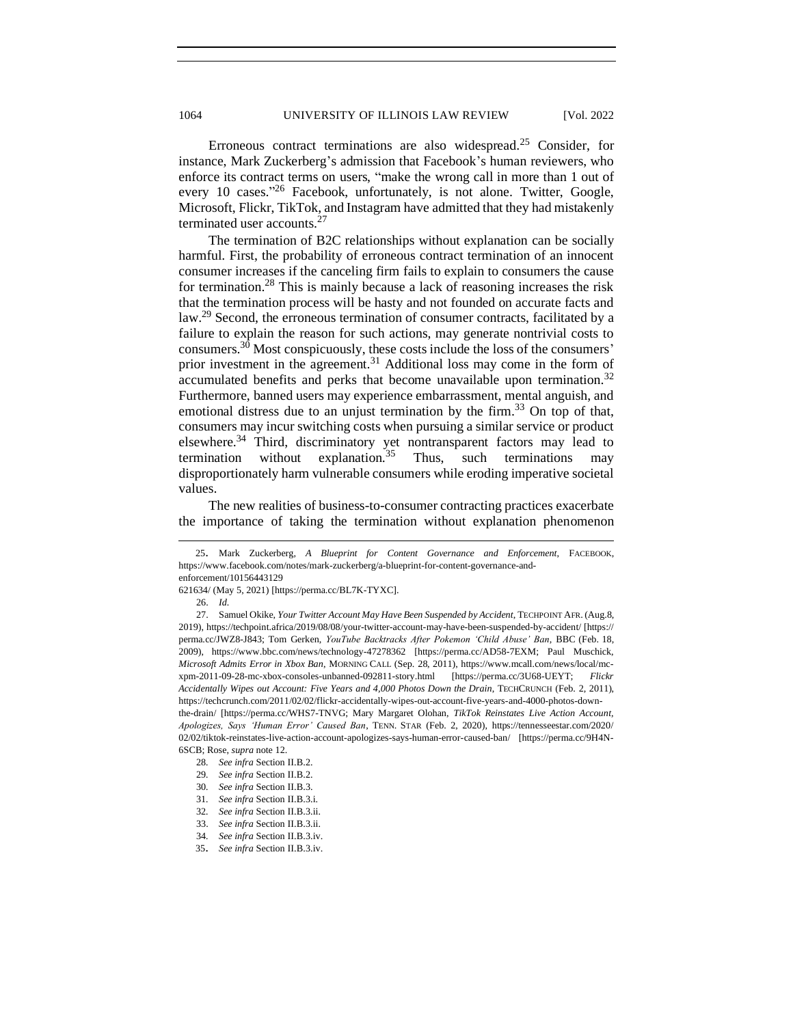<span id="page-5-0"></span>Erroneous contract terminations are also widespread.<sup>25</sup> Consider, for instance, Mark Zuckerberg's admission that Facebook's human reviewers, who enforce its contract terms on users, "make the wrong call in more than 1 out of every 10 cases."<sup>26</sup> Facebook, unfortunately, is not alone. Twitter, Google, Microsoft, Flickr, TikTok, and Instagram have admitted that they had mistakenly terminated user accounts.<sup>27</sup>

<span id="page-5-1"></span>The termination of B2C relationships without explanation can be socially harmful. First, the probability of erroneous contract termination of an innocent consumer increases if the canceling firm fails to explain to consumers the cause for termination.<sup>28</sup> This is mainly because a lack of reasoning increases the risk that the termination process will be hasty and not founded on accurate facts and law.<sup>29</sup> Second, the erroneous termination of consumer contracts, facilitated by a failure to explain the reason for such actions, may generate nontrivial costs to consumers.<sup>30</sup> Most conspicuously, these costs include the loss of the consumers' prior investment in the agreement.<sup>31</sup> Additional loss may come in the form of accumulated benefits and perks that become unavailable upon termination.<sup>32</sup> Furthermore, banned users may experience embarrassment, mental anguish, and emotional distress due to an unjust termination by the firm.<sup>33</sup> On top of that, consumers may incur switching costs when pursuing a similar service or product elsewhere.<sup>34</sup> Third, discriminatory yet nontransparent factors may lead to termination without explanation.<sup>35</sup> Thus, such terminations may disproportionately harm vulnerable consumers while eroding imperative societal values.

The new realities of business-to-consumer contracting practices exacerbate the importance of taking the termination without explanation phenomenon

<sup>25</sup>. Mark Zuckerberg, *A Blueprint for Content Governance and Enforcement*, FACEBOOK, https://www.facebook.com/notes/mark-zuckerberg/a-blueprint-for-content-governance-and-

enforcement/10156443129

<sup>621634/</sup> (May 5, 2021) [https://perma.cc/BL7K-TYXC].

<sup>26.</sup> *Id.*

<sup>27.</sup> Samuel Okike, *Your Twitter Account May Have Been Suspended by Accident*, TECHPOINT AFR. (Aug.8, 2019)[, https://techpoint.africa/2019/08/08/your-twitter-account-may-have-been-suspended-by-accident/](https://techpoint.africa/2019/08/08/your-twitter-account-may-have-been-suspended-by-accident/) [https:// perma.cc/JWZ8-J843; Tom Gerken, *YouTube Backtracks After Pokemon 'Child Abuse' Ban*, BBC (Feb. 18, 2009), <https://www.bbc.com/news/technology-47278362> [https://perma.cc/AD58-7EXM; Paul Muschick, *Microsoft Admits Error in Xbox Ban*, MORNING CALL (Sep. 28, 2011), https://www.mcall.com/news/local/mcxpm-2011-09-28-mc-xbox-consoles-unbanned-092811-story.html [https://perma.cc/3U68-UEYT; *Flickr Accidentally Wipes out Account: Five Years and 4,000 Photos Down the Drain*, TECHCRUNCH (Feb. 2, 2011), https://techcrunch.com/2011/02/02/flickr-accidentally-wipes-out-account-five-years-and-4000-photos-downthe-drain/ [https://perma.cc/WHS7-TNVG; Mary Margaret Olohan, *TikTok Reinstates Live Action Account, Apologizes, Says 'Human Error' Caused Ban*, TENN. STAR (Feb. 2, 2020), https://tennesseestar.com/2020/ 02/02/tiktok-reinstates-live-action-account-apologizes-says-human-error-caused-ban/ [https://perma.cc/9H4N-6SCB; Rose, *supra* note [12.](#page-3-2)

<sup>28</sup>*. See infra* Section II.B.2.

<sup>29</sup>*. See infra* Section II.B.2.

<sup>30</sup>*. See infra* Section II.B.3.

<sup>31</sup>*. See infra* Section II.B.3.i.

<sup>32</sup>*. See infra* Section II.B.3.ii.

<sup>33.</sup> *See infra* Section II.B.3.ii.

<sup>34</sup>*. See infra* Section II.B.3.iv.

<sup>35</sup>. *See infra* Section II.B.3.iv.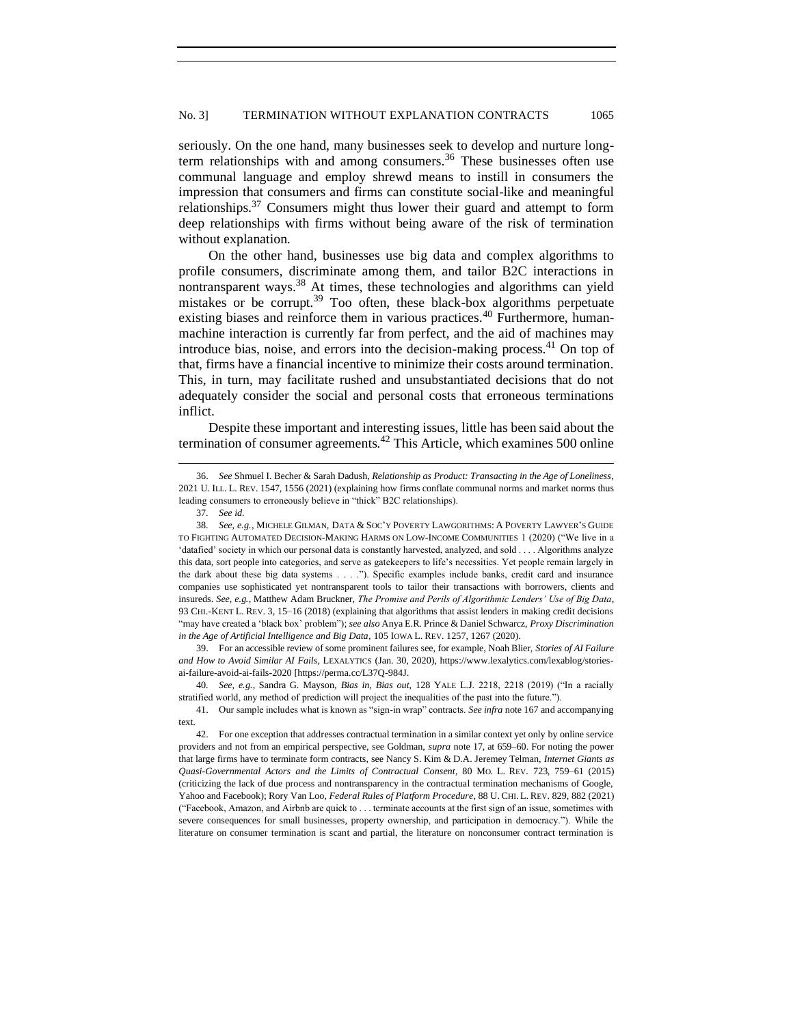seriously. On the one hand, many businesses seek to develop and nurture longterm relationships with and among consumers.<sup>36</sup> These businesses often use communal language and employ shrewd means to instill in consumers the impression that consumers and firms can constitute social-like and meaningful relationships.<sup>37</sup> Consumers might thus lower their guard and attempt to form deep relationships with firms without being aware of the risk of termination without explanation.

On the other hand, businesses use big data and complex algorithms to profile consumers, discriminate among them, and tailor B2C interactions in nontransparent ways.<sup>38</sup> At times, these technologies and algorithms can vield mistakes or be corrupt.<sup>39</sup> Too often, these black-box algorithms perpetuate existing biases and reinforce them in various practices.<sup>40</sup> Furthermore, humanmachine interaction is currently far from perfect, and the aid of machines may introduce bias, noise, and errors into the decision-making process. $41$  On top of that, firms have a financial incentive to minimize their costs around termination. This, in turn, may facilitate rushed and unsubstantiated decisions that do not adequately consider the social and personal costs that erroneous terminations inflict.

Despite these important and interesting issues, little has been said about the termination of consumer agreements.<sup>42</sup> This Article, which examines 500 online

39. For an accessible review of some prominent failures see, for example, Noah Blier, *Stories of AI Failure and How to Avoid Similar AI Fails*, LEXALYTICS (Jan. 30, 2020), https://www.lexalytics.com/lexablog/storiesai-failure-avoid-ai-fails-2020 [https://perma.cc/L37Q-984J.

40*. See, e.g.*, Sandra G. Mayson, *Bias in, Bias out*, 128 YALE L.J. 2218, 2218 (2019) ("In a racially stratified world, any method of prediction will project the inequalities of the past into the future.").

<sup>36.</sup> *See* Shmuel I. Becher & Sarah Dadush, *Relationship as Product: Transacting in the Age of Loneliness*, 2021 U. ILL. L. REV. 1547, 1556 (2021) (explaining how firms conflate communal norms and market norms thus leading consumers to erroneously believe in "thick" B2C relationships).

<sup>37</sup>*. See id.*

<sup>38</sup>*. See, e.g.*, MICHELE GILMAN, DATA & SOC'Y POVERTY LAWGORITHMS: A POVERTY LAWYER'S GUIDE TO FIGHTING AUTOMATED DECISION-MAKING HARMS ON LOW-INCOME COMMUNITIES 1 (2020) ("We live in a 'datafied' society in which our personal data is constantly harvested, analyzed, and sold . . . . Algorithms analyze this data, sort people into categories, and serve as gatekeepers to life's necessities. Yet people remain largely in the dark about these big data systems . . . ."). Specific examples include banks, credit card and insurance companies use sophisticated yet nontransparent tools to tailor their transactions with borrowers, clients and insureds. *See, e.g.*, Matthew Adam Bruckner, *The Promise and Perils of Algorithmic Lenders' Use of Big Data*, 93 CHI.-KENT L. REV. 3, 15–16 (2018) (explaining that algorithms that assist lenders in making credit decisions "may have created a 'black box' problem"); *see also* Anya E.R. Prince & Daniel Schwarcz, *Proxy Discrimination in the Age of Artificial Intelligence and Big Data*, 105 IOWA L. REV. 1257, 1267 (2020).

<sup>41.</sup> Our sample includes what is known as "sign-in wrap" contracts. *See infra* note 167 and accompanying text.

<sup>42.</sup> For one exception that addresses contractual termination in a similar context yet only by online service providers and not from an empirical perspective, see Goldman, *supra* not[e 17,](#page-4-0) at 659–60. For noting the power that large firms have to terminate form contracts, see Nancy S. Kim & D.A. Jeremey Telman, *Internet Giants as Quasi-Governmental Actors and the Limits of Contractual Consent*, 80 MO. L. REV. 723, 759–61 (2015) (criticizing the lack of due process and nontransparency in the contractual termination mechanisms of Google, Yahoo and Facebook); Rory Van Loo, *Federal Rules of Platform Procedure*, 88 U. CHI. L. REV. 829, 882 (2021) ("Facebook, Amazon, and Airbnb are quick to . . . terminate accounts at the first sign of an issue, sometimes with severe consequences for small businesses, property ownership, and participation in democracy."). While the literature on consumer termination is scant and partial, the literature on nonconsumer contract termination is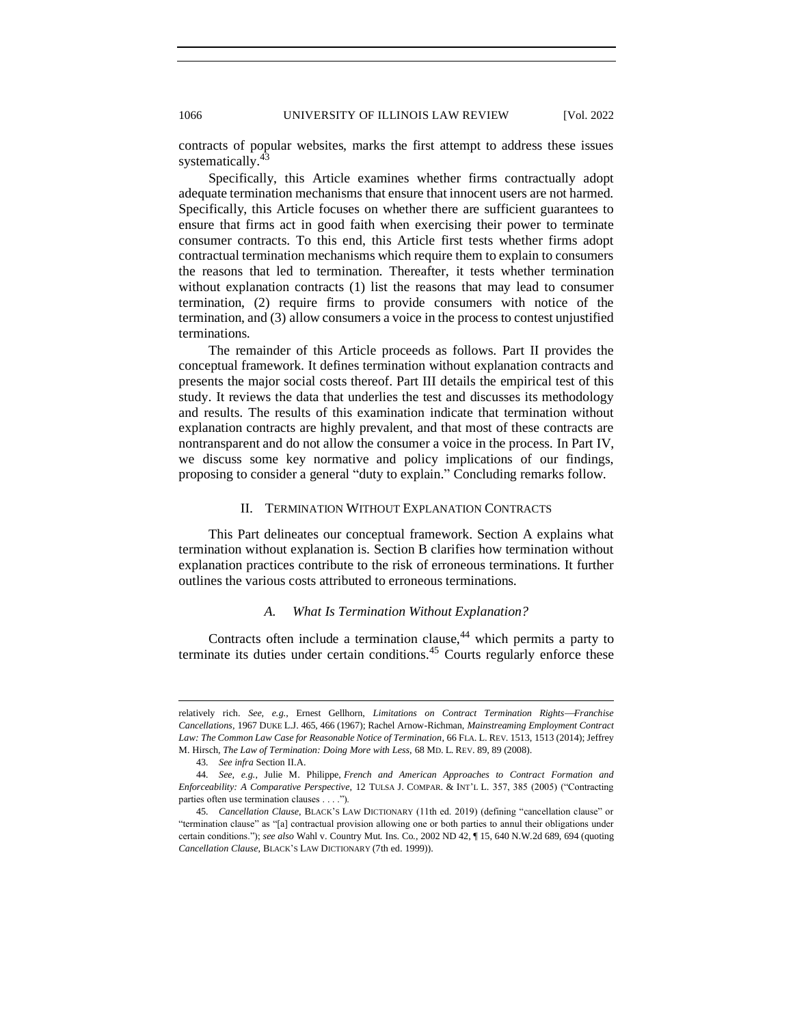contracts of popular websites, marks the first attempt to address these issues systematically.<sup>43</sup>

Specifically, this Article examines whether firms contractually adopt adequate termination mechanisms that ensure that innocent users are not harmed. Specifically, this Article focuses on whether there are sufficient guarantees to ensure that firms act in good faith when exercising their power to terminate consumer contracts. To this end, this Article first tests whether firms adopt contractual termination mechanisms which require them to explain to consumers the reasons that led to termination. Thereafter, it tests whether termination without explanation contracts (1) list the reasons that may lead to consumer termination, (2) require firms to provide consumers with notice of the termination, and (3) allow consumers a voice in the process to contest unjustified terminations.

The remainder of this Article proceeds as follows. Part II provides the conceptual framework. It defines termination without explanation contracts and presents the major social costs thereof. Part III details the empirical test of this study. It reviews the data that underlies the test and discusses its methodology and results. The results of this examination indicate that termination without explanation contracts are highly prevalent, and that most of these contracts are nontransparent and do not allow the consumer a voice in the process. In Part IV, we discuss some key normative and policy implications of our findings, proposing to consider a general "duty to explain." Concluding remarks follow.

#### II. TERMINATION WITHOUT EXPLANATION CONTRACTS

<span id="page-7-0"></span>This Part delineates our conceptual framework. Section A explains what termination without explanation is. Section B clarifies how termination without explanation practices contribute to the risk of erroneous terminations. It further outlines the various costs attributed to erroneous terminations.

## *A. What Is Termination Without Explanation?*

<span id="page-7-1"></span>Contracts often include a termination clause, $44$  which permits a party to terminate its duties under certain conditions.<sup>45</sup> Courts regularly enforce these

relatively rich. See, e.g., Ernest Gellhorn, *Limitations on Contract Termination Rights*—Franchise *Cancellations*, 1967 DUKE L.J. 465, 466 (1967); Rachel Arnow-Richman, *Mainstreaming Employment Contract Law: The Common Law Case for Reasonable Notice of Termination*, 66 FLA. L. REV. 1513, 1513 (2014); Jeffrey M. Hirsch, *The Law of Termination: Doing More with Less*, 68 MD. L. REV. 89, 89 (2008).

<sup>43</sup>*. See infra* Section II.A.

<sup>44</sup>*. See, e.g.*, Julie M. Philippe, *French and American Approaches to Contract Formation and Enforceability: A Comparative Perspective*, 12 TULSA J. COMPAR. & INT'L L. 357, 385 (2005) ("Contracting parties often use termination clauses . . . .").

<sup>45</sup>*. Cancellation Clause*, BLACK'S LAW DICTIONARY (11th ed. 2019) (defining "cancellation clause" or "termination clause" as "[a] contractual provision allowing one or both parties to annul their obligations under certain conditions."); *see also* Wahl v. Country Mut. Ins. Co., 2002 ND 42, ¶ 15, 640 N.W.2d 689, 694 (quoting *Cancellation Clause*, BLACK'S LAW DICTIONARY (7th ed. 1999)).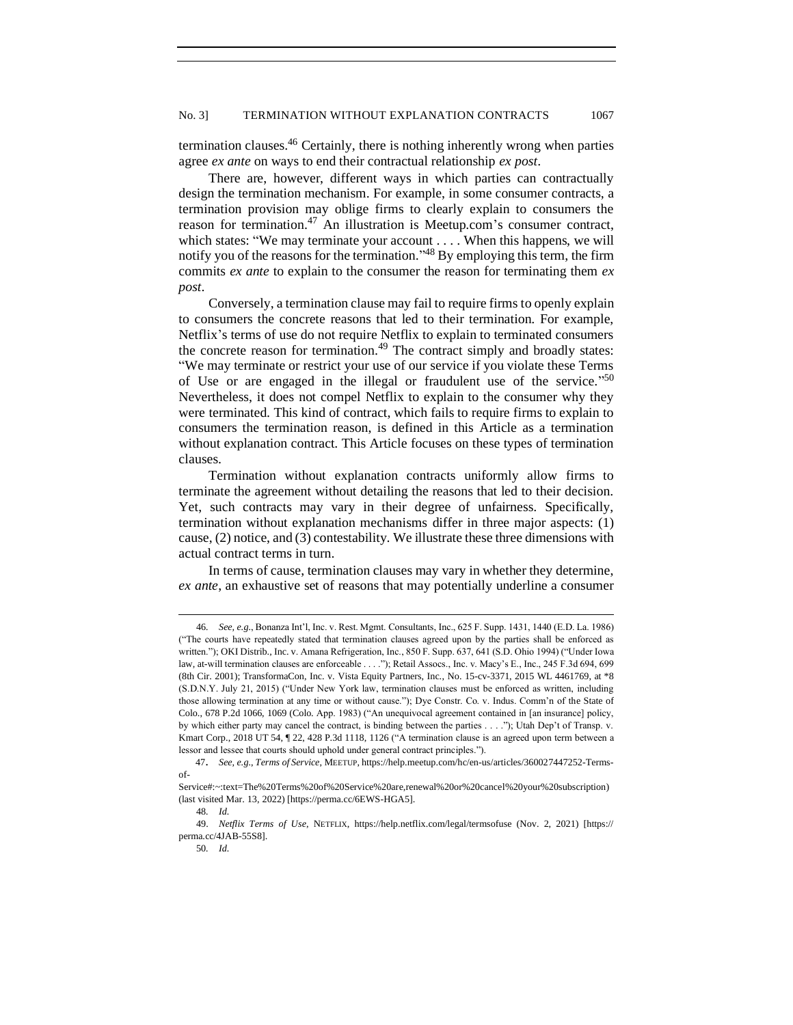termination clauses.<sup>46</sup> Certainly, there is nothing inherently wrong when parties agree *ex ante* on ways to end their contractual relationship *ex post*.

There are, however, different ways in which parties can contractually design the termination mechanism. For example, in some consumer contracts, a termination provision may oblige firms to clearly explain to consumers the reason for termination.<sup>47</sup> An illustration is Meetup.com's consumer contract, which states: "We may terminate your account . . . . When this happens, we will notify you of the reasons for the termination."<sup>48</sup> By employing this term, the firm commits *ex ante* to explain to the consumer the reason for terminating them *ex post*.

Conversely, a termination clause may fail to require firms to openly explain to consumers the concrete reasons that led to their termination. For example, Netflix's terms of use do not require Netflix to explain to terminated consumers the concrete reason for termination.<sup>49</sup> The contract simply and broadly states: "We may terminate or restrict your use of our service if you violate these Terms of Use or are engaged in the illegal or fraudulent use of the service."<sup>50</sup> Nevertheless, it does not compel Netflix to explain to the consumer why they were terminated. This kind of contract, which fails to require firms to explain to consumers the termination reason, is defined in this Article as a termination without explanation contract. This Article focuses on these types of termination clauses.

Termination without explanation contracts uniformly allow firms to terminate the agreement without detailing the reasons that led to their decision. Yet, such contracts may vary in their degree of unfairness. Specifically, termination without explanation mechanisms differ in three major aspects: (1) cause, (2) notice, and (3) contestability. We illustrate these three dimensions with actual contract terms in turn.

In terms of cause, termination clauses may vary in whether they determine, *ex ante*, an exhaustive set of reasons that may potentially underline a consumer

<sup>46</sup>*. See, e.g.*, Bonanza Int'l, Inc. v. Rest. Mgmt. Consultants, Inc., 625 F. Supp. 1431, 1440 (E.D. La. 1986) ("The courts have repeatedly stated that termination clauses agreed upon by the parties shall be enforced as written."); OKI Distrib., Inc. v. Amana Refrigeration, Inc., 850 F. Supp. 637, 641 (S.D. Ohio 1994) ("Under Iowa law, at-will termination clauses are enforceable . . . ."); Retail Assocs., Inc. v. Macy's E., Inc., 245 F.3d 694, 699 (8th Cir. 2001); TransformaCon, Inc. v. Vista Equity Partners, Inc., No. 15-cv-3371, 2015 WL 4461769, at \*8 (S.D.N.Y. July 21, 2015) ("Under New York law, termination clauses must be enforced as written, including those allowing termination at any time or without cause."); Dye Constr. Co. v. Indus. Comm'n of the State of Colo., 678 P.2d 1066, 1069 (Colo. App. 1983) ("An unequivocal agreement contained in [an insurance] policy, by which either party may cancel the contract, is binding between the parties . . . ."); Utah Dep't of Transp. v. Kmart Corp., 2018 UT 54, ¶ 22, 428 P.3d 1118, 1126 ("A termination clause is an agreed upon term between a lessor and lessee that courts should uphold under general contract principles.").

<sup>47</sup>. *See, e.g.*, *Terms of Service*, MEETUP, https://help.meetup.com/hc/en-us/articles/360027447252-Termsof-

Service#:~:text=The%20Terms%20of%20Service%20are,renewal%20or%20cancel%20your%20subscription) (last visited Mar. 13, 2022) [https://perma.cc/6EWS-HGA5].

<sup>48</sup>*. Id.*

<sup>49.</sup> *Netflix Terms of Use*, NETFLIX, https://help.netflix.com/legal/termsofuse (Nov. 2, 2021) [https:// perma.cc/4JAB-55S8].

<sup>50</sup>*. Id.*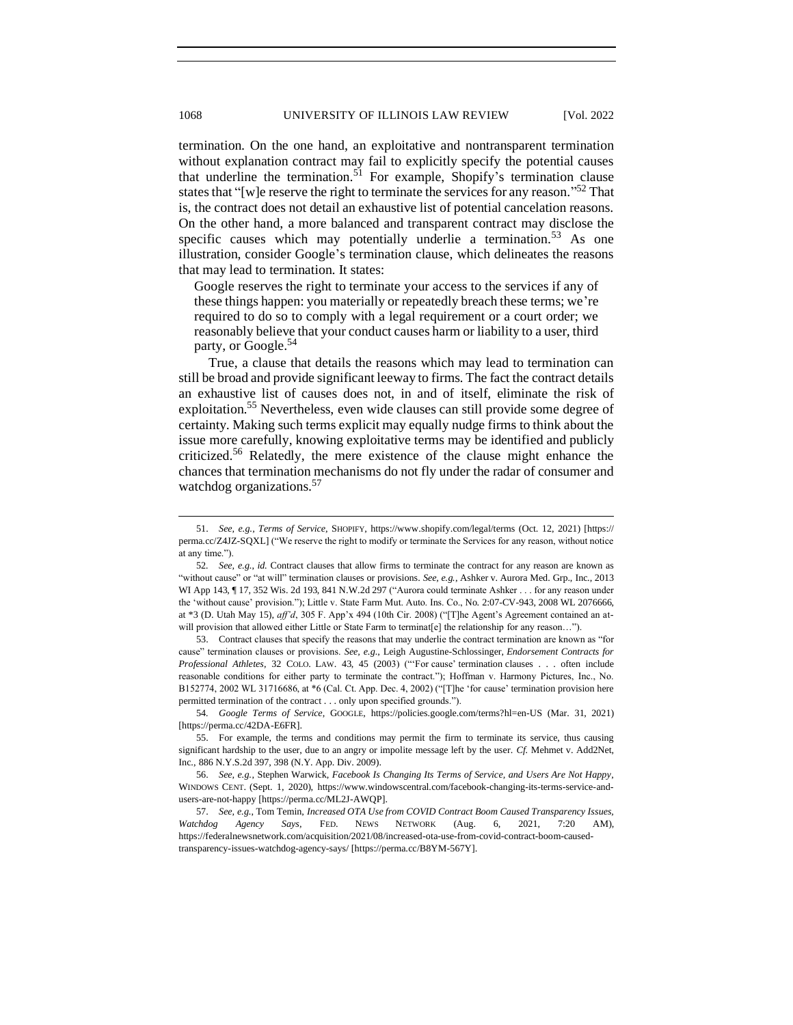termination. On the one hand, an exploitative and nontransparent termination without explanation contract may fail to explicitly specify the potential causes that underline the termination.<sup>51</sup> For example, Shopify's termination clause states that "[w]e reserve the right to terminate the services for any reason."<sup>52</sup> That is, the contract does not detail an exhaustive list of potential cancelation reasons. On the other hand, a more balanced and transparent contract may disclose the specific causes which may potentially underlie a termination.<sup>53</sup> As one illustration, consider Google's termination clause, which delineates the reasons that may lead to termination. It states:

Google reserves the right to terminate your access to the services if any of these things happen: you materially or repeatedly breach these terms; we're required to do so to comply with a legal requirement or a court order; we reasonably believe that your conduct causes harm or liability to a user, third party, or Google.<sup>54</sup>

True, a clause that details the reasons which may lead to termination can still be broad and provide significant leeway to firms. The fact the contract details an exhaustive list of causes does not, in and of itself, eliminate the risk of exploitation.<sup>55</sup> Nevertheless, even wide clauses can still provide some degree of certainty. Making such terms explicit may equally nudge firms to think about the issue more carefully, knowing exploitative terms may be identified and publicly criticized.<sup>56</sup> Relatedly, the mere existence of the clause might enhance the chances that termination mechanisms do not fly under the radar of consumer and watchdog organizations.<sup>57</sup>

53. Contract clauses that specify the reasons that may underlie the contract termination are known as "for cause" termination clauses or provisions. *See, e.g.*, Leigh Augustine-Schlossinger, *Endorsement Contracts for Professional Athletes*, 32 COLO. LAW. 43, 45 (2003) ("'For cause' termination clauses . . . often include reasonable conditions for either party to terminate the contract."); Hoffman v. Harmony Pictures, Inc., No. B152774, 2002 WL 31716686, at \*6 (Cal. Ct. App. Dec. 4, 2002) ("[T]he 'for cause' termination provision here permitted termination of the contract . . . only upon specified grounds.").

54*. Google Terms of Service*, GOOGLE, https://policies.google.com/terms?hl=en-US (Mar. 31, 2021) [https://perma.cc/42DA-E6FR].

56. *See, e.g.*, Stephen Warwick, *Facebook Is Changing Its Terms of Service, and Users Are Not Happy*, WINDOWS CENT. (Sept. 1, 2020), https://www.windowscentral.com/facebook-changing-its-terms-service-andusers-are-not-happy [https://perma.cc/ML2J-AWQP].

<sup>51.</sup> *See, e.g.*, *Terms of Service*, SHOPIFY, https://www.shopify.com/legal/terms (Oct. 12, 2021) [https:// perma.cc/Z4JZ-SQXL] ("We reserve the right to modify or terminate the Services for any reason, without notice at any time.").

<sup>52</sup>*. See, e.g.*, *id.* Contract clauses that allow firms to terminate the contract for any reason are known as "without cause" or "at will" termination clauses or provisions. *See, e.g.*, Ashker v. Aurora Med. Grp., Inc., 2013 WI App 143, ¶ 17, 352 Wis. 2d 193, 841 N.W.2d 297 ("Aurora could terminate Ashker . . . for any reason under the 'without cause' provision."); Little v. State Farm Mut. Auto. Ins. Co., No. 2:07-CV-943, 2008 WL 2076666, at \*3 (D. Utah May 15), *aff'd*, 305 F. App'x 494 (10th Cir. 2008) ("[T]he Agent's Agreement contained an atwill provision that allowed either Little or State Farm to terminat[e] the relationship for any reason...").

<sup>55.</sup> For example, the terms and conditions may permit the firm to terminate its service, thus causing significant hardship to the user, due to an angry or impolite message left by the user. *Cf.* Mehmet v. Add2Net, Inc., 886 N.Y.S.2d 397, 398 (N.Y. App. Div. 2009).

<sup>57.</sup> *See, e.g.*, Tom Temin, *Increased OTA Use from COVID Contract Boom Caused Transparency Issues, Watchdog Agency Says*, FED. NEWS NETWORK (Aug. 6, 2021, 7:20 AM), https://federalnewsnetwork.com/acquisition/2021/08/increased-ota-use-from-covid-contract-boom-causedtransparency-issues-watchdog-agency-says/ [https://perma.cc/B8YM-567Y].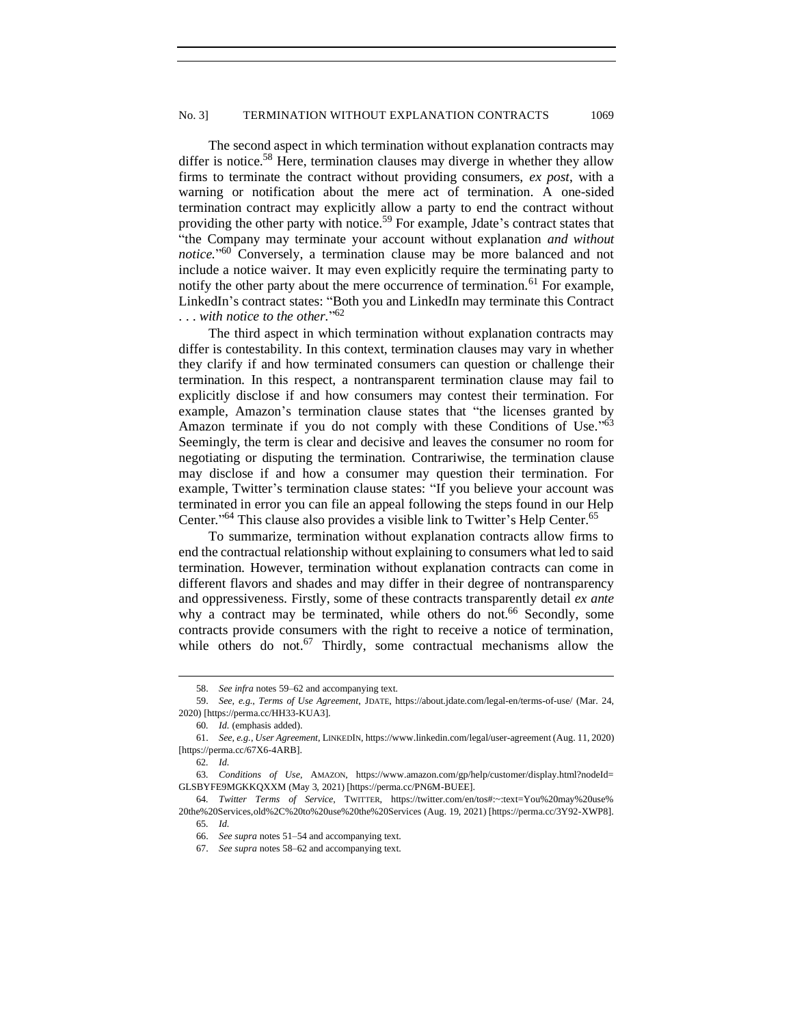The second aspect in which termination without explanation contracts may differ is notice.<sup>58</sup> Here, termination clauses may diverge in whether they allow firms to terminate the contract without providing consumers, *ex post*, with a warning or notification about the mere act of termination. A one-sided termination contract may explicitly allow a party to end the contract without providing the other party with notice.<sup>59</sup> For example, Jdate's contract states that "the Company may terminate your account without explanation *and without notice.*" <sup>60</sup> Conversely, a termination clause may be more balanced and not include a notice waiver. It may even explicitly require the terminating party to notify the other party about the mere occurrence of termination.<sup>61</sup> For example, LinkedIn's contract states: "Both you and LinkedIn may terminate this Contract . . . *with notice to the other.*" 62

The third aspect in which termination without explanation contracts may differ is contestability. In this context, termination clauses may vary in whether they clarify if and how terminated consumers can question or challenge their termination. In this respect, a nontransparent termination clause may fail to explicitly disclose if and how consumers may contest their termination. For example, Amazon's termination clause states that "the licenses granted by Amazon terminate if you do not comply with these Conditions of Use."<sup>63</sup> Seemingly, the term is clear and decisive and leaves the consumer no room for negotiating or disputing the termination. Contrariwise, the termination clause may disclose if and how a consumer may question their termination. For example, Twitter's termination clause states: "If you believe your account was terminated in error you can file an appeal following the steps found in our Help Center."<sup>64</sup> This clause also provides a visible link to Twitter's Help Center.<sup>65</sup>

To summarize, termination without explanation contracts allow firms to end the contractual relationship without explaining to consumers what led to said termination. However, termination without explanation contracts can come in different flavors and shades and may differ in their degree of nontransparency and oppressiveness. Firstly, some of these contracts transparently detail *ex ante* why a contract may be terminated, while others do not.<sup>66</sup> Secondly, some contracts provide consumers with the right to receive a notice of termination, while others do not.<sup>67</sup> Thirdly, some contractual mechanisms allow the

<sup>58.</sup> *See infra* notes 59–62 and accompanying text.

<sup>59.</sup> *See, e.g.*, *Terms of Use Agreement*, JDATE, https://about.jdate.com/legal-en/terms-of-use/ (Mar. 24, 2020) [https://perma.cc/HH33-KUA3].

<sup>60</sup>*. Id.* (emphasis added).

<sup>61.</sup> *See, e.g.*, *User Agreement*, LINKEDIN, https://www.linkedin.com/legal/user-agreement (Aug. 11, 2020) [https://perma.cc/67X6-4ARB].

<sup>62</sup>*. Id.*

<sup>63</sup>*. Conditions of Use*, AMAZON, https://www.amazon.com/gp/help/customer/display.html?nodeId= GLSBYFE9MGKKQXXM (May 3, 2021) [https://perma.cc/PN6M-BUEE].

<sup>64</sup>*. Twitter Terms of Service*, TWITTER, https://twitter.com/en/tos#:~:text=You%20may%20use% 20the%20Services,old%2C%20to%20use%20the%20Services (Aug. 19, 2021) [https://perma.cc/3Y92-XWP8]. 65*. Id.*

<sup>66.</sup> *See supra* notes 51–54 and accompanying text.

<sup>67.</sup> *See supra* notes 58–62 and accompanying text.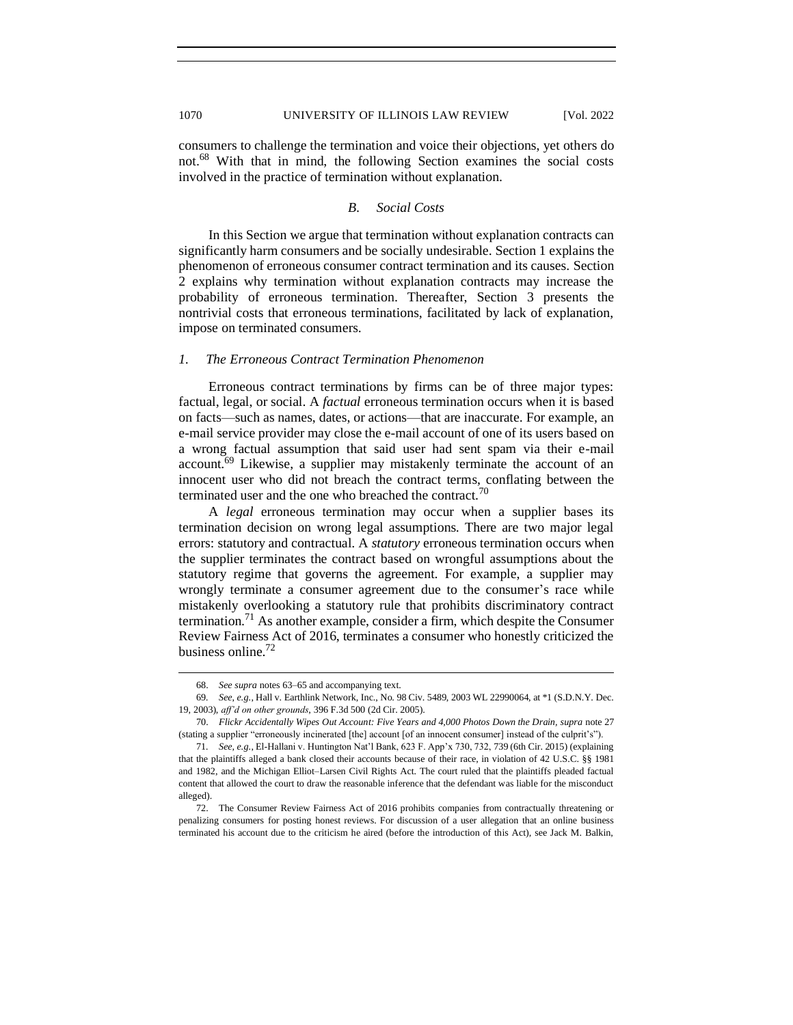consumers to challenge the termination and voice their objections, yet others do not.<sup>68</sup> With that in mind, the following Section examines the social costs involved in the practice of termination without explanation.

## *B. Social Costs*

<span id="page-11-0"></span>In this Section we argue that termination without explanation contracts can significantly harm consumers and be socially undesirable. Section 1 explains the phenomenon of erroneous consumer contract termination and its causes. Section 2 explains why termination without explanation contracts may increase the probability of erroneous termination. Thereafter, Section 3 presents the nontrivial costs that erroneous terminations, facilitated by lack of explanation, impose on terminated consumers.

#### <span id="page-11-1"></span>*1. The Erroneous Contract Termination Phenomenon*

Erroneous contract terminations by firms can be of three major types: factual, legal, or social. A *factual* erroneous termination occurs when it is based on facts—such as names, dates, or actions—that are inaccurate. For example, an e-mail service provider may close the e-mail account of one of its users based on a wrong factual assumption that said user had sent spam via their e-mail account.<sup>69</sup> Likewise, a supplier may mistakenly terminate the account of an innocent user who did not breach the contract terms, conflating between the terminated user and the one who breached the contract.<sup>70</sup>

A *legal* erroneous termination may occur when a supplier bases its termination decision on wrong legal assumptions. There are two major legal errors: statutory and contractual. A *statutory* erroneous termination occurs when the supplier terminates the contract based on wrongful assumptions about the statutory regime that governs the agreement. For example, a supplier may wrongly terminate a consumer agreement due to the consumer's race while mistakenly overlooking a statutory rule that prohibits discriminatory contract termination.<sup>71</sup> As another example, consider a firm, which despite the Consumer Review Fairness Act of 2016, terminates a consumer who honestly criticized the business online.<sup>72</sup>

<sup>68.</sup> *See supra* notes 63–65 and accompanying text.

<sup>69</sup>*. See*, *e.g.*, Hall v. Earthlink Network, Inc., No. 98 Civ. 5489, 2003 WL 22990064, at \*1 (S.D.N.Y. Dec. 19, 2003), *aff'd on other grounds*, 396 F.3d 500 (2d Cir. 2005).

<sup>70.</sup> *Flickr Accidentally Wipes Out Account: Five Years and 4,000 Photos Down the Drain, supra* note 27 (stating a supplier "erroneously incinerated [the] account [of an innocent consumer] instead of the culprit's").

<sup>71</sup>*. See, e.g.*, El-Hallani v. Huntington Nat'l Bank, 623 F. App'x 730, 732, 739 (6th Cir. 2015) (explaining that the plaintiffs alleged a bank closed their accounts because of their race, in violation of 42 U.S.C. §§ 1981 and 1982, and the Michigan Elliot–Larsen Civil Rights Act. The court ruled that the plaintiffs pleaded factual content that allowed the court to draw the reasonable inference that the defendant was liable for the misconduct alleged).

<sup>72.</sup> The Consumer Review Fairness Act of 2016 prohibits companies from contractually threatening or penalizing consumers for posting honest reviews. For discussion of a user allegation that an online business terminated his account due to the criticism he aired (before the introduction of this Act), see Jack M. Balkin,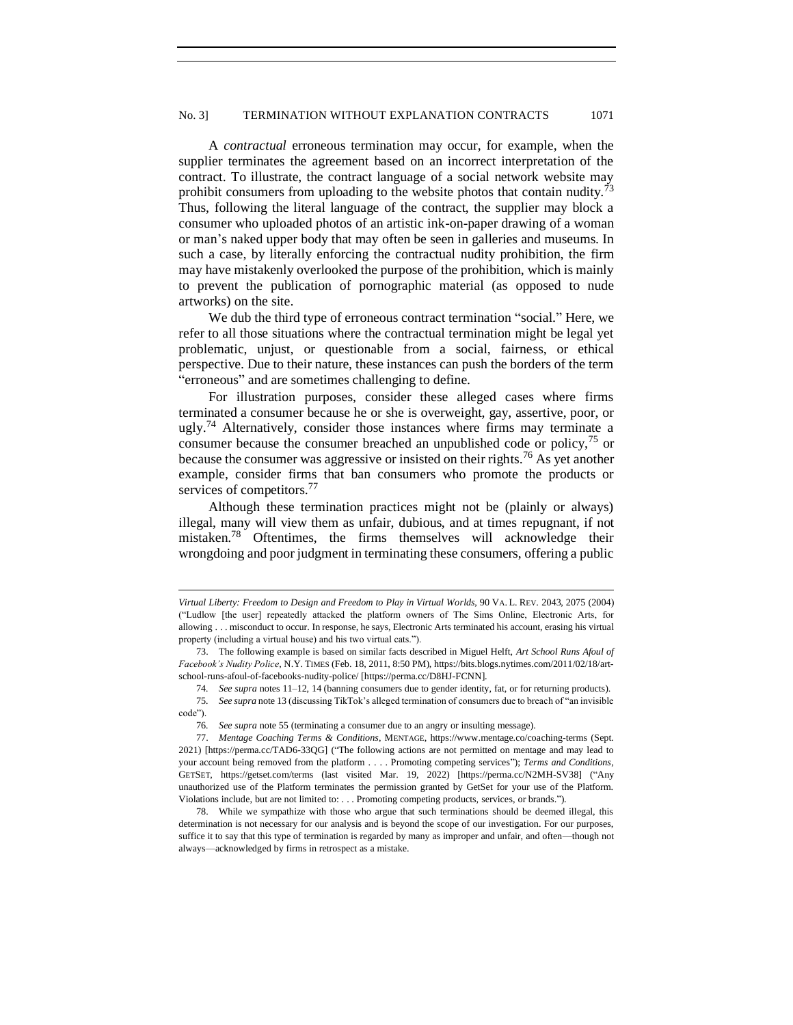A *contractual* erroneous termination may occur, for example, when the supplier terminates the agreement based on an incorrect interpretation of the contract. To illustrate, the contract language of a social network website may prohibit consumers from uploading to the website photos that contain nudity.<sup>7</sup> Thus, following the literal language of the contract, the supplier may block a consumer who uploaded photos of an artistic ink-on-paper drawing of a woman or man's naked upper body that may often be seen in galleries and museums. In such a case, by literally enforcing the contractual nudity prohibition, the firm may have mistakenly overlooked the purpose of the prohibition, which is mainly to prevent the publication of pornographic material (as opposed to nude artworks) on the site.

We dub the third type of erroneous contract termination "social." Here, we refer to all those situations where the contractual termination might be legal yet problematic, unjust, or questionable from a social, fairness, or ethical perspective. Due to their nature, these instances can push the borders of the term "erroneous" and are sometimes challenging to define.

For illustration purposes, consider these alleged cases where firms terminated a consumer because he or she is overweight, gay, assertive, poor, or ugly.<sup>74</sup> Alternatively, consider those instances where firms may terminate a consumer because the consumer breached an unpublished code or policy,<sup>75</sup> or because the consumer was aggressive or insisted on their rights.<sup>76</sup> As yet another example, consider firms that ban consumers who promote the products or services of competitors.<sup>77</sup>

Although these termination practices might not be (plainly or always) illegal, many will view them as unfair, dubious, and at times repugnant, if not mistaken.<sup>78</sup> Oftentimes, the firms themselves will acknowledge their wrongdoing and poor judgment in terminating these consumers, offering a public

75*. See supra* not[e 13](#page-3-3) (discussing TikTok's alleged termination of consumers due to breach of "an invisible code").

*Virtual Liberty: Freedom to Design and Freedom to Play in Virtual Worlds*, 90 VA. L. REV. 2043, 2075 (2004) ("Ludlow [the user] repeatedly attacked the platform owners of The Sims Online, Electronic Arts, for allowing . . . misconduct to occur. In response, he says, Electronic Arts terminated his account, erasing his virtual property (including a virtual house) and his two virtual cats.").

<sup>73.</sup> The following example is based on similar facts described in Miguel Helft, *Art School Runs Afoul of Facebook's Nudity Police*, N.Y. TIMES (Feb. 18, 2011, 8:50 PM), https://bits.blogs.nytimes.com/2011/02/18/artschool-runs-afoul-of-facebooks-nudity-police/ [https://perma.cc/D8HJ-FCNN].

<sup>74</sup>*. See supra* note[s 11](#page-3-1)[–12,](#page-3-2) [14](#page-3-0) (banning consumers due to gender identity, fat, or for returning products).

<sup>76</sup>*. See supra* note 55 (terminating a consumer due to an angry or insulting message).

<sup>77.</sup> *Mentage Coaching Terms & Conditions*, MENTAGE, https://www.mentage.co/coaching-terms (Sept. 2021) [https://perma.cc/TAD6-33QG] ("The following actions are not permitted on mentage and may lead to your account being removed from the platform . . . . Promoting competing services"); *Terms and Conditions*, GETSET, https://getset.com/terms (last visited Mar. 19, 2022) [https://perma.cc/N2MH-SV38] ("Any unauthorized use of the Platform terminates the permission granted by GetSet for your use of the Platform. Violations include, but are not limited to: . . . Promoting competing products, services, or brands.").

<sup>78.</sup> While we sympathize with those who argue that such terminations should be deemed illegal, this determination is not necessary for our analysis and is beyond the scope of our investigation. For our purposes, suffice it to say that this type of termination is regarded by many as improper and unfair, and often—though not always—acknowledged by firms in retrospect as a mistake.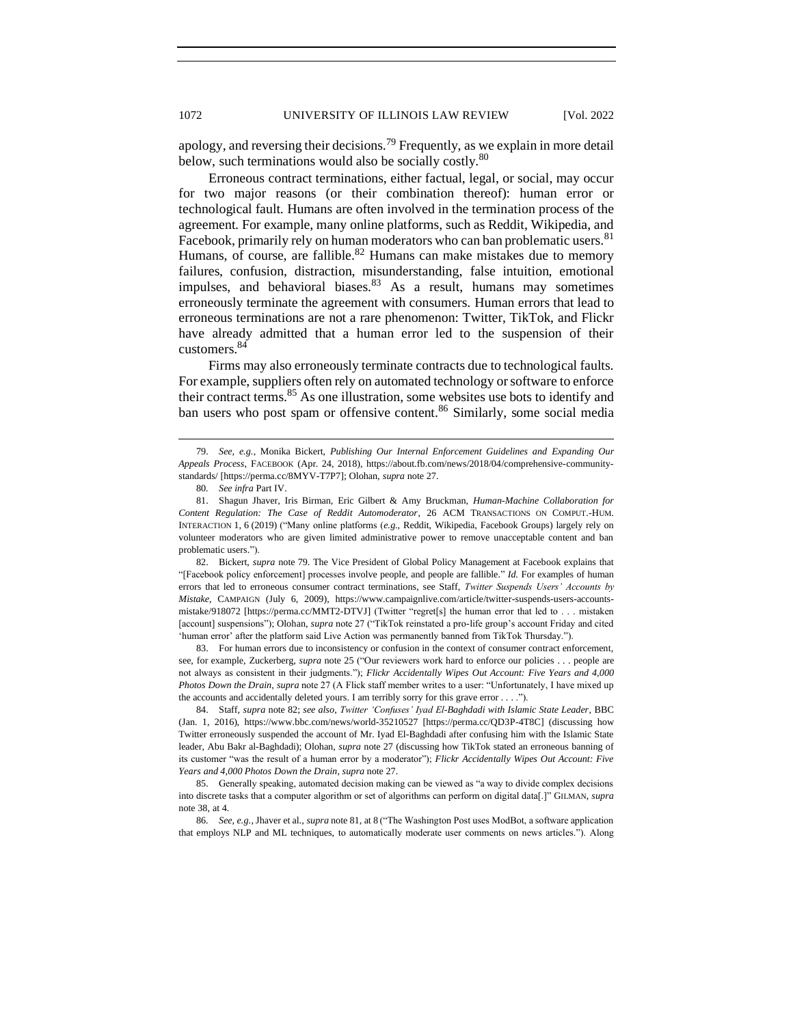apology, and reversing their decisions.<sup>79</sup> Frequently, as we explain in more detail below, such terminations would also be socially costly.<sup>80</sup>

Erroneous contract terminations, either factual, legal, or social, may occur for two major reasons (or their combination thereof): human error or technological fault. Humans are often involved in the termination process of the agreement. For example, many online platforms, such as Reddit, Wikipedia, and Facebook, primarily rely on human moderators who can ban problematic users.<sup>81</sup> Humans, of course, are fallible.<sup>82</sup> Humans can make mistakes due to memory failures, confusion, distraction, misunderstanding, false intuition, emotional impulses, and behavioral biases. $83$  As a result, humans may sometimes erroneously terminate the agreement with consumers. Human errors that lead to erroneous terminations are not a rare phenomenon: Twitter, TikTok, and Flickr have already admitted that a human error led to the suspension of their customers.<sup>84</sup>

Firms may also erroneously terminate contracts due to technological faults. For example, suppliers often rely on automated technology or software to enforce their contract terms.<sup>85</sup> As one illustration, some websites use bots to identify and ban users who post spam or offensive content.<sup>86</sup> Similarly, some social media

82. Bickert, *supra* note 79. The Vice President of Global Policy Management at Facebook explains that "[Facebook policy enforcement] processes involve people, and people are fallible." *Id.* For examples of human errors that led to erroneous consumer contract terminations, see Staff, *Twitter Suspends Users' Accounts by Mistake*, CAMPAIGN (July 6, 2009), https://www.campaignlive.com/article/twitter-suspends-users-accountsmistake/918072 [https://perma.cc/MMT2-DTVJ] (Twitter "regret[s] the human error that led to . . . mistaken [account] suspensions"); Olohan, *supra* note 27 ("TikTok reinstated a pro-life group's account Friday and cited 'human error' after the platform said Live Action was permanently banned from TikTok Thursday.").

83. For human errors due to inconsistency or confusion in the context of consumer contract enforcement, see, for example, Zuckerberg, *supra* note 25 ("Our reviewers work hard to enforce our policies . . . people are not always as consistent in their judgments."); *Flickr Accidentally Wipes Out Account: Five Years and 4,000 Photos Down the Drain*, *supra* note 27 (A Flick staff member writes to a user: "Unfortunately, I have mixed up the accounts and accidentally deleted yours. I am terribly sorry for this grave error . . . .").

84. Staff, *supra* note 82; *see also*, *Twitter 'Confuses' Iyad El-Baghdadi with Islamic State Leader*, BBC (Jan. 1, 2016), https://www.bbc.com/news/world-35210527 [https://perma.cc/QD3P-4T8C] (discussing how Twitter erroneously suspended the account of Mr. Iyad El-Baghdadi after confusing him with the Islamic State leader, Abu Bakr al-Baghdadi); Olohan, *supra* note 27 (discussing how TikTok stated an erroneous banning of its customer "was the result of a human error by a moderator"); *Flickr Accidentally Wipes Out Account: Five Years and 4,000 Photos Down the Drain*, *supra* note 27.

85. Generally speaking, automated decision making can be viewed as "a way to divide complex decisions into discrete tasks that a computer algorithm or set of algorithms can perform on digital data[.]" GILMAN, *supra*  note 38, at 4.

86*. See*, *e.g.*, Jhaver et al., *supra* note 81, at 8 ("The Washington Post uses ModBot, a software application that employs NLP and ML techniques, to automatically moderate user comments on news articles."). Along

<sup>79.</sup> *See, e.g.*, Monika Bickert, *Publishing Our Internal Enforcement Guidelines and Expanding Our Appeals Process*, FACEBOOK (Apr. 24, 2018), https://about.fb.com/news/2018/04/comprehensive-communitystandards/ [https://perma.cc/8MYV-T7P7]; Olohan, *supra* note 27.

<sup>80</sup>*. See infra* Part IV.

<sup>81.</sup> Shagun Jhaver, Iris Birman, Eric Gilbert & Amy Bruckman, *Human-Machine Collaboration for Content Regulation: The Case of Reddit Automoderator*, 26 ACM TRANSACTIONS ON COMPUT.-HUM. INTERACTION 1, 6 (2019) ("Many online platforms (*e.g.*, Reddit, Wikipedia, Facebook Groups) largely rely on volunteer moderators who are given limited administrative power to remove unacceptable content and ban problematic users.").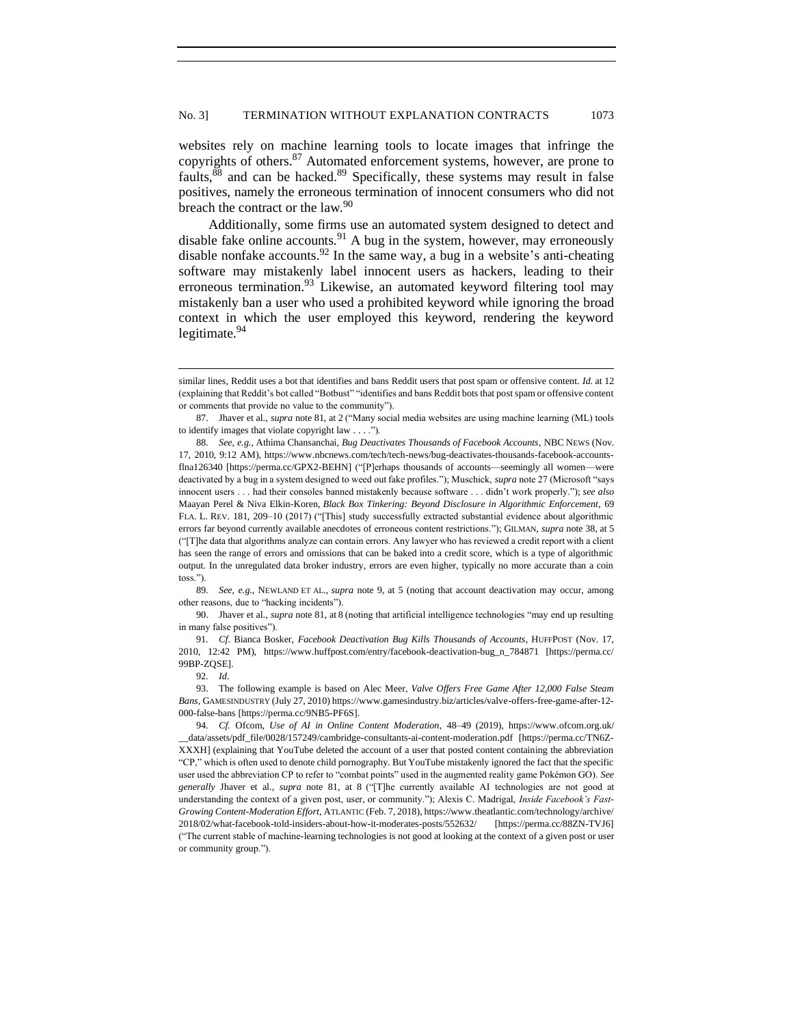<span id="page-14-0"></span>websites rely on machine learning tools to locate images that infringe the copyrights of others.<sup>87</sup> Automated enforcement systems, however, are prone to faults,<sup>88</sup> and can be hacked.<sup>89</sup> Specifically, these systems may result in false positives, namely the erroneous termination of innocent consumers who did not breach the contract or the law.<sup>90</sup>

Additionally, some firms use an automated system designed to detect and disable fake online accounts. $91$  A bug in the system, however, may erroneously disable nonfake accounts.  $92$  In the same way, a bug in a website's anti-cheating software may mistakenly label innocent users as hackers, leading to their erroneous termination.<sup>93</sup> Likewise, an automated keyword filtering tool may mistakenly ban a user who used a prohibited keyword while ignoring the broad context in which the user employed this keyword, rendering the keyword legitimate.<sup>94</sup>

89*. See*, *e.g.*, NEWLAND ET AL., *supra* note [9,](#page-3-4) at 5 (noting that account deactivation may occur, among other reasons, due to "hacking incidents").

90. Jhaver et al., *supra* note 81, at 8 (noting that artificial intelligence technologies "may end up resulting in many false positives").

91*. Cf*. Bianca Bosker, *Facebook Deactivation Bug Kills Thousands of Accounts*, HUFFPOST (Nov. 17, 2010, 12:42 PM), https://www.huffpost.com/entry/facebook-deactivation-bug\_n\_784871 [https://perma.cc/ 99BP-ZQSE].

similar lines, Reddit uses a bot that identifies and bans Reddit users that post spam or offensive content. *Id*. at 12 (explaining that Reddit's bot called "Botbust" "identifies and bans Reddit bots that post spam or offensive content or comments that provide no value to the community").

<sup>87.</sup> Jhaver et al., *supra* note 81, at 2 ("Many social media websites are using machine learning (ML) tools to identify images that violate copyright law . . . .").

<sup>88</sup>*. See*, *e.g.*, Athima Chansanchai, *Bug Deactivates Thousands of Facebook Accounts*, NBC NEWS (Nov. 17, 2010, 9:12 AM), https://www.nbcnews.com/tech/tech-news/bug-deactivates-thousands-facebook-accountsflna126340 [https://perma.cc/GPX2-BEHN] ("[P]erhaps thousands of accounts—seemingly all women—were deactivated by a bug in a system designed to weed out fake profiles."); Muschick, *supra* note 27 (Microsoft "says innocent users . . . had their consoles banned mistakenly because software . . . didn't work properly."); *see also* Maayan Perel & Niva Elkin-Koren, *Black Box Tinkering: Beyond Disclosure in Algorithmic Enforcement*, 69 FLA. L. REV. 181, 209–10 (2017) ("[This] study successfully extracted substantial evidence about algorithmic errors far beyond currently available anecdotes of erroneous content restrictions."); GILMAN, *supra* note 38, at 5 ("[T]he data that algorithms analyze can contain errors. Any lawyer who has reviewed a credit report with a client has seen the range of errors and omissions that can be baked into a credit score, which is a type of algorithmic output. In the unregulated data broker industry, errors are even higher, typically no more accurate than a coin toss.").

<sup>92</sup>*. Id*.

<sup>93.</sup> The following example is based o[n Alec Meer,](https://www.gamesindustry.biz/articles/?author=162) *Valve Offers Free Game After 12,000 False Steam Bans*, GAMESINDUSTRY (July 27, 2010) https://www.gamesindustry.biz/articles/valve-offers-free-game-after-12- 000-false-bans [https://perma.cc/9NB5-PF6S].

<sup>94</sup>*. Cf.* Ofcom, *Use of AI in Online Content Moderation,* 48–49 (2019), https://www.ofcom.org.uk/ \_\_data/assets/pdf\_file/0028/157249/cambridge-consultants-ai-content-moderation.pdf [https://perma.cc/TN6Z-XXXH] (explaining that YouTube deleted the account of a user that posted content containing the abbreviation "CP," which is often used to denote child pornography. But YouTube mistakenly ignored the fact that the specific user used the abbreviation CP to refer to "combat points" used in the augmented reality game Pokémon GO). *See generally* Jhaver et al., *supra* note 81, at 8 ("[T]he currently available AI technologies are not good at understanding the context of a given post, user, or community."); Alexis C. Madrigal, *Inside Facebook's Fast-Growing Content-Moderation Effort*, ATLANTIC (Feb. 7, 2018), https://www.theatlantic.com/technology/archive/ 2018/02/what-facebook-told-insiders-about-how-it-moderates-posts/552632/ [https://perma.cc/88ZN-TVJ6] ("The current stable of machine-learning technologies is not good at looking at the context of a given post or user or community group.").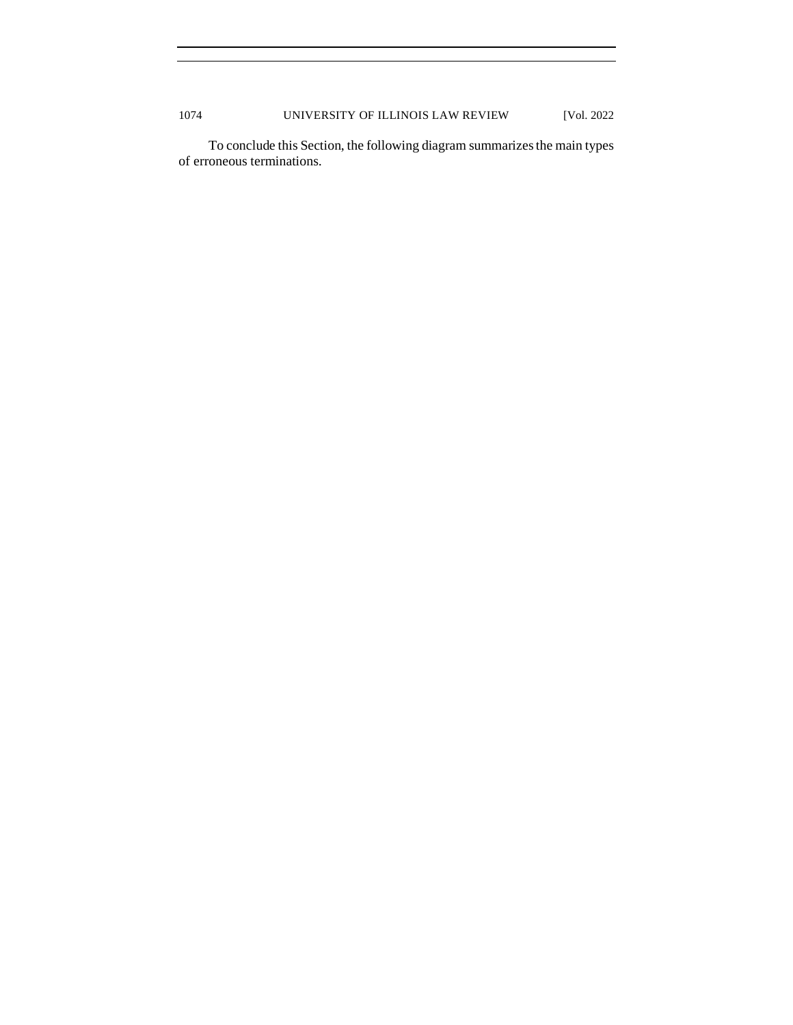To conclude this Section, the following diagram summarizes the main types of erroneous terminations.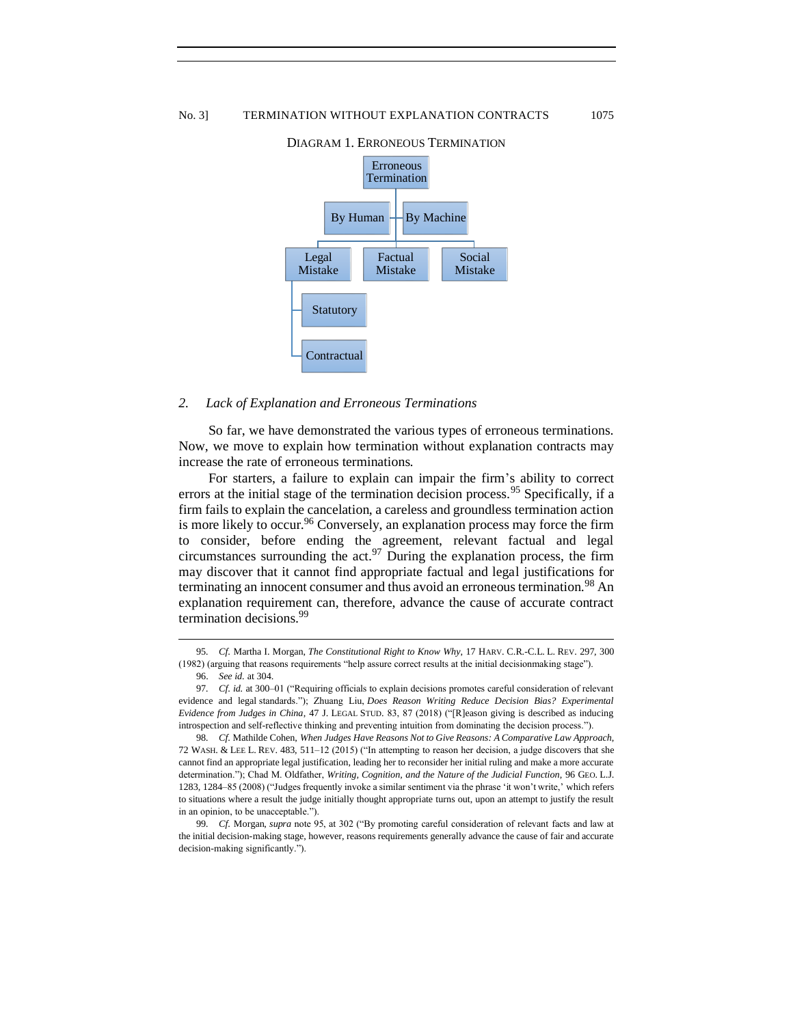

#### DIAGRAM 1. ERRONEOUS TERMINATION

#### <span id="page-16-0"></span>*2. Lack of Explanation and Erroneous Terminations*

So far, we have demonstrated the various types of erroneous terminations. Now, we move to explain how termination without explanation contracts may increase the rate of erroneous terminations.

For starters, a failure to explain can impair the firm's ability to correct errors at the initial stage of the termination decision process.<sup>95</sup> Specifically, if a firm fails to explain the cancelation, a careless and groundless termination action is more likely to occur.<sup>96</sup> Conversely, an explanation process may force the firm to consider, before ending the agreement, relevant factual and legal circumstances surrounding the act.<sup>97</sup> During the explanation process, the firm may discover that it cannot find appropriate factual and legal justifications for terminating an innocent consumer and thus avoid an erroneous termination.<sup>98</sup> An explanation requirement can, therefore, advance the cause of accurate contract termination decisions.<sup>99</sup>

<sup>95</sup>*. Cf*. Martha I. Morgan, *The Constitutional Right to Know Why*, 17 HARV. C.R.-C.L. L. REV. 297, 300 (1982) (arguing that reasons requirements "help assure correct results at the initial decisionmaking stage").

<sup>96.</sup> *See id.* at 304.

<sup>97</sup>*. Cf*. *id.* at 300–01 ("Requiring officials to explain decisions promotes careful consideration of relevant evidence and legal standards."); Zhuang Liu, *Does Reason Writing Reduce Decision Bias? Experimental Evidence from Judges in China*, 47 J. LEGAL STUD. 83, 87 (2018) ("[R]eason giving is described as inducing introspection and self-reflective thinking and preventing intuition from dominating the decision process.").

<sup>98</sup>*. Cf*. Mathilde Cohen, *When Judges Have Reasons Not to Give Reasons: A Comparative Law Approach*, 72 WASH. & LEE L. REV. 483, 511–12 (2015) ("In attempting to reason her decision, a judge discovers that she cannot find an appropriate legal justification, leading her to reconsider her initial ruling and make a more accurate determination."); Chad M. Oldfather, *Writing, Cognition, and the Nature of the Judicial Function*, 96 GEO. L.J. 1283, 1284–85 (2008) ("Judges frequently invoke a similar sentiment via the phrase 'it won't write,' which refers to situations where a result the judge initially thought appropriate turns out, upon an attempt to justify the result in an opinion, to be unacceptable.").

<sup>99</sup>*. Cf*. Morgan, *supra* note 95, at 302 ("By promoting careful consideration of relevant facts and law at the initial decision-making stage, however, reasons requirements generally advance the cause of fair and accurate decision-making significantly.").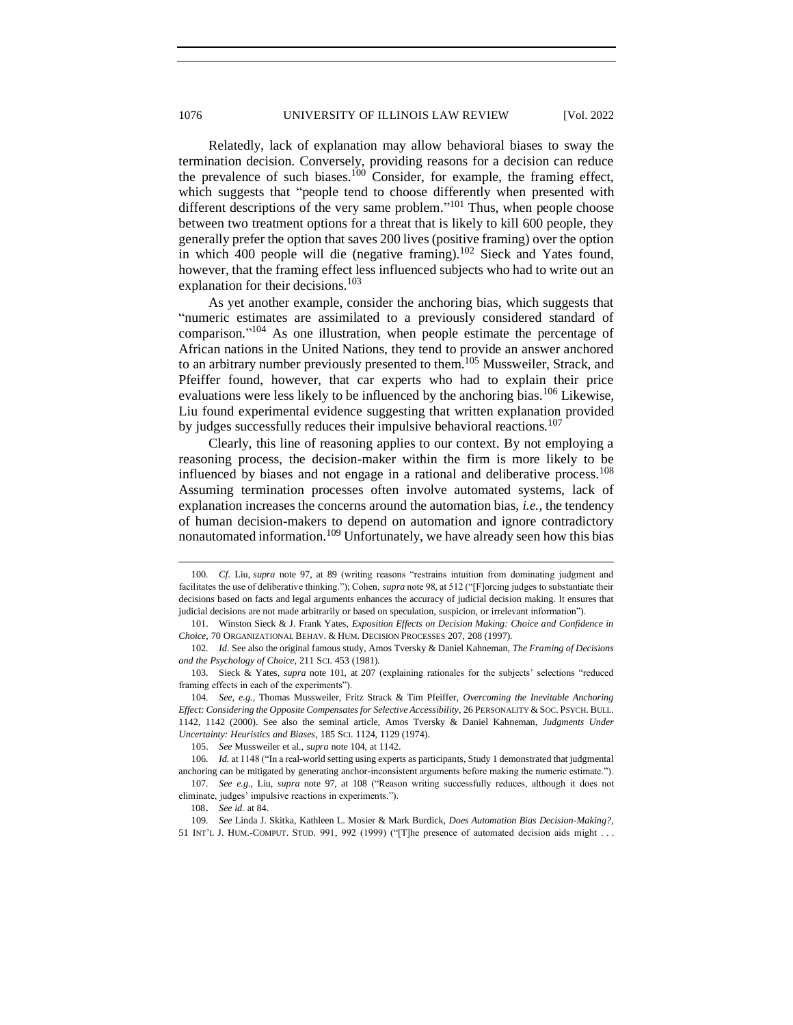Relatedly, lack of explanation may allow behavioral biases to sway the termination decision. Conversely, providing reasons for a decision can reduce the prevalence of such biases.<sup>100</sup> Consider, for example, the framing effect, which suggests that "people tend to choose differently when presented with different descriptions of the very same problem."<sup>101</sup> Thus, when people choose between two treatment options for a threat that is likely to kill 600 people, they generally prefer the option that saves 200 lives (positive framing) over the option in which 400 people will die (negative framing).<sup>102</sup> Sieck and Yates found, however, that the framing effect less influenced subjects who had to write out an explanation for their decisions.<sup>103</sup>

As yet another example, consider the anchoring bias, which suggests that "numeric estimates are assimilated to a previously considered standard of comparison." <sup>104</sup> As one illustration, when people estimate the percentage of African nations in the United Nations, they tend to provide an answer anchored to an arbitrary number previously presented to them.<sup>105</sup> Mussweiler, Strack, and Pfeiffer found, however, that car experts who had to explain their price evaluations were less likely to be influenced by the anchoring bias.<sup>106</sup> Likewise, Liu found experimental evidence suggesting that written explanation provided by judges successfully reduces their impulsive behavioral reactions.<sup>107</sup>

Clearly, this line of reasoning applies to our context. By not employing a reasoning process, the decision-maker within the firm is more likely to be influenced by biases and not engage in a rational and deliberative process.<sup>108</sup> Assuming termination processes often involve automated systems, lack of explanation increases the concerns around the automation bias, *i.e.*, the tendency of human decision-makers to depend on automation and ignore contradictory nonautomated information.<sup>109</sup> Unfortunately, we have already seen how this bias

<sup>100</sup>*. Cf*. Liu, *supra* note 97, at 89 (writing reasons "restrains intuition from dominating judgment and facilitates the use of deliberative thinking."); Cohen, *supra* note 98, at 512 ("[F]orcing judges to substantiate their decisions based on facts and legal arguments enhances the accuracy of judicial decision making. It ensures that judicial decisions are not made arbitrarily or based on speculation, suspicion, or irrelevant information").

<sup>101.</sup> Winston Sieck & J. Frank Yates, *Exposition Effects on Decision Making: Choice and Confidence in Choice*, 70 ORGANIZATIONAL BEHAV. & HUM. DECISION PROCESSES 207, 208 (1997).

<sup>102</sup>*. Id*. See also the original famous study, Amos Tversky & Daniel Kahneman, *The Framing of Decisions and the Psychology of Choice*, 211 SCI. 453 (1981).

<sup>103</sup>*.* Sieck & Yates, *supra* note 101, at 207 (explaining rationales for the subjects' selections "reduced framing effects in each of the experiments").

<sup>104</sup>*. See, e.g.*, Thomas Mussweiler, Fritz Strack & Tim Pfeiffer, *Overcoming the Inevitable Anchoring Effect: Considering the Opposite Compensates for Selective Accessibility*, 26 PERSONALITY & SOC. PSYCH. BULL. 1142, 1142 (2000). See also the seminal article, Amos Tversky & Daniel Kahneman, *Judgments Under Uncertainty: Heuristics and Biases*, 185 SCI. 1124, 1129 (1974).

<sup>105.</sup> *See* Mussweiler et al., *supra* note 104, at 1142.

<sup>106</sup>*. Id.* at 1148 ("In a real-world setting using experts as participants, Study 1 demonstrated that judgmental anchoring can be mitigated by generating anchor-inconsistent arguments before making the numeric estimate.").

<sup>107</sup>*. See e.g.*, Liu, *supra* note 97, at 108 ("Reason writing successfully reduces, although it does not eliminate, judges' impulsive reactions in experiments.").

<sup>108</sup>. *See id.* at 84.

<sup>109</sup>*. See* Linda J. Skitka, Kathleen L. Mosier & Mark Burdick, *Does Automation Bias Decision-Making?*, 51 INT'L J. HUM.-COMPUT. STUD. 991, 992 (1999) ("[T]he presence of automated decision aids might . . .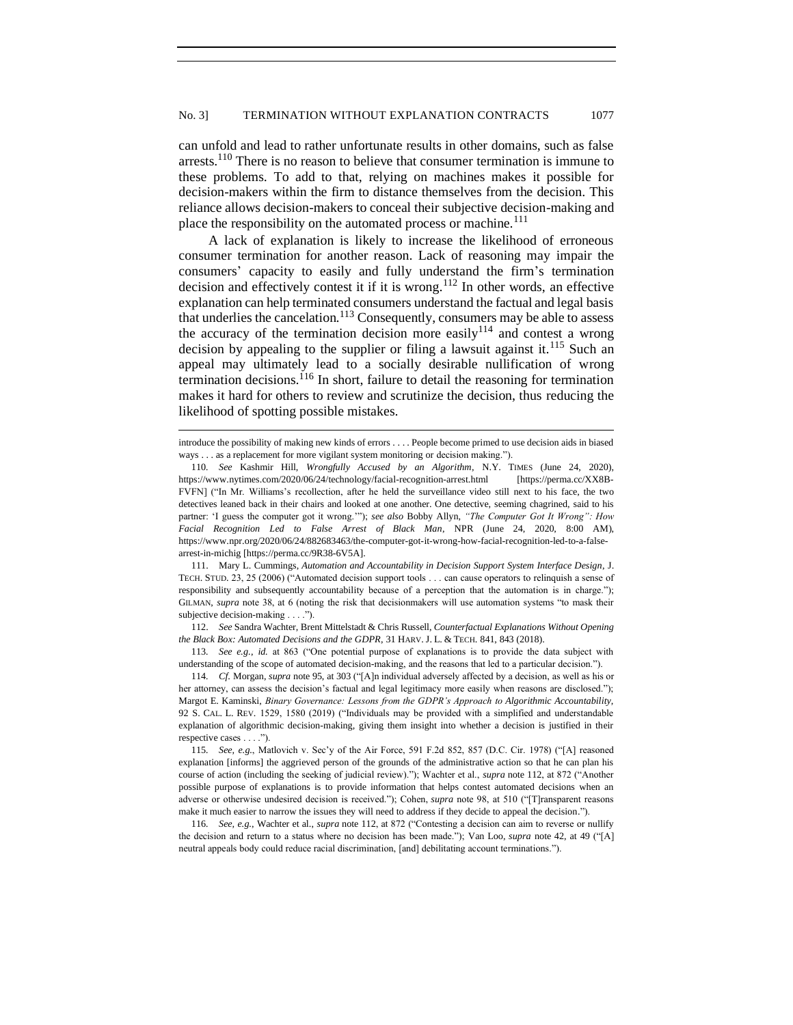can unfold and lead to rather unfortunate results in other domains, such as false arrests.<sup>110</sup> There is no reason to believe that consumer termination is immune to these problems. To add to that, relying on machines makes it possible for decision-makers within the firm to distance themselves from the decision. This reliance allows decision-makers to conceal their subjective decision-making and place the responsibility on the automated process or machine.<sup>111</sup>

A lack of explanation is likely to increase the likelihood of erroneous consumer termination for another reason. Lack of reasoning may impair the consumers' capacity to easily and fully understand the firm's termination decision and effectively contest it if it is wrong.<sup>112</sup> In other words, an effective explanation can help terminated consumers understand the factual and legal basis that underlies the cancelation.<sup>113</sup> Consequently, consumers may be able to assess the accuracy of the termination decision more easily $114$  and contest a wrong decision by appealing to the supplier or filing a lawsuit against it.<sup>115</sup> Such an appeal may ultimately lead to a socially desirable nullification of wrong termination decisions.<sup>116</sup> In short, failure to detail the reasoning for termination makes it hard for others to review and scrutinize the decision, thus reducing the likelihood of spotting possible mistakes.

introduce the possibility of making new kinds of errors . . . . People become primed to use decision aids in biased ways . . . as a replacement for more vigilant system monitoring or decision making.").

<sup>110</sup>*. See* Kashmir Hill, *Wrongfully Accused by an Algorithm*, N.Y. TIMES (June 24, 2020), https://www.nytimes.com/2020/06/24/technology/facial-recognition-arrest.html [https://perma.cc/XX8B-FVFN] ("In Mr. Williams's recollection, after he held the surveillance video still next to his face, the two detectives leaned back in their chairs and looked at one another. One detective, seeming chagrined, said to his partner: 'I guess the computer got it wrong.'"); *see also* Bobby Allyn, *"The Computer Got It Wrong": How Facial Recognition Led to False Arrest of Black Man*, NPR (June 24, 2020, 8:00 AM), https://www.npr.org/2020/06/24/882683463/the-computer-got-it-wrong-how-facial-recognition-led-to-a-falsearrest-in-michig [https://perma.cc/9R38-6V5A].

<sup>111.</sup> Mary L. Cummings, *Automation and Accountability in Decision Support System Interface Design*, J. TECH. STUD. 23, 25 (2006) ("Automated decision support tools . . . can cause operators to relinquish a sense of responsibility and subsequently accountability because of a perception that the automation is in charge."); GILMAN, *supra* note 38, at 6 (noting the risk that decisionmakers will use automation systems "to mask their subjective decision-making . . . .").

<sup>112.</sup> *See* Sandra Wachter, Brent Mittelstadt & Chris Russell, *Counterfactual Explanations Without Opening the Black Box: Automated Decisions and the GDPR*, 31 HARV. J. L. & TECH. 841, 843 (2018).

<sup>113</sup>*. See e.g.*, *id.* at 863 ("One potential purpose of explanations is to provide the data subject with understanding of the scope of automated decision-making, and the reasons that led to a particular decision.").

<sup>114</sup>*. Cf*. Morgan, *supra* note 95, at 303 ("[A]n individual adversely affected by a decision, as well as his or her attorney, can assess the decision's factual and legal legitimacy more easily when reasons are disclosed."); Margot E. Kaminski, *Binary Governance: Lessons from the GDPR's Approach to Algorithmic Accountability*, 92 S. CAL. L. REV. 1529, 1580 (2019) ("Individuals may be provided with a simplified and understandable explanation of algorithmic decision-making, giving them insight into whether a decision is justified in their respective cases . . . .").

<sup>115</sup>*. See, e.g.*, Matlovich v. Sec'y of the Air Force, 591 F.2d 852, 857 (D.C. Cir. 1978) ("[A] reasoned explanation [informs] the aggrieved person of the grounds of the administrative action so that he can plan his course of action (including the seeking of judicial review)."); Wachter et al., *supra* note 112, at 872 ("Another possible purpose of explanations is to provide information that helps contest automated decisions when an adverse or otherwise undesired decision is received."); Cohen, *supra* note 98, at 510 ("[T]ransparent reasons make it much easier to narrow the issues they will need to address if they decide to appeal the decision.").

<sup>116</sup>*. See, e.g.*, Wachter et al., *supra* note 112, at 872 ("Contesting a decision can aim to reverse or nullify the decision and return to a status where no decision has been made."); Van Loo, *supra* note 42, at 49 ("[A] neutral appeals body could reduce racial discrimination, [and] debilitating account terminations.").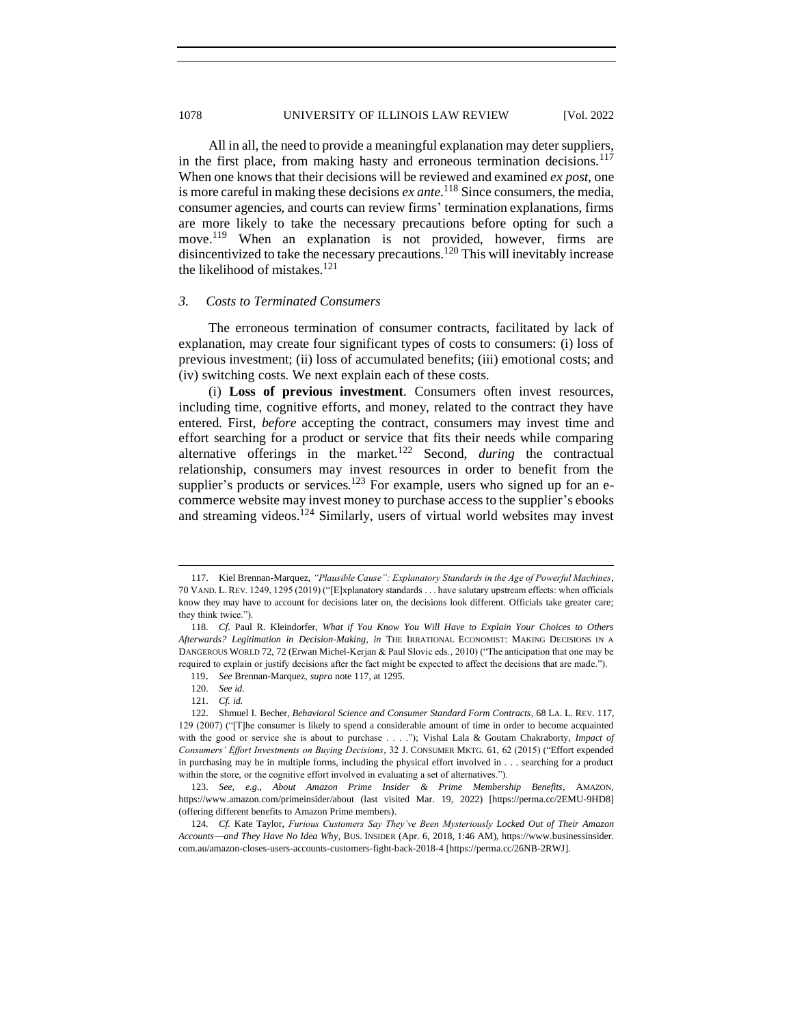All in all, the need to provide a meaningful explanation may deter suppliers, in the first place, from making hasty and erroneous termination decisions.<sup>117</sup> When one knows that their decisions will be reviewed and examined *ex post*, one is more careful in making these decisions *ex ante*. <sup>118</sup> Since consumers, the media, consumer agencies, and courts can review firms' termination explanations, firms are more likely to take the necessary precautions before opting for such a move.<sup>119</sup> When an explanation is not provided, however, firms are disincentivized to take the necessary precautions.<sup>120</sup> This will inevitably increase the likelihood of mistakes.<sup>121</sup>

## <span id="page-19-0"></span>*3. Costs to Terminated Consumers*

The erroneous termination of consumer contracts, facilitated by lack of explanation, may create four significant types of costs to consumers: (i) loss of previous investment; (ii) loss of accumulated benefits; (iii) emotional costs; and (iv) switching costs. We next explain each of these costs.

(i) **Loss of previous investment**. Consumers often invest resources, including time, cognitive efforts, and money, related to the contract they have entered. First, *before* accepting the contract, consumers may invest time and effort searching for a product or service that fits their needs while comparing alternative offerings in the market.<sup>122</sup> Second, *during* the contractual relationship, consumers may invest resources in order to benefit from the supplier's products or services.<sup>123</sup> For example, users who signed up for an ecommerce website may invest money to purchase access to the supplier's ebooks and streaming videos.<sup>124</sup> Similarly, users of virtual world websites may invest

<sup>117.</sup> Kiel Brennan-Marquez, *"Plausible Cause": Explanatory Standards in the Age of Powerful Machines*, 70 VAND. L. REV. 1249, 1295 (2019) ("[E]xplanatory standards . . . have salutary upstream effects: when officials know they may have to account for decisions later on, the decisions look different. Officials take greater care; they think twice.").

<sup>118</sup>*. Cf*. Paul R. Kleindorfer, *What if You Know You Will Have to Explain Your Choices to Others Afterwards? Legitimation in Decision-Making*, *in* THE IRRATIONAL ECONOMIST: MAKING DECISIONS IN A DANGEROUS WORLD 72, 72 (Erwan Michel-Kerjan & Paul Slovic eds., 2010) ("The anticipation that one may be required to explain or justify decisions after the fact might be expected to affect the decisions that are made.").

<sup>119</sup>. *See* Brennan-Marquez, *supra* note 117, at 1295.

<sup>120.</sup> *See id.*

<sup>121.</sup> *Cf. id.*

<sup>122.</sup> Shmuel I. Becher, *Behavioral Science and Consumer Standard Form Contracts*, 68 LA. L. REV. 117, 129 (2007) ("[T]he consumer is likely to spend a considerable amount of time in order to become acquainted with the good or service she is about to purchase . . . ."); Vishal Lala & Goutam Chakraborty, *Impact of Consumers' Effort Investments on Buying Decisions*, 32 J. CONSUMER MKTG. 61, 62 (2015) ("Effort expended in purchasing may be in multiple forms, including the physical effort involved in . . . searching for a product within the store, or the cognitive effort involved in evaluating a set of alternatives.").

<sup>123.</sup> *See, e.g.*, *About Amazon Prime Insider & Prime Membership Benefits*, AMAZON, https://www.amazon.com/primeinsider/about (last visited Mar. 19, 2022) [https://perma.cc/2EMU-9HD8] (offering different benefits to Amazon Prime members).

<sup>124</sup>*. Cf.* [Kate Taylor,](http://www.businessinsider.com/author/kate-taylor/?IR=T) *Furious Customers Say They've Been Mysteriously Locked Out of Their Amazon Accounts*⎯*and They Have No Idea Why*, BUS. INSIDER (Apr. 6, 2018, 1:46 AM), https://www.businessinsider. com.au/amazon-closes-users-accounts-customers-fight-back-2018-4 [https://perma.cc/26NB-2RWJ].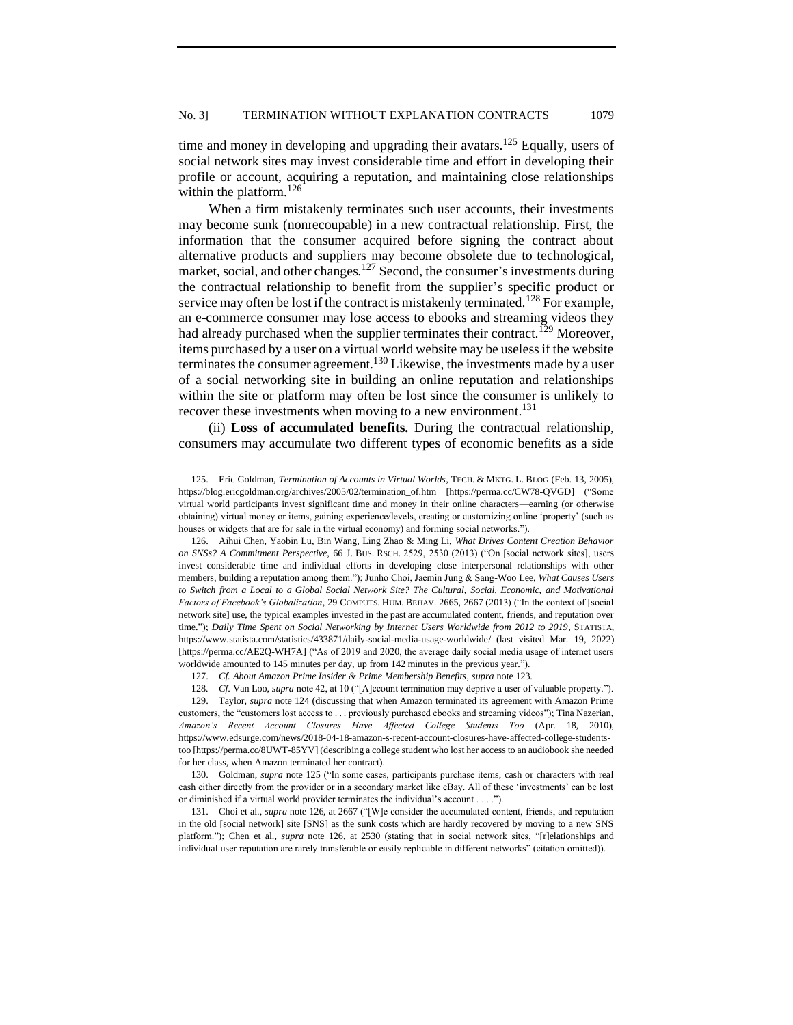time and money in developing and upgrading their avatars.<sup>125</sup> Equally, users of social network sites may invest considerable time and effort in developing their profile or account, acquiring a reputation, and maintaining close relationships within the platform.<sup>126</sup>

When a firm mistakenly terminates such user accounts, their investments may become sunk (nonrecoupable) in a new contractual relationship. First, the information that the consumer acquired before signing the contract about alternative products and suppliers may become obsolete due to technological, market, social, and other changes.<sup>127</sup> Second, the consumer's investments during the contractual relationship to benefit from the supplier's specific product or service may often be lost if the contract is mistakenly terminated.<sup>128</sup> For example, an e-commerce consumer may lose access to ebooks and streaming videos they had already purchased when the supplier terminates their contract.<sup>129</sup> Moreover, items purchased by a user on a virtual world website may be useless if the website terminates the consumer agreement.<sup>130</sup> Likewise, the investments made by a user of a social networking site in building an online reputation and relationships within the site or platform may often be lost since the consumer is unlikely to recover these investments when moving to a new environment.<sup>131</sup>

(ii) **Loss of accumulated benefits.** During the contractual relationship, consumers may accumulate two different types of economic benefits as a side

127. *Cf. About Amazon Prime Insider & Prime Membership Benefits*, *supra* note 123.

<sup>125.</sup> Eric Goldman, *Termination of Accounts in Virtual Worlds*, TECH. & MKTG. L. BLOG (Feb. 13, 2005), https://blog.ericgoldman.org/archives/2005/02/termination\_of.htm [https://perma.cc/CW78-QVGD] ("Some virtual world participants invest significant time and money in their online characters—earning (or otherwise obtaining) virtual money or items, gaining experience/levels, creating or customizing online 'property' (such as houses or widgets that are for sale in the virtual economy) and forming social networks.").

<sup>126.</sup> [Aihui Chen,](https://www.sciencedirect.com/science/article/pii/S0148296313002361?casa_token=Y_A1IwkKrSsAAAAA:sYLxugFyKmdjvLvPjrWB3E_WtEn2f8pyujzDupe4BpCCMdG71rs1d1Kw_giy3WtlQB0XlwGUmQ#!) Yaobin Lu, Bin Wang, Ling Zhao & Ming Li, *What Drives Content Creation Behavior on SNSs? A Commitment Perspective*, 66 J. BUS. RSCH. 2529, 2530 (2013) ("On [social network sites], users invest considerable time and individual efforts in developing close interpersonal relationships with other members, building a reputation among them."); Junho Choi, Jaemin Jung & Sang-Woo Lee, *What Causes Users to Switch from a Local to a Global Social Network Site? The Cultural, Social, Economic, and Motivational Factors of Facebook's Globalization*, 29 COMPUTS. HUM. BEHAV. 2665, 2667 (2013) ("In the context of [social network site] use, the typical examples invested in the past are accumulated content, friends, and reputation over time."); *Daily Time Spent on Social Networking by Internet Users Worldwide from 2012 to 2019*, STATISTA, <https://www.statista.com/statistics/433871/daily-social-media-usage-worldwide/> (last visited Mar. 19, 2022) [https://perma.cc/AE2Q-WH7A] ("As of 2019 and 2020, the average daily social media usage of internet users worldwide amounted to 145 minutes per day, up from 142 minutes in the previous year.").

<sup>128</sup>*. Cf*. Van Loo, *supra* note 42, at 10 ("[A]ccount termination may deprive a user of valuable property.").

<sup>129.</sup> [Taylor,](http://www.businessinsider.com/author/kate-taylor/?IR=T) *supra* note 124 (discussing that when Amazon terminated its agreement with Amazon Prime customers, the "customers lost access to . . . previously purchased ebooks and streaming videos")[; Tina Nazerian,](https://www.edsurge.com/writers/tina-nazerian) *Amazon's Recent Account Closures Have Affected College Students Too* (Apr. 18, 2010), https://www.edsurge.com/news/2018-04-18-amazon-s-recent-account-closures-have-affected-college-studentstoo [https://perma.cc/8UWT-85YV] (describing a college student who lost her access to an audiobook she needed for her class, when Amazon terminated her contract).

<sup>130.</sup> Goldman, *supra* note 125 ("In some cases, participants purchase items, cash or characters with real cash either directly from the provider or in a secondary market like eBay. All of these 'investments' can be lost or diminished if a virtual world provider terminates the individual's account . . . .").

<sup>131.</sup> Choi et al., *supra* note 126, at 2667 ("[W]e consider the accumulated content, friends, and reputation in the old [social network] site [SNS] as the sunk costs which are hardly recovered by moving to a new SNS platform."); [Chen](https://www.sciencedirect.com/science/article/pii/S0148296313002361?casa_token=Y_A1IwkKrSsAAAAA:sYLxugFyKmdjvLvPjrWB3E_WtEn2f8pyujzDupe4BpCCMdG71rs1d1Kw_giy3WtlQB0XlwGUmQ#!) et al., *supra* note 126, at 2530 (stating that in social network sites, "[r]elationships and individual user reputation are rarely transferable or easily replicable in different networks" (citation omitted)).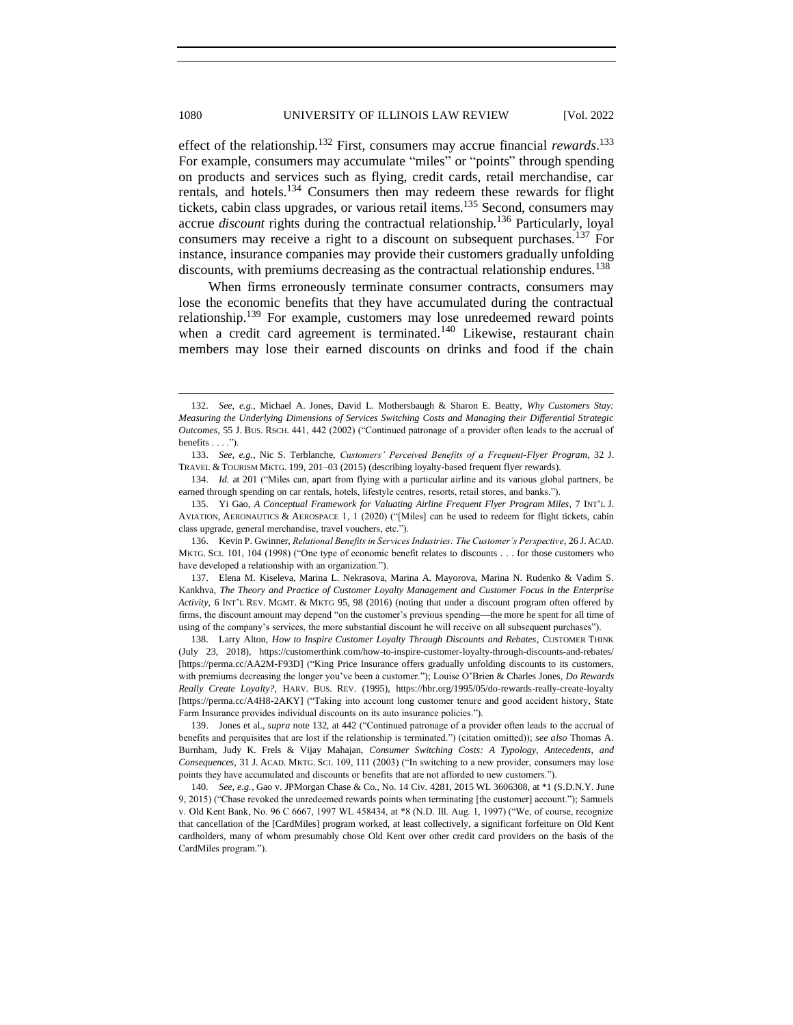effect of the relationship.<sup>132</sup> First, consumers may accrue financial *rewards*.<sup>133</sup> For example, consumers may accumulate "miles" or "points" through spending on products and services such as flying, credit cards, retail merchandise, car rentals, and hotels.<sup>134</sup> Consumers then may redeem these rewards for flight tickets, cabin class upgrades, or various retail items.<sup>135</sup> Second, consumers may accrue *discount* rights during the contractual relationship.<sup>136</sup> Particularly, loyal consumers may receive a right to a discount on subsequent purchases.<sup>137</sup> For instance, insurance companies may provide their customers gradually unfolding discounts, with premiums decreasing as the contractual relationship endures.<sup>138</sup>

When firms erroneously terminate consumer contracts, consumers may lose the economic benefits that they have accumulated during the contractual relationship.<sup>139</sup> For example, customers may lose unredeemed reward points when a credit card agreement is terminated.<sup>140</sup> Likewise, restaurant chain members may lose their earned discounts on drinks and food if the chain

138. [Larry Alton,](https://customerthink.com/author/larry-alton/) *How to Inspire Customer Loyalty Through Discounts and Rebates*, CUSTOMER THINK (July 23, 2018), https://customerthink.com/how-to-inspire-customer-loyalty-through-discounts-and-rebates/ [https://perma.cc/AA2M-F93D] (["King Price Insurance offers gradually unfolding discounts](https://www.kingprice.co.za/insurance-products/car-insurance/) to its customers, with premiums decreasing the longer you've been a customer.")[; Louise O'Brien](https://hbr.org/search?term=louise%20o%3Fbrien) [& Charles Jones,](https://hbr.org/search?term=charles%20jones) *Do Rewards Really Create Loyalty?*, HARV. BUS. REV. (1995), https://hbr.org/1995/05/do-rewards-really-create-loyalty [https://perma.cc/A4H8-2AKY] ("Taking into account long customer tenure and good accident history, State Farm Insurance provides individual discounts on its auto insurance policies.").

139. Jones et al., *supra* note 132, at 442 ("Continued patronage of a provider often leads to the accrual of benefits and perquisites that are lost if the relationship is terminated.") (citation omitted)); *see also* Thomas A. Burnham, Judy K. Frels & Vijay Mahajan, *Consumer Switching Costs: A Typology, Antecedents, and Consequences*, 31 J. ACAD. MKTG. SCI. 109, 111 (2003) ("In switching to a new provider, consumers may lose points they have accumulated and discounts or benefits that are not afforded to new customers.").

140*. See, e.g.*, Gao v. JPMorgan Chase & Co., No. 14 Civ. 4281, 2015 WL 3606308, at \*1 (S.D.N.Y. June 9, 2015) ("Chase revoked the unredeemed rewards points when terminating [the customer] account."); Samuels v. Old Kent Bank, No. 96 C 6667, 1997 WL 458434, at \*8 (N.D. Ill. Aug. 1, 1997) ("We, of course, recognize that cancellation of the [CardMiles] program worked, at least collectively, a significant forfeiture on Old Kent cardholders, many of whom presumably chose Old Kent over other credit card providers on the basis of the CardMiles program.").

<sup>132.</sup> *See, e.g.*, Michael A. Jones, David L. Mothersbaugh & Sharon E. Beatty, *Why Customers Stay: Measuring the Underlying Dimensions of Services Switching Costs and Managing their Differential Strategic Outcomes*, 55 J. BUS. RSCH. 441, 442 (2002) ("Continued patronage of a provider often leads to the accrual of benefits  $\dots$ .").

<sup>133.</sup> *See, e.g.*, Nic S. Terblanche, *Customers' Perceived Benefits of a Frequent-Flyer Program*, 32 J. TRAVEL & TOURISM MKTG. 199, 201–03 (2015) (describing loyalty-based frequent flyer rewards).

<sup>134.</sup> *Id.* at 201 ("Miles can, apart from flying with a particular airline and its various global partners, be earned through spending on car rentals, hotels, lifestyle centres, resorts, retail stores, and banks.").

<sup>135.</sup> Yi Gao, *A Conceptual Framework for Valuating Airline Frequent Flyer Program Miles*, 7 INT'L J. AVIATION, AERONAUTICS & AEROSPACE 1, 1 (2020) ("[Miles] can be used to redeem for flight tickets, cabin class upgrade, general merchandise, travel vouchers, etc.").

<sup>136.</sup> Kevin P. Gwinner, *Relational Benefits in Services Industries: The Customer's Perspective*, 26 J. ACAD. MKTG. SCI. 101, 104 (1998) ("One type of economic benefit relates to discounts . . . for those customers who have developed a relationship with an organization.").

<sup>137.</sup> Elena M. Kiseleva, Marina L. Nekrasova, Marina A. Mayorova, Marina N. Rudenko & Vadim S. Kankhva, *The Theory and Practice of Customer Loyalty Management and Customer Focus in the Enterprise Activity*, 6 INT'L REV. MGMT. & MKTG 95, 98 (2016) (noting that under a discount program often offered by firms, the discount amount may depend "on the customer's previous spending—the more he spent for all time of using of the company's services, the more substantial discount he will receive on all subsequent purchases").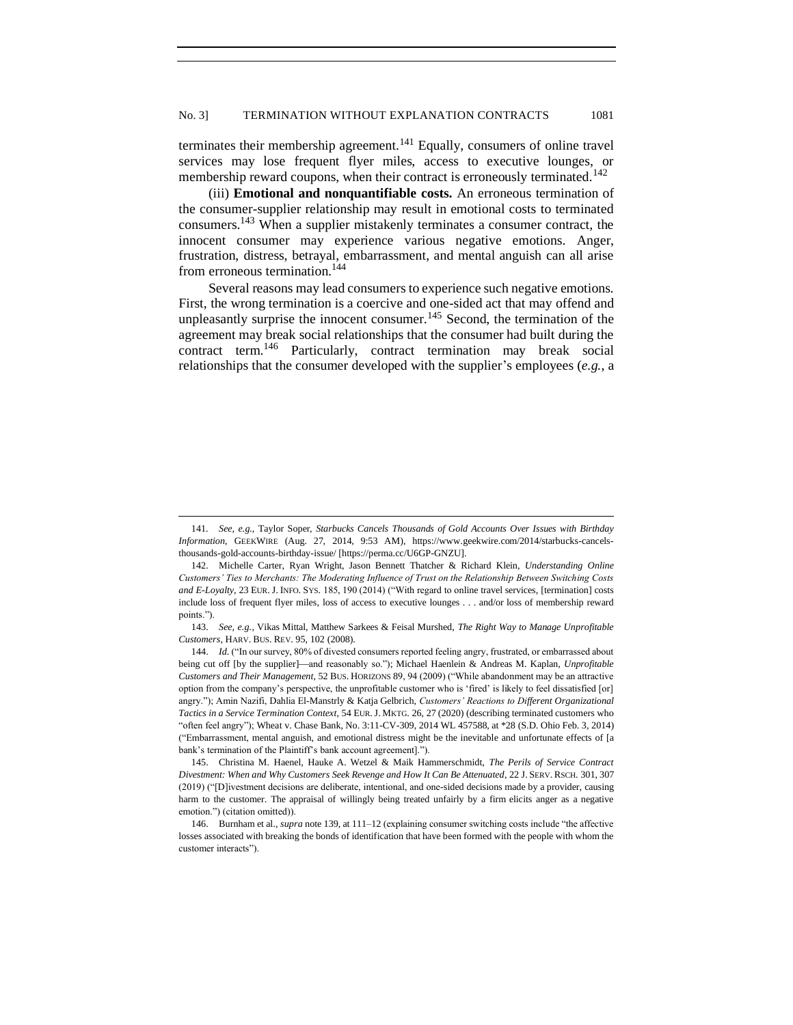terminates their membership agreement.<sup>141</sup> Equally, consumers of online travel services may lose frequent flyer miles, access to executive lounges, or membership reward coupons, when their contract is erroneously terminated.<sup>142</sup>

(iii) **Emotional and nonquantifiable costs.** An erroneous termination of the consumer-supplier relationship may result in emotional costs to terminated consumers.<sup>143</sup> When a supplier mistakenly terminates a consumer contract, the innocent consumer may experience various negative emotions. Anger, frustration, distress, betrayal, embarrassment, and mental anguish can all arise from erroneous termination.<sup>144</sup>

Several reasons may lead consumers to experience such negative emotions. First, the wrong termination is a coercive and one-sided act that may offend and unpleasantly surprise the innocent consumer.<sup>145</sup> Second, the termination of the agreement may break social relationships that the consumer had built during the contract term.<sup>146</sup> Particularly, contract termination may break social relationships that the consumer developed with the supplier's employees (*e.g.*, a

<sup>141</sup>*. See, e.g.*, Taylor Soper, *Starbucks Cancels Thousands of Gold Accounts Over Issues with Birthday Information*, GEEKWIRE (Aug. 27, 2014, 9:53 AM), https://www.geekwire.com/2014/starbucks-cancelsthousands-gold-accounts-birthday-issue/ [https://perma.cc/U6GP-GNZU].

<sup>142.</sup> Michelle Carter, Ryan Wright, Jason Bennett Thatcher & Richard Klein, *Understanding Online Customers' Ties to Merchants: The Moderating Influence of Trust on the Relationship Between Switching Costs and E-Loyalty*, 23 EUR. J. INFO. SYS. 185, 190 (2014) ("With regard to online travel services, [termination] costs include loss of frequent flyer miles, loss of access to executive lounges . . . and/or loss of membership reward points.").

<sup>143.</sup> *See, e.g.*, Vikas Mittal, Matthew Sarkees & Feisal Murshed, *The Right Way to Manage Unprofitable Customers*, HARV. BUS. REV. 95, 102 (2008).

<sup>144.</sup> *Id.* ("In our survey, 80% of divested consumers reported feeling angry, frustrated, or embarrassed about being cut off [by the supplier]—and reasonably so."); Michael Haenlein & Andreas M. Kaplan, *Unprofitable Customers and Their Management*, 52 BUS. HORIZONS 89, 94 (2009) ("While abandonment may be an attractive option from the company's perspective, the unprofitable customer who is 'fired' is likely to feel dissatisfied [or] angry."); Amin Nazifi, Dahlia El-Manstrly & Katja Gelbrich, *Customers' Reactions to Different Organizational Tactics in a Service Termination Context*, 54 EUR.J. MKTG. 26, 27 (2020) (describing terminated customers who "often feel angry"); Wheat v. Chase Bank, No. 3:11-CV-309, 2014 WL 457588, at \*28 (S.D. Ohio Feb. 3, 2014) ("Embarrassment, mental anguish, and emotional distress might be the inevitable and unfortunate effects of [a bank's termination of the Plaintiff's bank account agreement].").

<sup>145.</sup> Christina M. Haenel, Hauke A. Wetzel & Maik Hammerschmidt, *The Perils of Service Contract Divestment: When and Why Customers Seek Revenge and How It Can Be Attenuated*, 22 J. SERV. RSCH. 301, 307 (2019) ("[D]ivestment decisions are deliberate, intentional, and one-sided decisions made by a provider, causing harm to the customer. The appraisal of willingly being treated unfairly by a firm elicits anger as a negative emotion.") (citation omitted)).

<sup>146.</sup> Burnham et al., *supra* note 139, at 111–12 (explaining consumer switching costs include "the affective losses associated with breaking the bonds of identification that have been formed with the people with whom the customer interacts").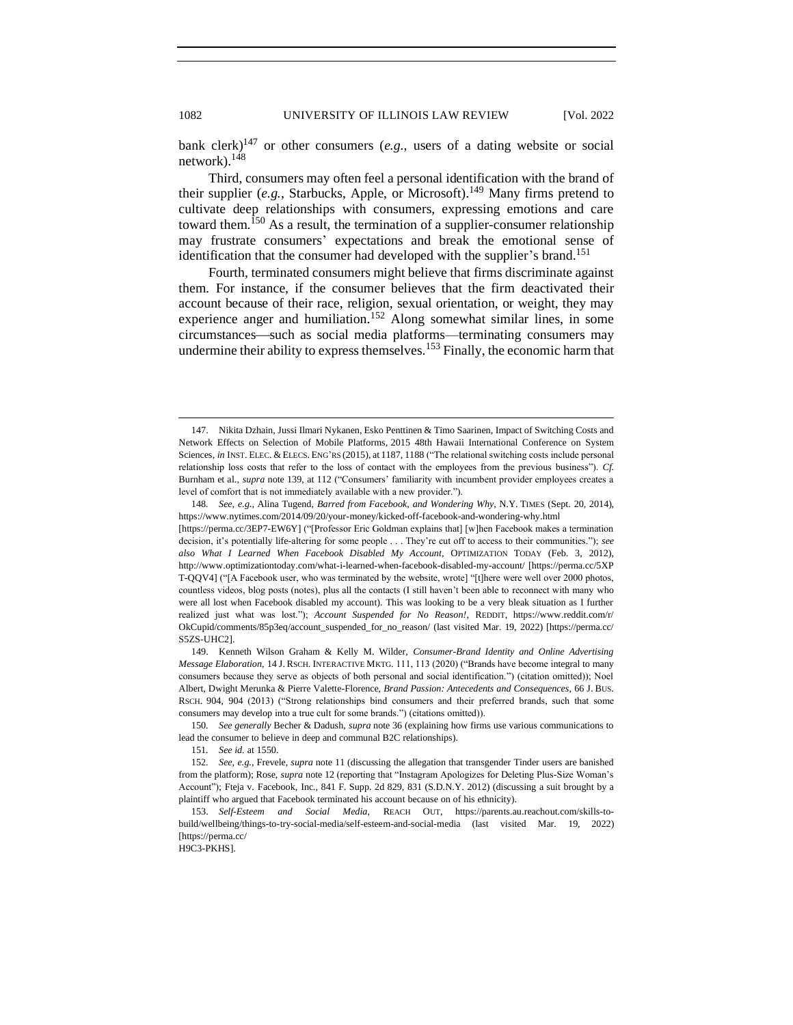bank clerk)<sup>147</sup> or other consumers (*e.g.*, users of a dating website or social network).<sup>148</sup>

Third, consumers may often feel a personal identification with the brand of their supplier (*e.g.*, Starbucks, Apple, or Microsoft).<sup>149</sup> Many firms pretend to cultivate deep relationships with consumers, expressing emotions and care toward them.<sup>150</sup> As a result, the termination of a supplier-consumer relationship may frustrate consumers' expectations and break the emotional sense of identification that the consumer had developed with the supplier's brand.<sup>151</sup>

Fourth, terminated consumers might believe that firms discriminate against them. For instance, if the consumer believes that the firm deactivated their account because of their race, religion, sexual orientation, or weight, they may experience anger and humiliation.<sup>152</sup> Along somewhat similar lines, in some circumstances—such as social media platforms—terminating consumers may undermine their ability to express themselves.<sup>153</sup> Finally, the economic harm that

H9C3-PKHS].

<sup>147.</sup> Nikita Dzhain, Jussi Ilmari Nykanen, Esko Penttinen & Timo Saarinen, Impact of Switching Costs and Network Effects on Selection of Mobile Platforms, 2015 48th Hawaii International Conference on System Sciences, *in* INST. ELEC. & ELECS. ENG'RS (2015), at 1187, 1188 ("The relational switching costs include personal relationship loss costs that refer to the loss of contact with the employees from the previous business"). *Cf.* Burnham et al., *supra* note 139, at 112 ("Consumers' familiarity with incumbent provider employees creates a level of comfort that is not immediately available with a new provider.").

<sup>148</sup>*. See, e.g.*, Alina Tugend, *Barred from Facebook, and Wondering Why*, N.Y. TIMES (Sept. 20, 2014), https://www.nytimes.com/2014/09/20/your-money/kicked-off-facebook-and-wondering-why.html

<sup>[</sup>https://perma.cc/3EP7-EW6Y] ("[Professor Eric Goldman explains that] [w]hen Facebook makes a termination decision, it's potentially life-altering for some people . . . They're cut off to access to their communities."); *see also What I Learned When Facebook Disabled My Account*, OPTIMIZATION TODAY (Feb. 3, 2012), http://www.optimizationtoday.com/what-i-learned-when-facebook-disabled-my-account/ [https://perma.cc/5XP T-QQV4] ("[A Facebook user, who was terminated by the website, wrote] "[t]here were well over 2000 photos, countless videos, blog posts (notes), plus all the contacts (I still haven't been able to reconnect with many who were all lost when Facebook disabled my account). This was looking to be a very bleak situation as I further realized just what was lost."); *Account Suspended for No Reason!*, REDDIT, https://www.reddit.com/r/ OkCupid/comments/85p3eq/account\_suspended\_for\_no\_reason/ (last visited Mar. 19, 2022) [https://perma.cc/ S5ZS-UHC2].

<sup>149.</sup> Kenneth Wilson Graham & Kelly M. Wilder, *Consumer-Brand Identity and Online Advertising Message Elaboration*, 14 J. RSCH. INTERACTIVE MKTG. 111, 113 (2020) ("Brands have become integral to many consumers because they serve as objects of both personal and social identification.") (citation omitted)); Noel Albert, Dwight Merunka & Pierre Valette-Florence, *Brand Passion: Antecedents and Consequences*, 66 J. BUS. RSCH. 904, 904 (2013) ("Strong relationships bind consumers and their preferred brands, such that some consumers may develop into a true cult for some brands.") (citations omitted)).

<sup>150</sup>*. See generally* Becher & Dadush, *supra* note 36 (explaining how firms use various communications to lead the consumer to believe in deep and communal B2C relationships).

<sup>151</sup>*. See id.* at 1550.

<sup>152</sup>*. See, e.g.*, Frevele, *supra* not[e 11](#page-3-1) (discussing the allegation that transgender Tinder users are banished from the platform); Rose, *supra* not[e 12](#page-3-2) (reporting that "Instagram Apologizes for Deleting Plus-Size Woman's Account"); Fteja v. Facebook, Inc., 841 F. Supp. 2d 829, 831 (S.D.N.Y. 2012) (discussing a suit brought by a plaintiff who argued that Facebook terminated his account because on of his ethnicity).

<sup>153.</sup> *Self-Esteem and Social Media*, REACH OUT, https://parents.au.reachout.com/skills-tobuild/wellbeing/things-to-try-social-media/self-esteem-and-social-media (last visited Mar. 19, 2022) [https://perma.cc/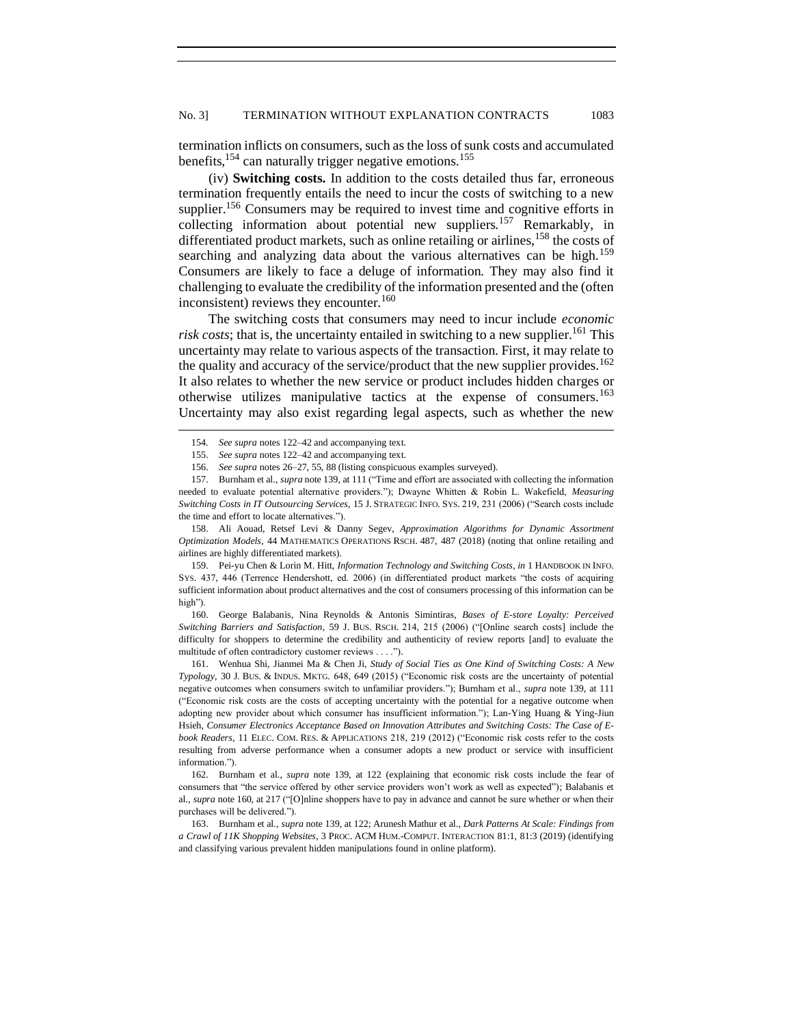termination inflicts on consumers, such as the loss of sunk costs and accumulated benefits,<sup>154</sup> can naturally trigger negative emotions.<sup>155</sup>

(iv) **Switching costs.** In addition to the costs detailed thus far, erroneous termination frequently entails the need to incur the costs of switching to a new supplier.<sup>156</sup> Consumers may be required to invest time and cognitive efforts in collecting information about potential new suppliers.<sup>157</sup> Remarkably, in differentiated product markets, such as online retailing or airlines,  $158$  the costs of searching and analyzing data about the various alternatives can be high.<sup>159</sup> Consumers are likely to face a deluge of information. They may also find it challenging to evaluate the credibility of the information presented and the (often inconsistent) reviews they encounter.<sup>160</sup>

The switching costs that consumers may need to incur include *economic risk costs*; that is, the uncertainty entailed in switching to a new supplier.<sup>161</sup> This uncertainty may relate to various aspects of the transaction. First, it may relate to the quality and accuracy of the service/product that the new supplier provides.<sup>162</sup> It also relates to whether the new service or product includes hidden charges or otherwise utilizes manipulative tactics at the expense of consumers.<sup>163</sup> Uncertainty may also exist regarding legal aspects, such as whether the new

158. Ali Aouad, Retsef Levi & Danny Segev, *Approximation Algorithms for Dynamic Assortment Optimization Models*, 44 MATHEMATICS OPERATIONS RSCH. 487, 487 (2018) (noting that online retailing and airlines are highly differentiated markets).

159. Pei-yu Chen & Lorin M. Hitt, *Information Technology and Switching Costs*, *in* 1 HANDBOOK IN INFO. SYS. 437, 446 (Terrence Hendershott, ed. 2006) (in differentiated product markets "the costs of acquiring sufficient information about product alternatives and the cost of consumers processing of this information can be high").

160. George Balabanis, Nina Reynolds & Antonis Simintiras, *Bases of E-store Loyalty: Perceived Switching Barriers and Satisfaction*, 59 J. BUS. RSCH. 214, 215 (2006) ("[Online search costs] include the difficulty for shoppers to determine the credibility and authenticity of review reports [and] to evaluate the multitude of often contradictory customer reviews . . . .").

161. Wenhua Shi, Jianmei Ma & Chen Ji, *Study of Social Ties as One Kind of Switching Costs: A New Typology*, 30 J. BUS. & INDUS. MKTG. 648, 649 (2015) ("Economic risk costs are the uncertainty of potential negative outcomes when consumers switch to unfamiliar providers."); Burnham et al., *supra* note 139, at 111 ("Economic risk costs are the costs of accepting uncertainty with the potential for a negative outcome when adopting new provider about which consumer has insufficient information."); Lan-Ying Huang & Ying-Jiun Hsieh, *Consumer Electronics Acceptance Based on Innovation Attributes and Switching Costs: The Case of Ebook Readers*, 11 ELEC. COM. RES. & APPLICATIONS 218, 219 (2012) ("Economic risk costs refer to the costs resulting from adverse performance when a consumer adopts a new product or service with insufficient information.").

162. Burnham et al., *supra* note 139, at 122 (explaining that economic risk costs include the fear of consumers that "the service offered by other service providers won't work as well as expected"); Balabanis et al., *supra* note 160, at 217 ("[O]nline shoppers have to pay in advance and cannot be sure whether or when their purchases will be delivered.").

163. Burnham et al., *supra* note 139, at 122; Arunesh Mathur et al., *Dark Patterns At Scale: Findings from a Crawl of 11K Shopping Websites*, 3 PROC. ACM HUM.-COMPUT. INTERACTION 81:1, 81:3 (2019) (identifying and classifying various prevalent hidden manipulations found in online platform).

<sup>154</sup>*. See supra* notes 122–42 and accompanying text.

<sup>155.</sup> *See supra* notes 122–42 and accompanying text.

<sup>156.</sup> *See supra* note[s 26](#page-5-0)[–27,](#page-5-1) 55, [88](#page-14-0) (listing conspicuous examples surveyed).

<sup>157.</sup> Burnham et al., *supra* note 139, at 111 ("Time and effort are associated with collecting the information needed to evaluate potential alternative providers."); Dwayne Whitten & Robin L. Wakefield, *Measuring Switching Costs in IT Outsourcing Services*, 15 J. STRATEGIC INFO. SYS. 219, 231 (2006) ("Search costs include the time and effort to locate alternatives.").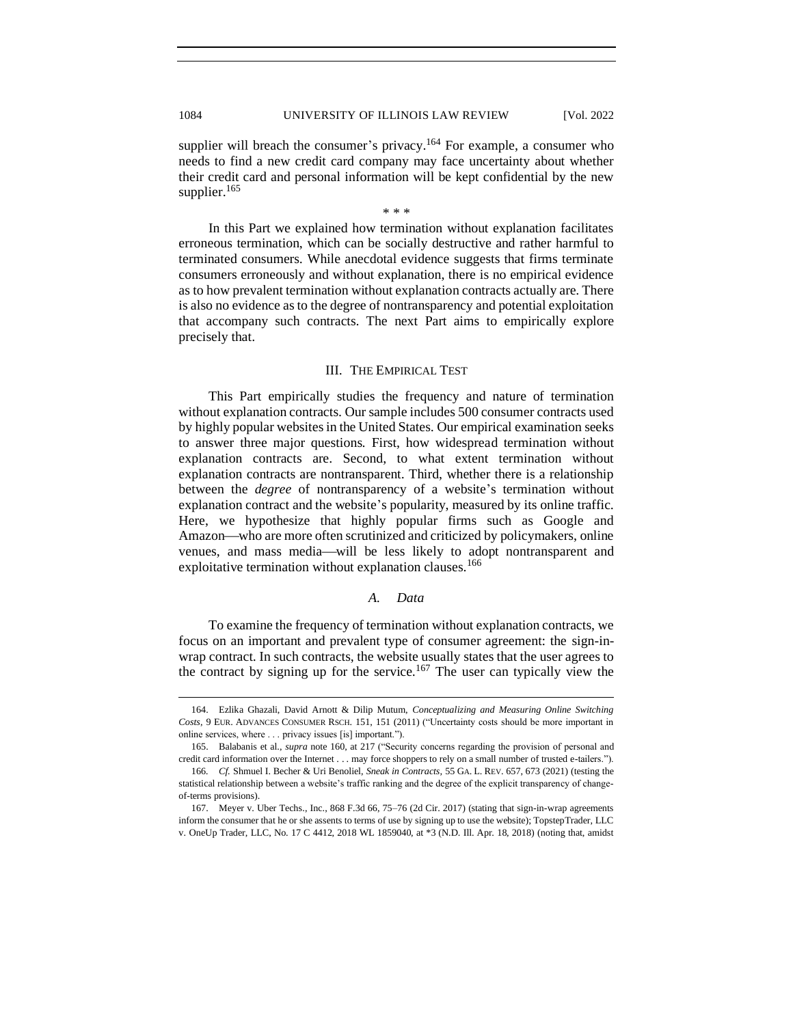supplier will breach the consumer's privacy.<sup>164</sup> For example, a consumer who needs to find a new credit card company may face uncertainty about whether their credit card and personal information will be kept confidential by the new supplier.<sup>165</sup>

\* \* \*

In this Part we explained how termination without explanation facilitates erroneous termination, which can be socially destructive and rather harmful to terminated consumers. While anecdotal evidence suggests that firms terminate consumers erroneously and without explanation, there is no empirical evidence as to how prevalent termination without explanation contracts actually are. There is also no evidence as to the degree of nontransparency and potential exploitation that accompany such contracts. The next Part aims to empirically explore precisely that.

## III. THE EMPIRICAL TEST

<span id="page-25-0"></span>This Part empirically studies the frequency and nature of termination without explanation contracts. Our sample includes 500 consumer contracts used by highly popular websites in the United States. Our empirical examination seeks to answer three major questions. First, how widespread termination without explanation contracts are. Second, to what extent termination without explanation contracts are nontransparent. Third, whether there is a relationship between the *degree* of nontransparency of a website's termination without explanation contract and the website's popularity, measured by its online traffic. Here, we hypothesize that highly popular firms such as Google and Amazon—who are more often scrutinized and criticized by policymakers, online venues, and mass media—will be less likely to adopt nontransparent and exploitative termination without explanation clauses.<sup>166</sup>

#### *A. Data*

<span id="page-25-1"></span>To examine the frequency of termination without explanation contracts, we focus on an important and prevalent type of consumer agreement: the sign-inwrap contract. In such contracts, the website usually states that the user agrees to the contract by signing up for the service.<sup>167</sup> The user can typically view the

<sup>164.</sup> Ezlika Ghazali, David Arnott & Dilip Mutum, *Conceptualizing and Measuring Online Switching Costs*, 9 EUR. ADVANCES CONSUMER RSCH. 151, 151 (2011) ("Uncertainty costs should be more important in online services, where . . . privacy issues [is] important.").

<sup>165.</sup> Balabanis et al., *supra* note 160, at 217 ("Security concerns regarding the provision of personal and credit card information over the Internet . . . may force shoppers to rely on a small number of trusted e-tailers.").

<sup>166</sup>*. Cf.* Shmuel I. Becher & Uri Benoliel, *Sneak in Contracts,* 55 GA. L. REV. 657, 673 (2021) (testing the statistical relationship between a website's traffic ranking and the degree of the explicit transparency of changeof-terms provisions).

<sup>167.</sup> Meyer v. Uber Techs., Inc., 868 F.3d 66, 75–76 (2d Cir. 2017) (stating that sign-in-wrap agreements inform the consumer that he or she assents to terms of use by signing up to use the website); TopstepTrader, LLC v. OneUp Trader, LLC, No. 17 C 4412, 2018 WL 1859040, at \*3 (N.D. Ill. Apr. 18, 2018) (noting that, amidst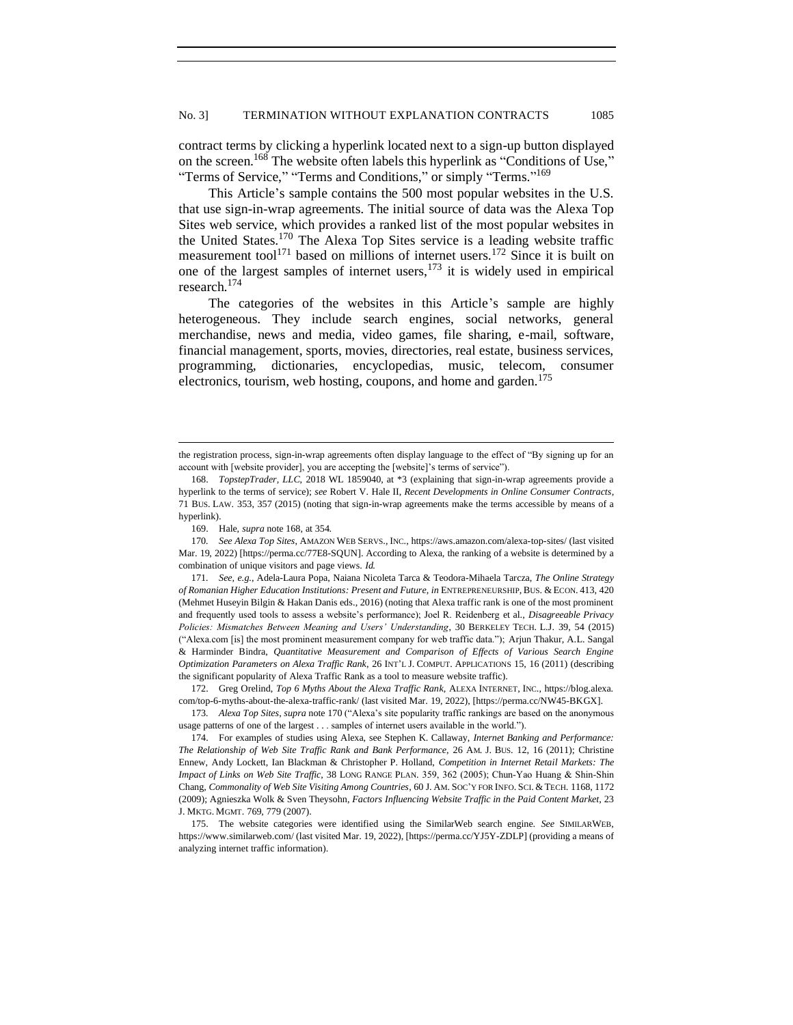contract terms by clicking a hyperlink located next to a sign-up button displayed on the screen.<sup>168</sup> The website often labels this hyperlink as "Conditions of Use," "Terms of Service," "Terms and Conditions," or simply "Terms."<sup>169</sup>

This Article's sample contains the 500 most popular websites in the U.S. that use sign-in-wrap agreements. The initial source of data was the Alexa Top Sites web service, which provides a ranked list of the most popular websites in the United States.<sup>170</sup> The Alexa Top Sites service is a leading website traffic measurement tool<sup>171</sup> based on millions of internet users.<sup>172</sup> Since it is built on one of the largest samples of internet users,  $173$  it is widely used in empirical research.<sup>174</sup>

The categories of the websites in this Article's sample are highly heterogeneous. They include search engines, social networks, general merchandise, news and media, video games, file sharing, e-mail, software, financial management, sports, movies, directories, real estate, business services, programming, dictionaries, encyclopedias, music, telecom, consumer electronics, tourism, web hosting, coupons, and home and garden. $175$ 

170*. See Alexa Top Sites*, AMAZON WEB SERVS., INC., https://aws.amazon.com/alexa-top-sites/ (last visited Mar. 19, 2022) [https://perma.cc/77E8-SQUN]. According to Alexa, the ranking of a website is determined by a combination of unique visitors and page views. *Id.*

172. Greg Orelind, *Top 6 Myths About the Alexa Traffic Rank*, ALEXA INTERNET, INC., https://blog.alexa. com/top-6-myths-about-the-alexa-traffic-rank/ (last visited Mar. 19, 2022), [https://perma.cc/NW45-BKGX].

173*. Alexa Top Sites*, *supra* note 170 ("Alexa's site popularity traffic rankings are based on the anonymous usage patterns of one of the largest . . . samples of internet users available in the world.").

174. For examples of studies using Alexa, see Stephen K. Callaway, *Internet Banking and Performance: The Relationship of Web Site Traffic Rank and Bank Performance*, 26 AM. J. BUS. 12, 16 (2011); Christine Ennew, Andy Lockett, Ian Blackman & Christopher P. Holland, *Competition in Internet Retail Markets: The Impact of Links on Web Site Traffic*, 38 LONG RANGE PLAN. 359, 362 (2005); Chun‐Yao Huang & Shin‐Shin Chang, *Commonality of Web Site Visiting Among Countries*, 60 J. AM. SOC'Y FOR INFO. SCI. &TECH. 1168, 1172 (2009); Agnieszka Wolk & Sven Theysohn, *Factors Influencing Website Traffic in the Paid Content Market*, 23 J. MKTG. MGMT. 769, 779 (2007).

175. The website categories were identified using the SimilarWeb search engine. *See* SIMILARWEB, https://www.similarweb.com/ (last visited Mar. 19, 2022), [https://perma.cc/YJ5Y-ZDLP] (providing a means of analyzing internet traffic information).

the registration process, sign-in-wrap agreements often display language to the effect of "By signing up for an account with [website provider], you are accepting the [website]'s terms of service").

<sup>168.</sup> *TopstepTrader, LLC*, 2018 WL 1859040, at \*3 (explaining that sign-in-wrap agreements provide a hyperlink to the terms of service); *see* Robert V. Hale II, *Recent Developments in Online Consumer Contracts*, 71 BUS. LAW. 353, 357 (2015) (noting that sign-in-wrap agreements make the terms accessible by means of a hyperlink).

<sup>169.</sup> Hale, *supra* note 168, at 354.

<sup>171</sup>*. See, e.g.*, Adela-Laura Popa, Naiana Nicoleta Tarca & Teodora-Mihaela Tarcza, *The Online Strategy of Romanian Higher Education Institutions: Present and Future*, *in* ENTREPRENEURSHIP, BUS. &ECON. 413, 420 (Mehmet Huseyin Bilgin & Hakan Danis eds., 2016) (noting that Alexa traffic rank is one of the most prominent and frequently used tools to assess a website's performance); Joel R. Reidenberg et al., *Disagreeable Privacy Policies: Mismatches Between Meaning and Users' Understanding*, 30 BERKELEY TECH. L.J. 39, 54 (2015) ("Alexa.com [is] the most prominent measurement company for web traffic data."); Arjun Thakur, A.L. Sangal & Harminder Bindra, *Quantitative Measurement and Comparison of Effects of Various Search Engine Optimization Parameters on Alexa Traffic Rank*, 26 INT'L J. COMPUT. APPLICATIONS 15, 16 (2011) (describing the significant popularity of Alexa Traffic Rank as a tool to measure website traffic).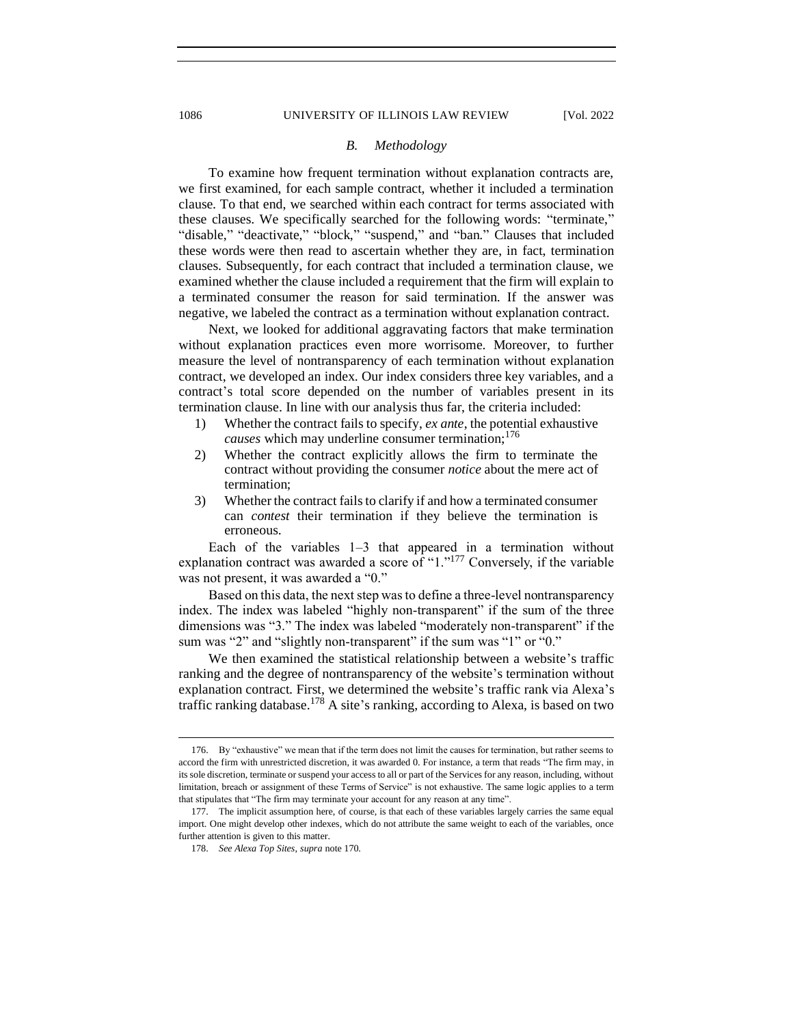#### *B. Methodology*

To examine how frequent termination without explanation contracts are, we first examined, for each sample contract, whether it included a termination clause. To that end, we searched within each contract for terms associated with these clauses. We specifically searched for the following words: "terminate," "disable," "deactivate," "block," "suspend," and "ban." Clauses that included these words were then read to ascertain whether they are, in fact, termination clauses. Subsequently, for each contract that included a termination clause, we examined whether the clause included a requirement that the firm will explain to a terminated consumer the reason for said termination. If the answer was negative, we labeled the contract as a termination without explanation contract.

Next, we looked for additional aggravating factors that make termination without explanation practices even more worrisome. Moreover, to further measure the level of nontransparency of each termination without explanation contract, we developed an index. Our index considers three key variables, and a contract's total score depended on the number of variables present in its termination clause. In line with our analysis thus far, the criteria included:

- 1) Whether the contract fails to specify, *ex ante*, the potential exhaustive *causes* which may underline consumer termination;<sup>176</sup>
- 2) Whether the contract explicitly allows the firm to terminate the contract without providing the consumer *notice* about the mere act of termination;
- 3) Whether the contract fails to clarify if and how a terminated consumer can *contest* their termination if they believe the termination is erroneous.

Each of the variables 1–3 that appeared in a termination without explanation contract was awarded a score of "1."<sup>177</sup> Conversely, if the variable was not present, it was awarded a "0."

Based on this data, the next step was to define a three-level nontransparency index. The index was labeled "highly non-transparent" if the sum of the three dimensions was "3." The index was labeled "moderately non-transparent" if the sum was "2" and "slightly non-transparent" if the sum was "1" or "0."

We then examined the statistical relationship between a website's traffic ranking and the degree of nontransparency of the website's termination without explanation contract. First, we determined the website's traffic rank via Alexa's traffic ranking database.<sup>178</sup> A site's ranking, according to Alexa, is based on two

<span id="page-27-0"></span>

<sup>176.</sup> By "exhaustive" we mean that if the term does not limit the causes for termination, but rather seems to accord the firm with unrestricted discretion, it was awarded 0. For instance, a term that reads "The firm may, in its sole discretion, terminate or suspend your access to all or part of the Services for any reason, including, without limitation, breach or assignment of these Terms of Service" is not exhaustive. The same logic applies to a term that stipulates that "The firm may terminate your account for any reason at any time".

<sup>177.</sup> The implicit assumption here, of course, is that each of these variables largely carries the same equal import. One might develop other indexes, which do not attribute the same weight to each of the variables, once further attention is given to this matter.

<sup>178.</sup> *See Alexa Top Sites*, *supra* note 170.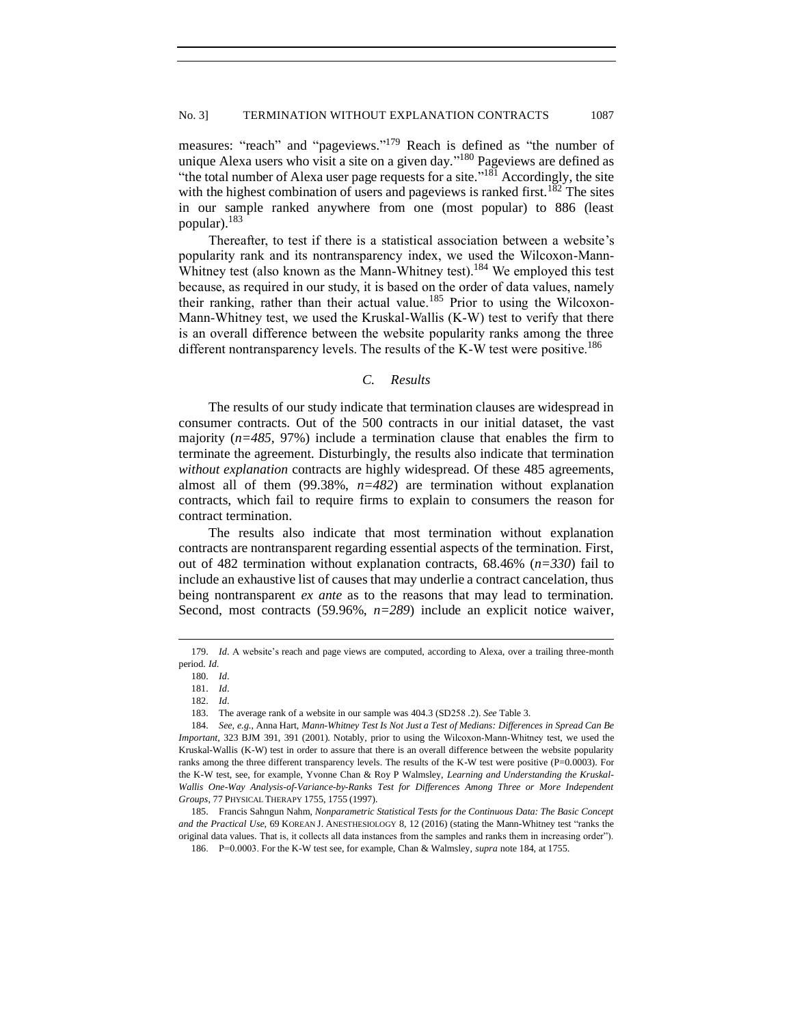measures: "reach" and "pageviews."<sup>179</sup> Reach is defined as "the number of unique Alexa users who visit a site on a given day."<sup>180</sup> Pageviews are defined as "the total number of Alexa user page requests for a site."<sup>181</sup> Accordingly, the site with the highest combination of users and pageviews is ranked first.<sup>182</sup> The sites in our sample ranked anywhere from one (most popular) to 886 (least popular).<sup>183</sup>

Thereafter, to test if there is a statistical association between a website's popularity rank and its nontransparency index, we used the Wilcoxon-Mann-Whitney test (also known as the Mann-Whitney test).<sup>184</sup> We employed this test because, as required in our study, it is based on the order of data values, namely their ranking, rather than their actual value.<sup>185</sup> Prior to using the Wilcoxon-Mann-Whitney test, we used the Kruskal-Wallis (K-W) test to verify that there is an overall difference between the website popularity ranks among the three different nontransparency levels. The results of the K-W test were positive.<sup>186</sup>

#### *C. Results*

<span id="page-28-0"></span>The results of our study indicate that termination clauses are widespread in consumer contracts. Out of the 500 contracts in our initial dataset, the vast majority (*n=485*, 97%) include a termination clause that enables the firm to terminate the agreement. Disturbingly, the results also indicate that termination *without explanation* contracts are highly widespread. Of these 485 agreements, almost all of them (99.38%, *n=482*) are termination without explanation contracts, which fail to require firms to explain to consumers the reason for contract termination.

The results also indicate that most termination without explanation contracts are nontransparent regarding essential aspects of the termination. First, out of 482 termination without explanation contracts, 68.46% (*n=330*) fail to include an exhaustive list of causes that may underlie a contract cancelation, thus being nontransparent *ex ante* as to the reasons that may lead to termination. Second, most contracts (59.96%, *n=289*) include an explicit notice waiver,

<sup>179.</sup> *[Id](https://aws.amazon.com/alexa-top-sites/)*. A website's reach and page views are computed, according to Alexa, over a trailing three-month period. *Id*.

<sup>180.</sup> *[Id](https://aws.amazon.com/alexa-top-sites/)*.

<sup>181.</sup> *[Id](https://aws.amazon.com/alexa-top-sites/)*.

<sup>182.</sup> *[Id](https://aws.amazon.com/alexa-top-sites/)*.

<sup>183.</sup> The average rank of a website in our sample was 404.3 (SD258 .2). *See* Table 3.

<sup>184.</sup> *[See,](https://aws.amazon.com/alexa-top-sites/) e.g.*, Anna Hart, *Mann-Whitney Test Is Not Just a Test of Medians: Differences in Spread Can Be Important*, 323 BJM 391, 391 (2001). Notably, prior to using the Wilcoxon-Mann-Whitney test, we used the Kruskal-Wallis (K-W) test in order to assure that there is an overall difference between the website popularity ranks among the three different transparency levels. The results of the K-W test were positive  $(P=0.0003)$ . For the K-W test, see, for example, Yvonne Chan & Roy P Walmsley, *Learning and Understanding the Kruskal-Wallis One-Way Analysis-of-Variance-by-Ranks Test for Differences Among Three or More Independent Groups*, 77 PHYSICAL THERAPY 1755, 1755 (1997).

<sup>185.</sup> Francis Sahngun Nahm, *Nonparametric Statistical Tests for the Continuous Data: The Basic Concept and the Practical Use*, 69 KOREAN J. ANESTHESIOLOGY 8, 12 (2016) (stating the Mann-Whitney test "ranks the original data values. That is, it collects all data instances from the samples and ranks them in increasing order").

<sup>186.</sup> P=0.0003. For the K-W test see, for example, Chan & Walmsley, *supra* note 184, at 1755.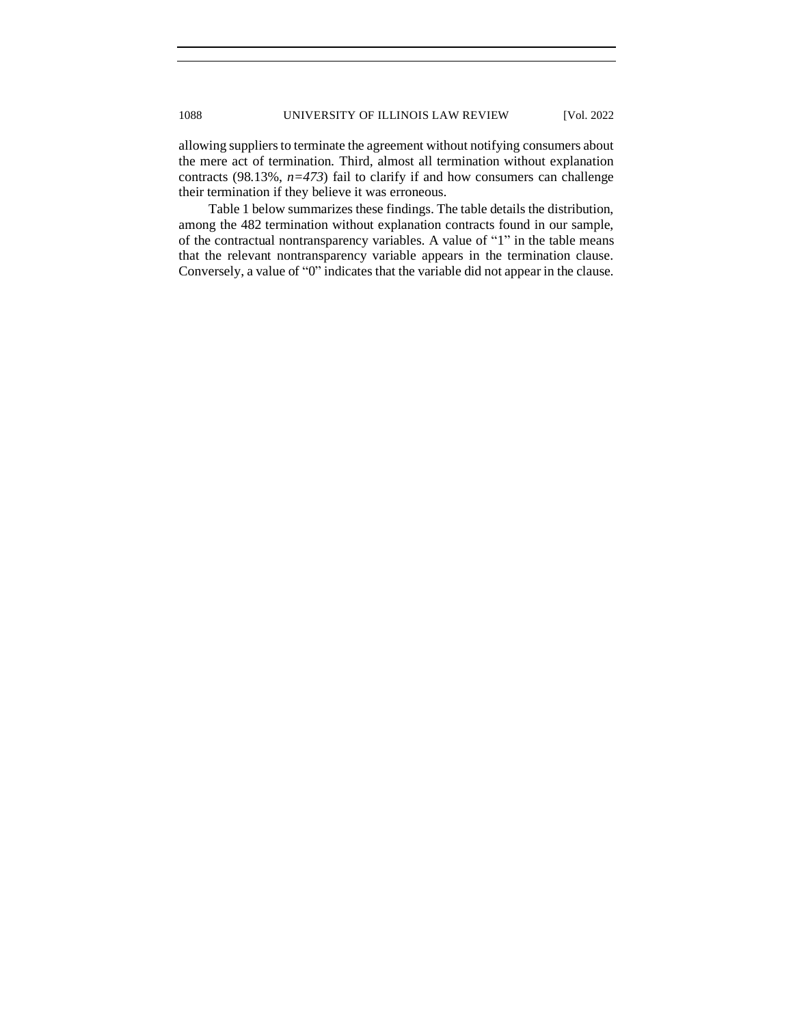allowing suppliers to terminate the agreement without notifying consumers about the mere act of termination. Third, almost all termination without explanation contracts (98.13%, *n=473*) fail to clarify if and how consumers can challenge their termination if they believe it was erroneous.

Table 1 below summarizes these findings. The table details the distribution, among the 482 termination without explanation contracts found in our sample, of the contractual nontransparency variables. A value of "1" in the table means that the relevant nontransparency variable appears in the termination clause. Conversely, a value of "0" indicates that the variable did not appear in the clause.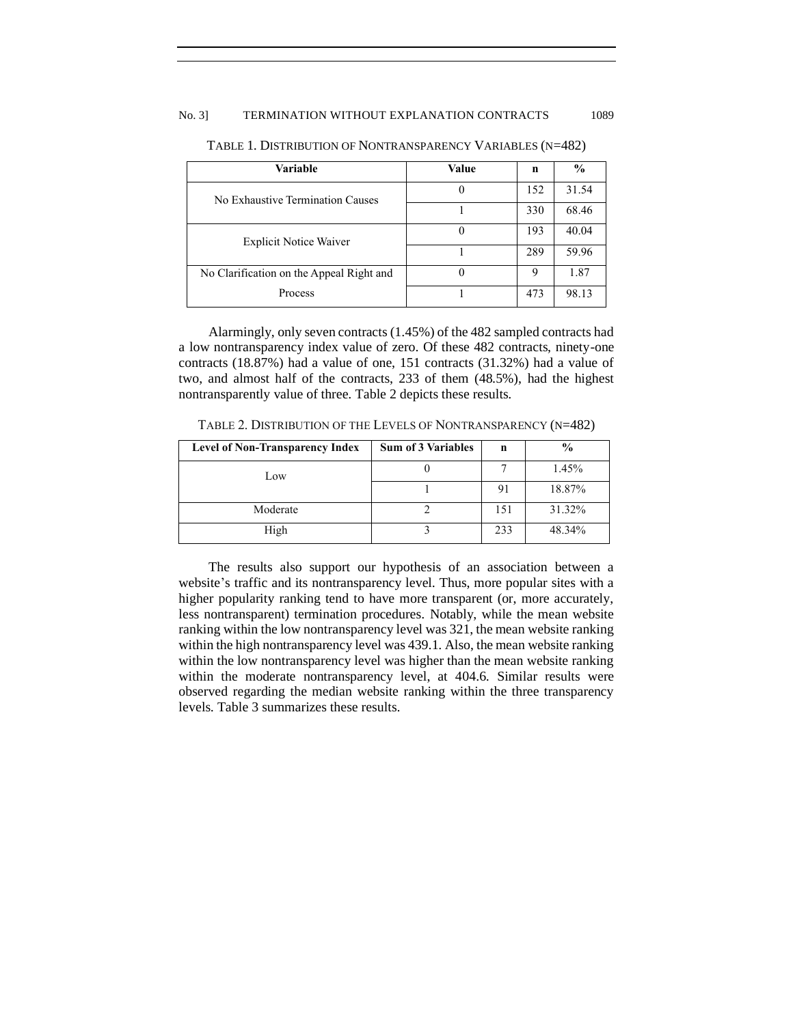## No. 3] TERMINATION WITHOUT EXPLANATION CONTRACTS 1089

| Variable                                 | Value | n   | $\frac{6}{9}$ |
|------------------------------------------|-------|-----|---------------|
| No Exhaustive Termination Causes         |       | 152 | 31.54         |
|                                          |       | 330 | 68.46         |
| <b>Explicit Notice Waiver</b>            |       | 193 | 40.04         |
|                                          |       | 289 | 59.96         |
| No Clarification on the Appeal Right and |       | 9   | 1.87          |
| Process                                  |       | 473 | 98.13         |

TABLE 1. DISTRIBUTION OF NONTRANSPARENCY VARIABLES (N=482)

Alarmingly, only seven contracts (1.45%) of the 482 sampled contracts had a low nontransparency index value of zero. Of these 482 contracts, ninety-one contracts (18.87%) had a value of one, 151 contracts (31.32%) had a value of two, and almost half of the contracts, 233 of them (48.5%), had the highest nontransparently value of three. Table 2 depicts these results.

TABLE 2. DISTRIBUTION OF THE LEVELS OF NONTRANSPARENCY (N=482)

| <b>Level of Non-Transparency Index</b> | <b>Sum of 3 Variables</b> | n   | $\frac{0}{0}$ |
|----------------------------------------|---------------------------|-----|---------------|
| Low                                    |                           |     | 1.45%         |
|                                        |                           | 91  | 18.87%        |
| Moderate                               |                           | 151 | 31.32%        |
| High                                   |                           | 233 | 48.34%        |

The results also support our hypothesis of an association between a website's traffic and its nontransparency level. Thus, more popular sites with a higher popularity ranking tend to have more transparent (or, more accurately, less nontransparent) termination procedures. Notably, while the mean website ranking within the low nontransparency level was 321, the mean website ranking within the high nontransparency level was 439.1. Also, the mean website ranking within the low nontransparency level was higher than the mean website ranking within the moderate nontransparency level, at 404.6. Similar results were observed regarding the median website ranking within the three transparency levels. Table 3 summarizes these results.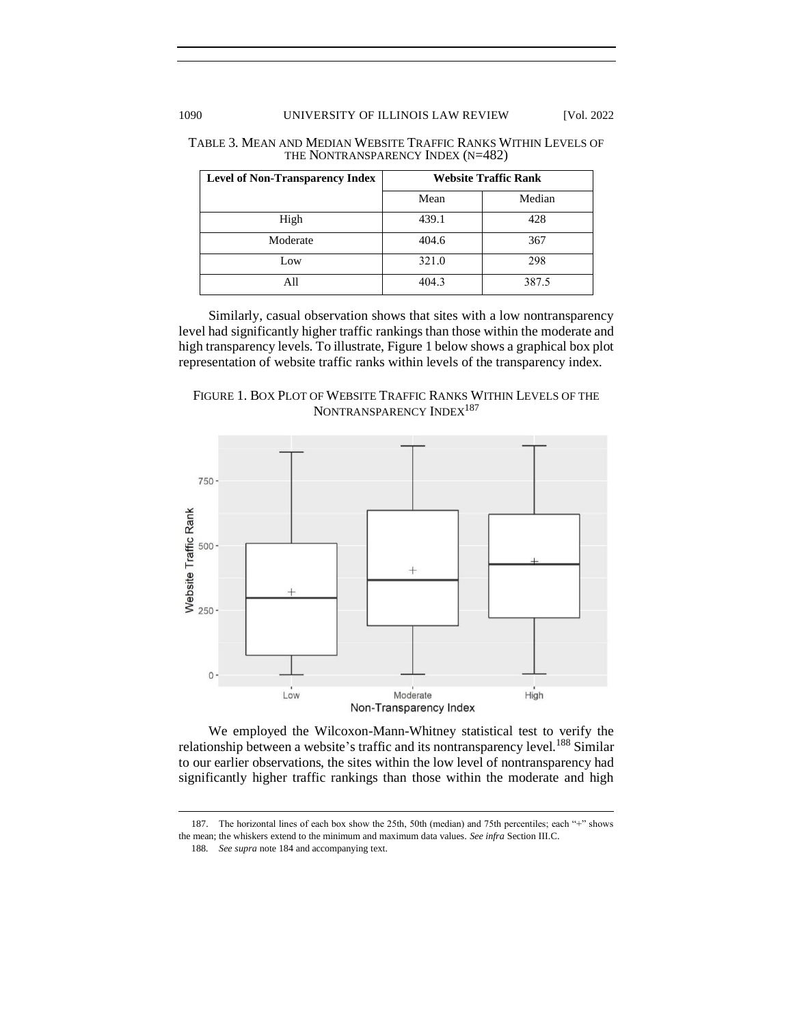## 1090 UNIVERSITY OF ILLINOIS LAW REVIEW [Vol. 2022

| <b>Level of Non-Transparency Index</b> | <b>Website Traffic Rank</b> |        |  |
|----------------------------------------|-----------------------------|--------|--|
|                                        | Mean                        | Median |  |
| High                                   | 439.1                       | 428    |  |
| Moderate                               | 404.6                       | 367    |  |
| Low                                    | 321.0                       | 298    |  |
| All                                    | 404.3                       | 387.5  |  |

#### TABLE 3. MEAN AND MEDIAN WEBSITE TRAFFIC RANKS WITHIN LEVELS OF THE NONTRANSPARENCY INDEX (N=482)

Similarly, casual observation shows that sites with a low nontransparency level had significantly higher traffic rankings than those within the moderate and high transparency levels. To illustrate, Figure 1 below shows a graphical box plot representation of website traffic ranks within levels of the transparency index.





We employed the Wilcoxon-Mann-Whitney statistical test to verify the relationship between a website's traffic and its nontransparency level.<sup>188</sup> Similar to our earlier observations, the sites within the low level of nontransparency had significantly higher traffic rankings than those within the moderate and high

<sup>187.</sup> The horizontal lines of each box show the 25th, 50th (median) and 75th percentiles; each "+" shows the mean; the whiskers extend to the minimum and maximum data values. *See infra* Section III.C.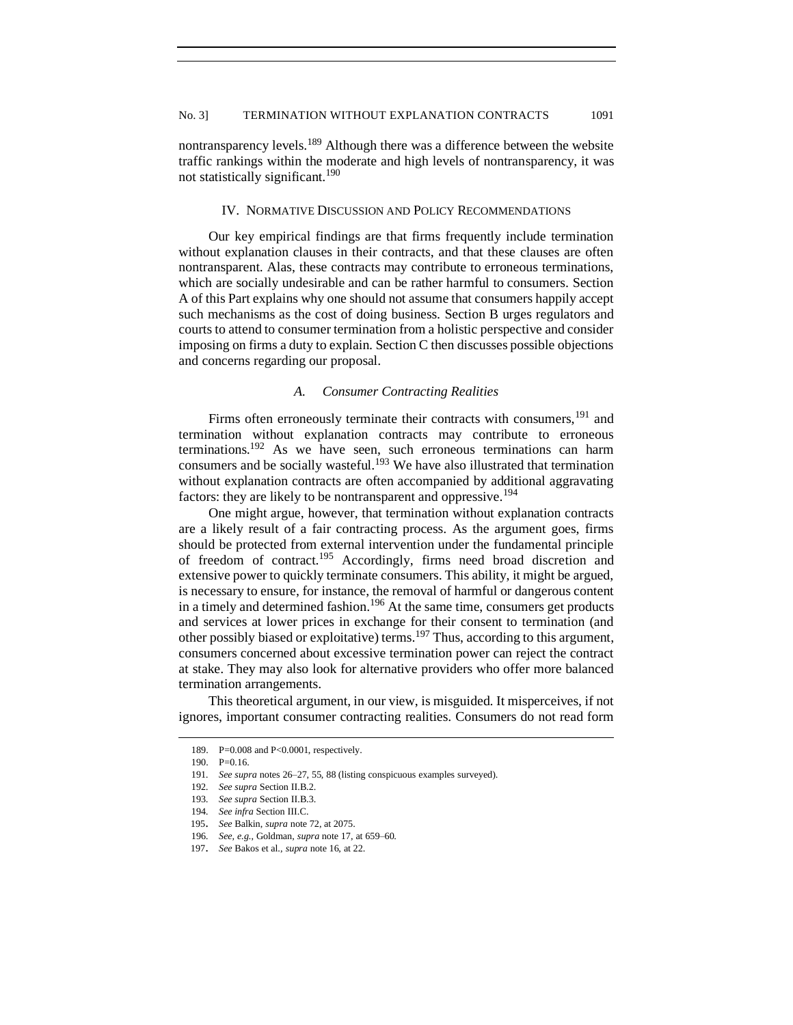nontransparency levels.<sup>189</sup> Although there was a difference between the website traffic rankings within the moderate and high levels of nontransparency, it was not statistically significant.<sup>190</sup>

#### IV. NORMATIVE DISCUSSION AND POLICY RECOMMENDATIONS

<span id="page-32-0"></span>Our key empirical findings are that firms frequently include termination without explanation clauses in their contracts, and that these clauses are often nontransparent. Alas, these contracts may contribute to erroneous terminations, which are socially undesirable and can be rather harmful to consumers. Section A of this Part explains why one should not assume that consumers happily accept such mechanisms as the cost of doing business. Section B urges regulators and courts to attend to consumer termination from a holistic perspective and consider imposing on firms a duty to explain. Section C then discusses possible objections and concerns regarding our proposal.

## *A. Consumer Contracting Realities*

<span id="page-32-1"></span>Firms often erroneously terminate their contracts with consumers, <sup>191</sup> and termination without explanation contracts may contribute to erroneous terminations.<sup>192</sup> As we have seen, such erroneous terminations can harm consumers and be socially wasteful.<sup>193</sup> We have also illustrated that termination without explanation contracts are often accompanied by additional aggravating factors: they are likely to be nontransparent and oppressive.<sup>194</sup>

One might argue, however, that termination without explanation contracts are a likely result of a fair contracting process. As the argument goes, firms should be protected from external intervention under the fundamental principle of freedom of contract.<sup>195</sup> Accordingly, firms need broad discretion and extensive power to quickly terminate consumers. This ability, it might be argued, is necessary to ensure, for instance, the removal of harmful or dangerous content in a timely and determined fashion.<sup>196</sup> At the same time, consumers get products and services at lower prices in exchange for their consent to termination (and other possibly biased or exploitative) terms.<sup>197</sup> Thus, according to this argument, consumers concerned about excessive termination power can reject the contract at stake. They may also look for alternative providers who offer more balanced termination arrangements.

This theoretical argument, in our view, is misguided. It misperceives, if not ignores, important consumer contracting realities. Consumers do not read form

<sup>189.</sup> P=0.008 and P<0.0001, respectively.

<sup>190.</sup> P=0.16.

<sup>191</sup>*. See supra* note[s 26](#page-5-0)[–27,](#page-5-1) 55, [88](#page-14-0) (listing conspicuous examples surveyed).

<sup>192</sup>*. See supra* Section II.B.2.

<sup>193</sup>*. See supra* Section II.B.3.

<sup>194</sup>*. See infra* Section III.C.

<sup>195</sup>. *See* Balkin, *supra* note 72, at 2075.

<sup>196</sup>*. See, e.g.*, Goldman, *supra* not[e 17,](#page-4-0) at 659–60.

<sup>197</sup>. *See* Bakos et al., *supra* note 16, at 22.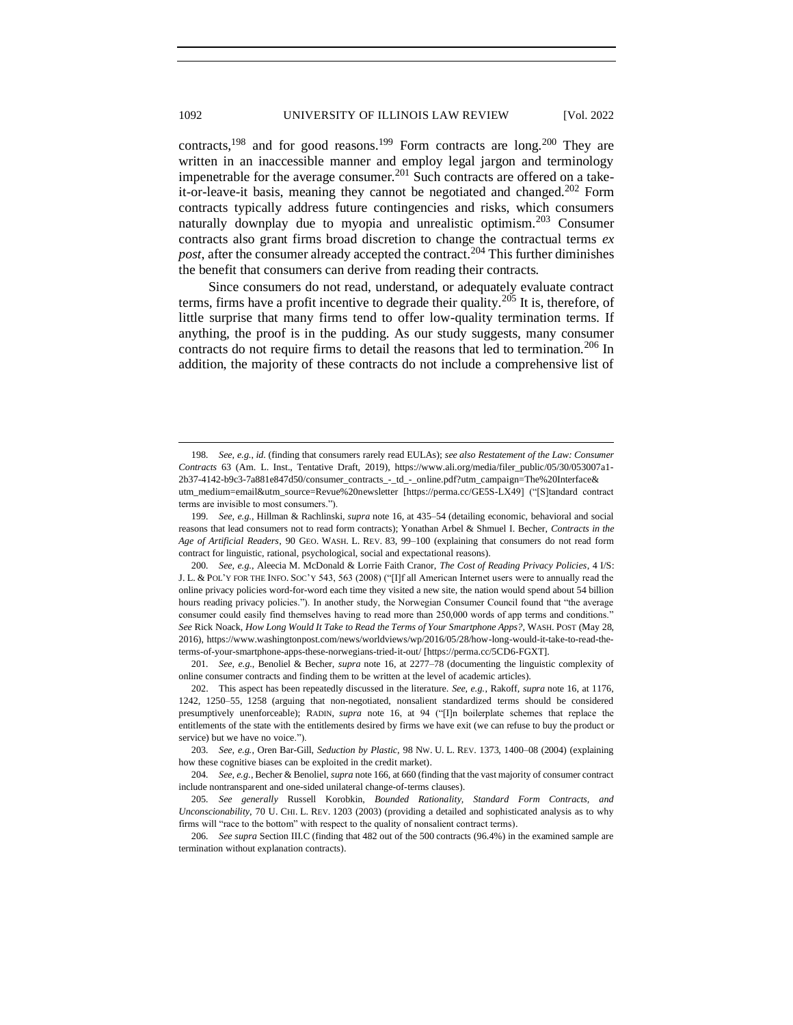contracts,<sup>198</sup> and for good reasons.<sup>199</sup> Form contracts are long.<sup>200</sup> They are written in an inaccessible manner and employ legal jargon and terminology impenetrable for the average consumer.<sup>201</sup> Such contracts are offered on a takeit-or-leave-it basis, meaning they cannot be negotiated and changed.<sup>202</sup> Form contracts typically address future contingencies and risks, which consumers naturally downplay due to myopia and unrealistic optimism.<sup>203</sup> Consumer contracts also grant firms broad discretion to change the contractual terms *ex post*, after the consumer already accepted the contract.<sup>204</sup> This further diminishes the benefit that consumers can derive from reading their contracts.

Since consumers do not read, understand, or adequately evaluate contract terms, firms have a profit incentive to degrade their quality.<sup>205</sup> It is, therefore, of little surprise that many firms tend to offer low-quality termination terms. If anything, the proof is in the pudding. As our study suggests, many consumer contracts do not require firms to detail the reasons that led to termination.<sup>206</sup> In addition, the majority of these contracts do not include a comprehensive list of

198*. See, e.g.*, *id.* (finding that consumers rarely read EULAs); *see also Restatement of the Law: Consumer Contracts* 63 (Am. L. Inst., Tentative Draft, 2019), https://www.ali.org/media/filer\_public/05/30/053007a1- 2b37-4142-b9c3-7a881e847d50/consumer\_contracts\_-\_td\_-\_online.pdf?utm\_campaign=The%20Interface& utm\_medium=email&utm\_source=Revue%20newsletter [https://perma.cc/GE5S-LX49] ("[S]tandard contract terms are invisible to most consumers.").

199*. See, e.g.*, Hillman & Rachlinski, *supra* not[e 16,](#page-3-5) at 435–54 (detailing economic, behavioral and social reasons that lead consumers not to read form contracts); Yonathan Arbel & Shmuel I. Becher, *Contracts in the Age of Artificial Readers*, 90 GEO. WASH. L. REV. 83, 99–100 (explaining that consumers do not read form contract for linguistic, rational, psychological, social and expectational reasons).

201*. See, e.g.*, Benoliel & Becher, *supra* note [16,](#page-3-5) at 2277–78 (documenting the linguistic complexity of online consumer contracts and finding them to be written at the level of academic articles).

202. This aspect has been repeatedly discussed in the literature. *See, e.g.*, Rakoff, *supra* note [16,](#page-3-5) at 1176, 1242, 1250–55, 1258 (arguing that non-negotiated, nonsalient standardized terms should be considered presumptively unenforceable); RADIN, *supra* note [16,](#page-3-5) at 94 ("[I]n boilerplate schemes that replace the entitlements of the state with the entitlements desired by firms we have exit (we can refuse to buy the product or service) but we have no voice.").

206*. See supra* Section III.C (finding that 482 out of the 500 contracts (96.4%) in the examined sample are termination without explanation contracts).

<sup>200</sup>*. See, e.g.*, Aleecia M. McDonald & Lorrie Faith Cranor, *The Cost of Reading Privacy Policies*, 4 I/S: J. L. & POL'Y FOR THE INFO. SOC'Y 543, 563 (2008) ("[I]f all American Internet users were to annually read the online privacy policies word-for-word each time they visited a new site, the nation would spend about 54 billion hours reading privacy policies."). In another study, the Norwegian Consumer Council found that "the average consumer could easily find themselves having to read more than 250,000 words of app terms and conditions." *See* Rick Noack, *How Long Would It Take to Read the Terms of Your Smartphone Apps?*, WASH. POST (May 28, 2016), https://www.washingtonpost.com/news/worldviews/wp/2016/05/28/how-long-would-it-take-to-read-theterms-of-your-smartphone-apps-these-norwegians-tried-it-out/ [https://perma.cc/5CD6-FGXT].

<sup>203</sup>*. See, e.g.*, Oren Bar-Gill, *Seduction by Plastic*, 98 NW. U. L. REV. 1373, 1400–08 (2004) (explaining how these cognitive biases can be exploited in the credit market).

<sup>204</sup>*. See, e.g.*, Becher & Benoliel, *supra* note 166, at 660 (finding that the vast majority of consumer contract include nontransparent and one-sided unilateral change-of-terms clauses).

<sup>205</sup>*. See generally* Russell Korobkin, *Bounded Rationality, Standard Form Contracts, and Unconscionability*, 70 U. CHI. L. REV. 1203 (2003) (providing a detailed and sophisticated analysis as to why firms will "race to the bottom" with respect to the quality of nonsalient contract terms).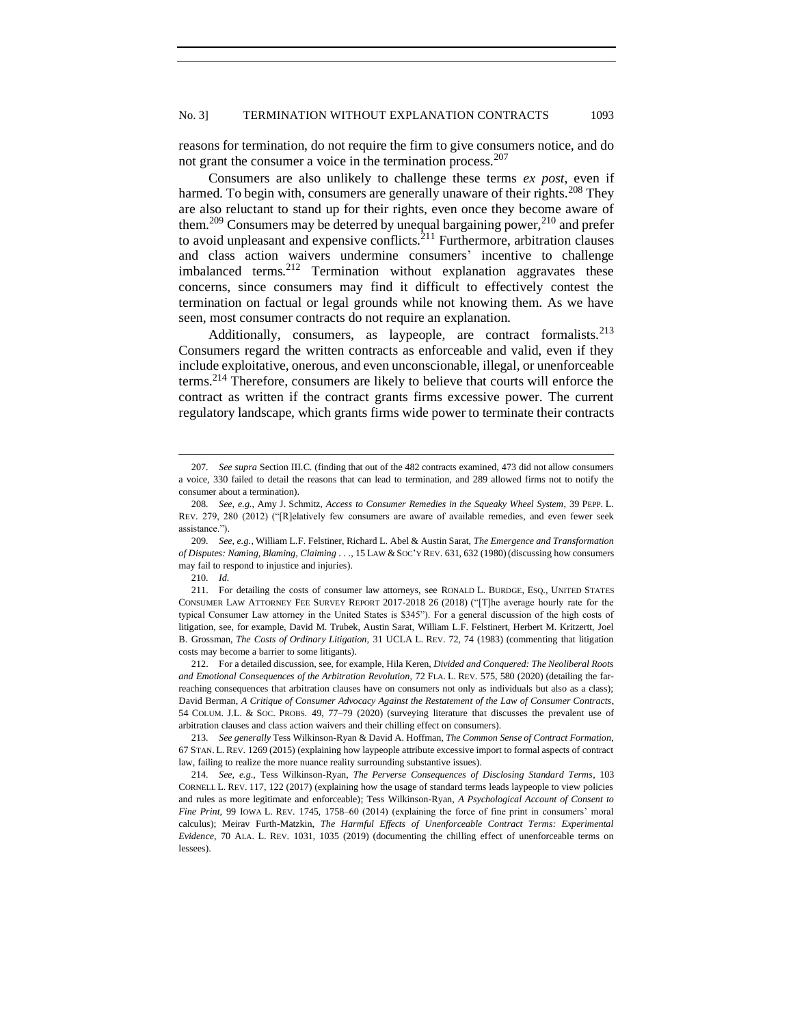reasons for termination, do not require the firm to give consumers notice, and do not grant the consumer a voice in the termination process.<sup>207</sup>

Consumers are also unlikely to challenge these terms *ex post*, even if harmed. To begin with, consumers are generally unaware of their rights.<sup>208</sup> They are also reluctant to stand up for their rights, even once they become aware of them.<sup>209</sup> Consumers may be deterred by unequal bargaining power,<sup>210</sup> and prefer to avoid unpleasant and expensive conflicts. $^{211}$  Furthermore, arbitration clauses and class action waivers undermine consumers' incentive to challenge imbalanced terms.<sup>212</sup> Termination without explanation aggravates these concerns, since consumers may find it difficult to effectively contest the termination on factual or legal grounds while not knowing them. As we have seen, most consumer contracts do not require an explanation.

Additionally, consumers, as laypeople, are contract formalists.<sup>213</sup> Consumers regard the written contracts as enforceable and valid, even if they include exploitative, onerous, and even unconscionable, illegal, or unenforceable terms.<sup>214</sup> Therefore, consumers are likely to believe that courts will enforce the contract as written if the contract grants firms excessive power. The current regulatory landscape, which grants firms wide power to terminate their contracts

<sup>207</sup>*. See supra* Section III.C. (finding that out of the 482 contracts examined, 473 did not allow consumers a voice, 330 failed to detail the reasons that can lead to termination, and 289 allowed firms not to notify the consumer about a termination).

<sup>208</sup>*. See, e.g.*, Amy J. Schmitz, *Access to Consumer Remedies in the Squeaky Wheel System*, 39 PEPP. L. REV. 279, 280 (2012) ("[R]elatively few consumers are aware of available remedies, and even fewer seek assistance.").

<sup>209</sup>*. See, e.g.*, William L.F. Felstiner, Richard L. Abel & Austin Sarat, *The Emergence and Transformation of Disputes: Naming, Blaming, Claiming* . . ., 15 LAW &SOC'Y REV. 631, 632 (1980) (discussing how consumers may fail to respond to injustice and injuries).

<sup>210</sup>*. Id.* 

<sup>211.</sup> For detailing the costs of consumer law attorneys, see RONALD L. BURDGE, ESQ., UNITED STATES CONSUMER LAW ATTORNEY FEE SURVEY REPORT 2017-2018 26 (2018) ("[T]he average hourly rate for the typical Consumer Law attorney in the United States is \$345"). For a general discussion of the high costs of litigation, see, for example, David M. Trubek, Austin Sarat, William L.F. Felstinert, Herbert M. Kritzertt, Joel B. Grossman, *The Costs of Ordinary Litigation*, 31 UCLA L. REV. 72, 74 (1983) (commenting that litigation costs may become a barrier to some litigants).

<sup>212.</sup> For a detailed discussion, see, for example, Hila Keren, *Divided and Conquered: The Neoliberal Roots and Emotional Consequences of the Arbitration Revolution*, 72 FLA. L. REV. 575, 580 (2020) (detailing the farreaching consequences that arbitration clauses have on consumers not only as individuals but also as a class); David Berman, *A Critique of Consumer Advocacy Against the Restatement of the Law of Consumer Contracts*, 54 COLUM. J.L. & SOC. PROBS. 49, 77–79 (2020) (surveying literature that discusses the prevalent use of arbitration clauses and class action waivers and their chilling effect on consumers).

<sup>213</sup>*. See generally* Tess Wilkinson-Ryan & David A. Hoffman, *The Common Sense of Contract Formation*, 67 STAN. L. REV. 1269 (2015) (explaining how laypeople attribute excessive import to formal aspects of contract law, failing to realize the more nuance reality surrounding substantive issues).

<sup>214</sup>*. See, e.g.*, Tess Wilkinson-Ryan, *The Perverse Consequences of Disclosing Standard Terms*, 103 CORNELL L. REV. 117, 122 (2017) (explaining how the usage of standard terms leads laypeople to view policies and rules as more legitimate and enforceable); Tess Wilkinson-Ryan, *A Psychological Account of Consent to Fine Print,* 99 IOWA L. REV. 1745, 1758–60 (2014) (explaining the force of fine print in consumers' moral calculus); Meirav Furth-Matzkin, *The Harmful Effects of Unenforceable Contract Terms: Experimental Evidence*, 70 ALA. L. REV. 1031, 1035 (2019) (documenting the chilling effect of unenforceable terms on lessees).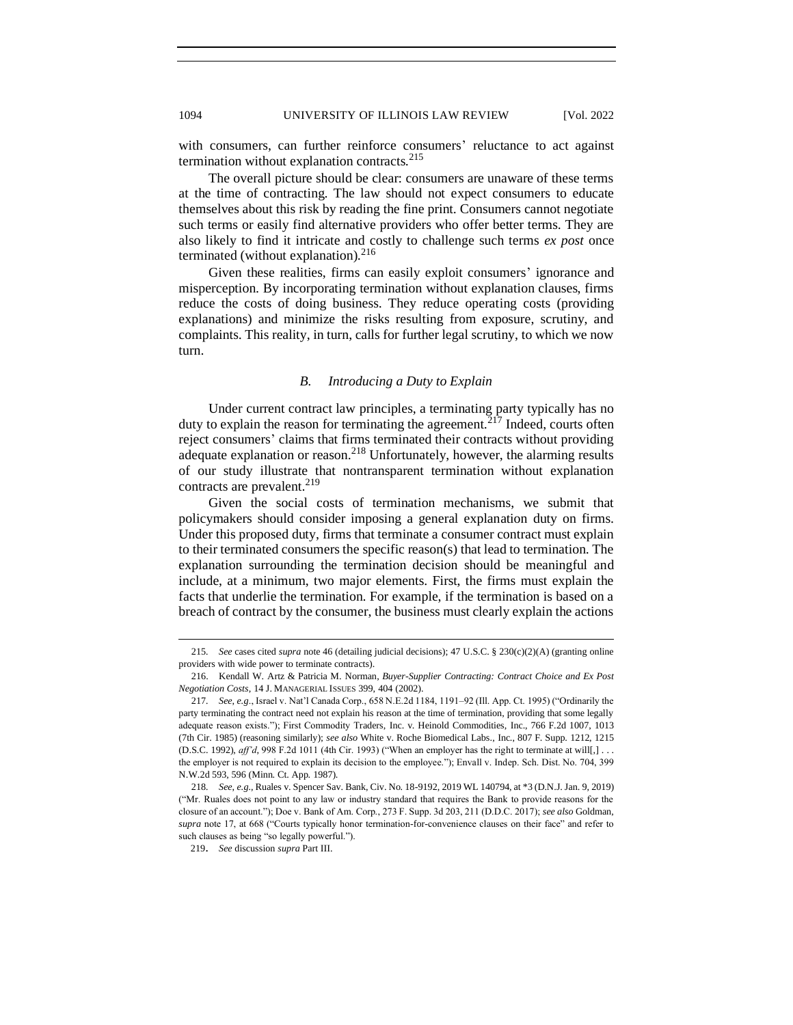with consumers, can further reinforce consumers' reluctance to act against termination without explanation contracts.<sup>215</sup>

The overall picture should be clear: consumers are unaware of these terms at the time of contracting. The law should not expect consumers to educate themselves about this risk by reading the fine print. Consumers cannot negotiate such terms or easily find alternative providers who offer better terms. They are also likely to find it intricate and costly to challenge such terms *ex post* once terminated (without explanation). $216$ 

Given these realities, firms can easily exploit consumers' ignorance and misperception. By incorporating termination without explanation clauses, firms reduce the costs of doing business. They reduce operating costs (providing explanations) and minimize the risks resulting from exposure, scrutiny, and complaints. This reality, in turn, calls for further legal scrutiny, to which we now turn.

## *B. Introducing a Duty to Explain*

<span id="page-35-0"></span>Under current contract law principles, a terminating party typically has no duty to explain the reason for terminating the agreement.<sup> $217$ </sup> Indeed, courts often reject consumers' claims that firms terminated their contracts without providing adequate explanation or reason.<sup>218</sup> Unfortunately, however, the alarming results of our study illustrate that nontransparent termination without explanation contracts are prevalent.<sup>219</sup>

Given the social costs of termination mechanisms, we submit that policymakers should consider imposing a general explanation duty on firms. Under this proposed duty, firms that terminate a consumer contract must explain to their terminated consumers the specific reason(s) that lead to termination. The explanation surrounding the termination decision should be meaningful and include, at a minimum, two major elements. First, the firms must explain the facts that underlie the termination. For example, if the termination is based on a breach of contract by the consumer, the business must clearly explain the actions

<sup>215</sup>*. See* cases cited *supra* note 46 (detailing judicial decisions); 47 U.S.C. § 230(c)(2)(A) (granting online providers with wide power to terminate contracts).

<sup>216.</sup> Kendall W. Artz & Patricia M. Norman, *Buyer-Supplier Contracting: Contract Choice and Ex Post Negotiation Costs*, 14 J. MANAGERIAL ISSUES 399, 404 (2002).

<sup>217</sup>*. See*, *e.g*., Israel v. Nat'l Canada Corp., 658 N.E.2d 1184, 1191–92 (Ill. App. Ct. 1995) ("Ordinarily the party terminating the contract need not explain his reason at the time of termination, providing that some legally adequate reason exists."); First Commodity Traders, Inc. v. Heinold Commodities, Inc., 766 F.2d 1007, 1013 (7th Cir. 1985) (reasoning similarly); *see also* White v. Roche Biomedical Labs., Inc., 807 F. Supp. 1212, 1215 (D.S.C. 1992), *aff'd*, 998 F.2d 1011 (4th Cir. 1993) ("When an employer has the right to terminate at will[,] . . . the employer is not required to explain its decision to the employee."); Envall v. Indep. Sch. Dist. No. 704, 399 N.W.2d 593, 596 (Minn. Ct. App. 1987).

<sup>218</sup>*. See*, *e.g.*, Ruales v. Spencer Sav. Bank, Civ. No. 18-9192, 2019 WL 140794, at \*3 (D.N.J. Jan. 9, 2019) ("Mr. Ruales does not point to any law or industry standard that requires the Bank to provide reasons for the closure of an account."); Doe v. Bank of Am. Corp., 273 F. Supp. 3d 203, 211 (D.D.C. 2017); *see also* Goldman, *supra* note 17, at 668 ("Courts typically honor termination-for-convenience clauses on their face" and refer to such clauses as being "so legally powerful.").

<sup>219</sup>. *See* discussion *supra* Part III.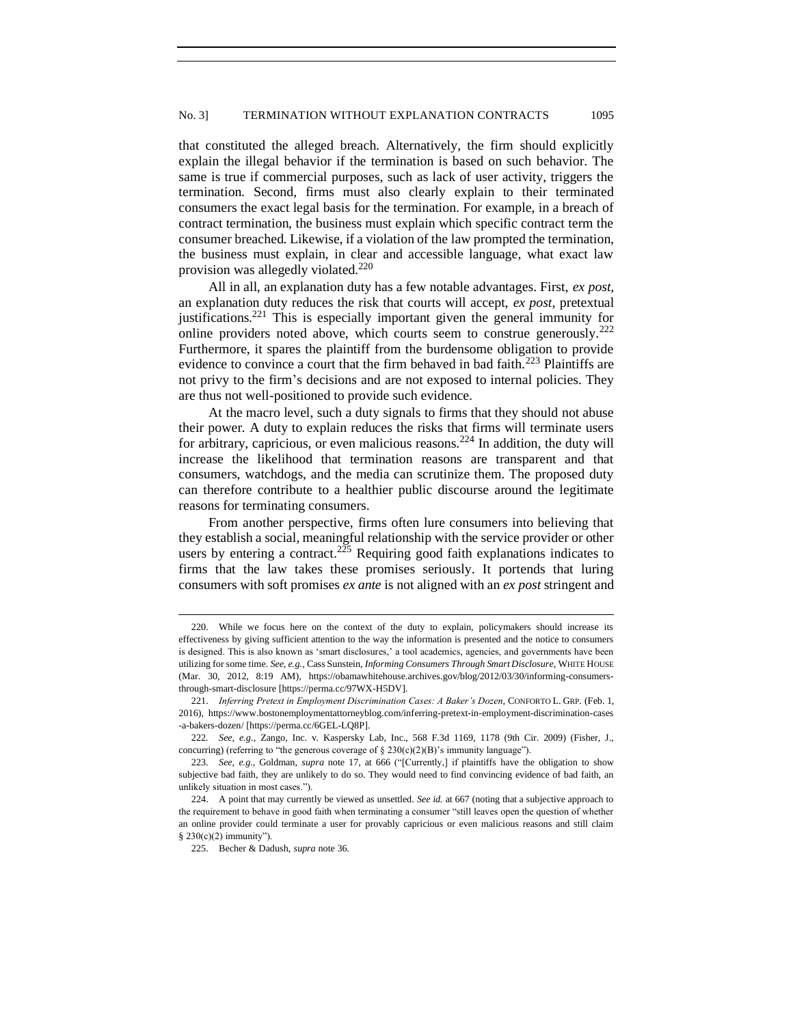that constituted the alleged breach. Alternatively, the firm should explicitly explain the illegal behavior if the termination is based on such behavior. The same is true if commercial purposes, such as lack of user activity, triggers the termination. Second, firms must also clearly explain to their terminated consumers the exact legal basis for the termination. For example, in a breach of contract termination, the business must explain which specific contract term the consumer breached. Likewise, if a violation of the law prompted the termination, the business must explain, in clear and accessible language, what exact law provision was allegedly violated.<sup>220</sup>

All in all, an explanation duty has a few notable advantages. First, *ex post*, an explanation duty reduces the risk that courts will accept, *ex post,* pretextual justifications.<sup>221</sup> This is especially important given the general immunity for online providers noted above, which courts seem to construe generously.<sup>222</sup> Furthermore, it spares the plaintiff from the burdensome obligation to provide evidence to convince a court that the firm behaved in bad faith.<sup>223</sup> Plaintiffs are not privy to the firm's decisions and are not exposed to internal policies. They are thus not well-positioned to provide such evidence.

At the macro level, such a duty signals to firms that they should not abuse their power. A duty to explain reduces the risks that firms will terminate users for arbitrary, capricious, or even malicious reasons.<sup>224</sup> In addition, the duty will increase the likelihood that termination reasons are transparent and that consumers, watchdogs, and the media can scrutinize them. The proposed duty can therefore contribute to a healthier public discourse around the legitimate reasons for terminating consumers.

From another perspective, firms often lure consumers into believing that they establish a social, meaningful relationship with the service provider or other users by entering a contract.<sup>225</sup> Requiring good faith explanations indicates to firms that the law takes these promises seriously. It portends that luring consumers with soft promises *ex ante* is not aligned with an *ex post* stringent and

<sup>220.</sup> While we focus here on the context of the duty to explain, policymakers should increase its effectiveness by giving sufficient attention to the way the information is presented and the notice to consumers is designed. This is also known as 'smart disclosures,' a tool academics, agencies, and governments have been utilizing for some time. *See, e.g.*, Cass Sunstein, *Informing Consumers Through Smart Disclosure*, WHITE HOUSE (Mar. 30, 2012, 8:19 AM), https://obamawhitehouse.archives.gov/blog/2012/03/30/informing-consumersthrough-smart-disclosure [https://perma.cc/97WX-H5DV].

<sup>221.</sup> *Inferring Pretext in Employment Discrimination Cases: A Baker's Dozen*, CONFORTO L. GRP. (Feb. 1, 2016), https://www.bostonemploymentattorneyblog.com/inferring-pretext-in-employment-discrimination-cases -a-bakers-dozen/ [https://perma.cc/6GEL-LQ8P].

<sup>222</sup>*. See, e.g.*, Zango, Inc. v. Kaspersky Lab, Inc., 568 F.3d 1169, 1178 (9th Cir. 2009) (Fisher, J., concurring) (referring to "the generous coverage of  $\S 230(c)(2)(B)$ " immunity language").

<sup>223</sup>*. See, e.g.*, Goldman, *supra* note [17,](#page-4-0) at 666 ("[Currently,] if plaintiffs have the obligation to show subjective bad faith, they are unlikely to do so. They would need to find convincing evidence of bad faith, an unlikely situation in most cases.").

<sup>224.</sup> A point that may currently be viewed as unsettled. *See id.* at 667 (noting that a subjective approach to the requirement to behave in good faith when terminating a consumer "still leaves open the question of whether an online provider could terminate a user for provably capricious or even malicious reasons and still claim § 230(c)(2) immunity").

<sup>225.</sup> Becher & Dadush, *supra* note 36.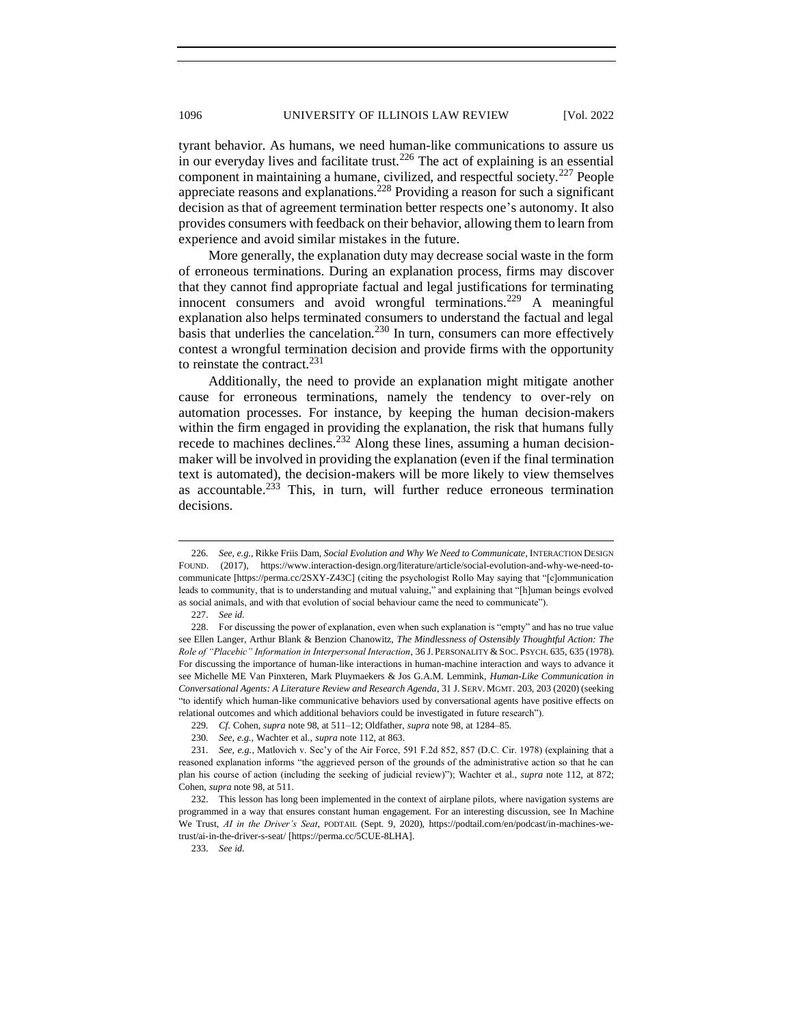tyrant behavior. As humans, we need human-like communications to assure us in our everyday lives and facilitate trust.<sup>226</sup> The act of explaining is an essential component in maintaining a humane, civilized, and respectful society.<sup>227</sup> People appreciate reasons and explanations.<sup>228</sup> Providing a reason for such a significant decision as that of agreement termination better respects one's autonomy. It also provides consumers with feedback on their behavior, allowing them to learn from experience and avoid similar mistakes in the future.

More generally, the explanation duty may decrease social waste in the form of erroneous terminations. During an explanation process, firms may discover that they cannot find appropriate factual and legal justifications for terminating innocent consumers and avoid wrongful terminations.<sup>229</sup> A meaningful explanation also helps terminated consumers to understand the factual and legal basis that underlies the cancelation.<sup>230</sup> In turn, consumers can more effectively contest a wrongful termination decision and provide firms with the opportunity to reinstate the contract.<sup>231</sup>

Additionally, the need to provide an explanation might mitigate another cause for erroneous terminations, namely the tendency to over-rely on automation processes. For instance, by keeping the human decision-makers within the firm engaged in providing the explanation, the risk that humans fully recede to machines declines.<sup>232</sup> Along these lines, assuming a human decisionmaker will be involved in providing the explanation (even if the final termination text is automated), the decision-makers will be more likely to view themselves as accountable.<sup>233</sup> This, in turn, will further reduce erroneous termination decisions.

<sup>226</sup>*. See, e.g.*, Rikke Friis Dam, *Social Evolution and Why We Need to Communicate*, INTERACTION DESIGN FOUND. (2017), https://www.interaction-design.org/literature/article/social-evolution-and-why-we-need-tocommunicate [https://perma.cc/2SXY-Z43C] (citing the psychologist Rollo May saying that "[c]ommunication leads to community, that is to understanding and mutual valuing," and explaining that "[h]uman beings evolved as social animals, and with that evolution of social behaviour came the need to communicate").

<sup>227.</sup> *See id.*

<sup>228.</sup> For discussing the power of explanation, even when such explanation is "empty" and has no true value see Ellen Langer, Arthur Blank & Benzion Chanowitz, *The Mindlessness of Ostensibly Thoughtful Action: The Role of "Placebic" Information in Interpersonal Interaction*, 36 J. PERSONALITY &SOC. PSYCH. 635, 635 (1978). For discussing the importance of human-like interactions in human-machine interaction and ways to advance it see Michelle ME Van Pinxteren, Mark Pluymaekers & Jos G.A.M. Lemmink, *Human-Like Communication in Conversational Agents: A Literature Review and Research Agenda*, 31 J. SERV. MGMT. 203, 203 (2020) (seeking "to identify which human-like communicative behaviors used by conversational agents have positive effects on relational outcomes and which additional behaviors could be investigated in future research").

<sup>229</sup>*. Cf*. Cohen, *supra* note 98, at 511–12; Oldfather, *supra* note 98, at 1284–85.

<sup>230</sup>*. See, e.g.*, Wachter et al., *supra* note 112, at 863.

<sup>231</sup>*. See, e.g.*, Matlovich v. Sec'y of the Air Force, 591 F.2d 852, 857 (D.C. Cir. 1978) (explaining that a reasoned explanation informs "the aggrieved person of the grounds of the administrative action so that he can plan his course of action (including the seeking of judicial review)"); Wachter et al., *supra* note 112, at 872; Cohen, *supra* note 98, at 511.

<sup>232.</sup> This lesson has long been implemented in the context of airplane pilots, where navigation systems are programmed in a way that ensures constant human engagement. For an interesting discussion, see In Machine We Trust, *AI in the Driver's Seat*, PODTAIL (Sept. 9, 2020), https://podtail.com/en/podcast/in-machines-wetrust/ai-in-the-driver-s-seat/ [https://perma.cc/5CUE-8LHA].

<sup>233.</sup> *See id.*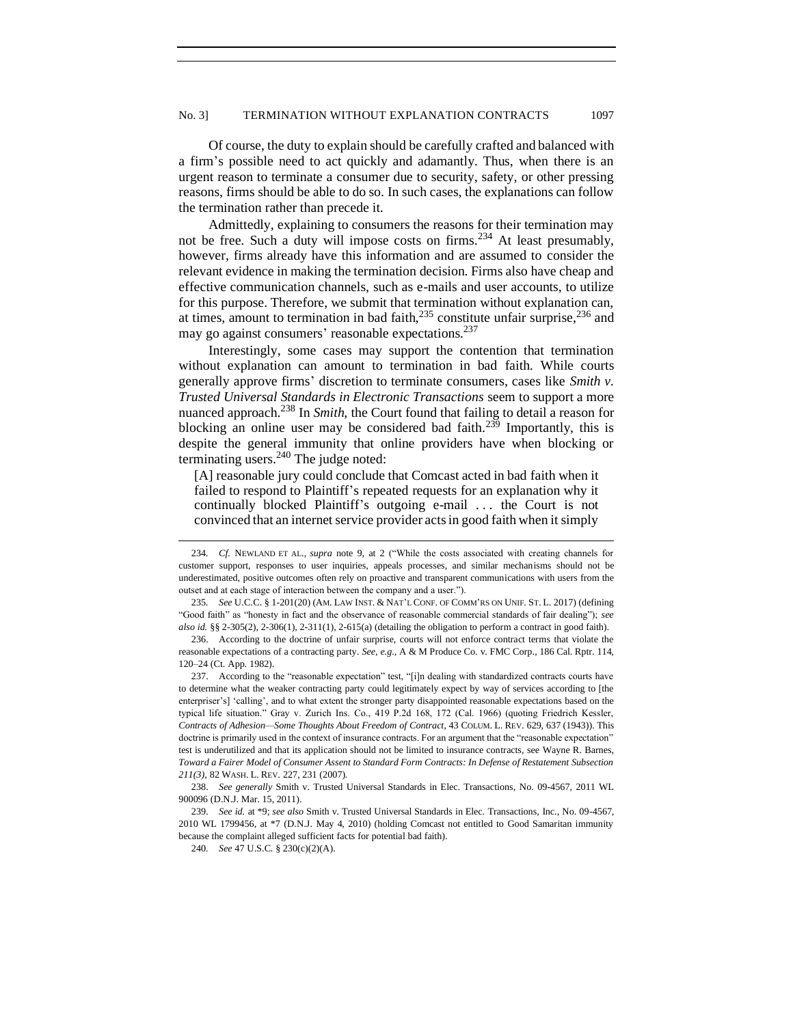Of course, the duty to explain should be carefully crafted and balanced with a firm's possible need to act quickly and adamantly. Thus, when there is an urgent reason to terminate a consumer due to security, safety, or other pressing reasons, firms should be able to do so. In such cases, the explanations can follow the termination rather than precede it.

Admittedly, explaining to consumers the reasons for their termination may not be free. Such a duty will impose costs on firms.<sup>234</sup> At least presumably, however, firms already have this information and are assumed to consider the relevant evidence in making the termination decision. Firms also have cheap and effective communication channels, such as e-mails and user accounts, to utilize for this purpose. Therefore, we submit that termination without explanation can, at times, amount to termination in bad faith, $235$  constitute unfair surprise, $236$  and may go against consumers' reasonable expectations.<sup>237</sup>

Interestingly, some cases may support the contention that termination without explanation can amount to termination in bad faith. While courts generally approve firms' discretion to terminate consumers, cases like *Smith v. Trusted Universal Standards in Electronic Transactions* seem to support a more nuanced approach.<sup>238</sup> In *Smith*, the Court found that failing to detail a reason for blocking an online user may be considered bad faith.<sup>239</sup> Importantly, this is despite the general immunity that online providers have when blocking or terminating users. $240$  The judge noted:

[A] reasonable jury could conclude that Comcast acted in bad faith when it failed to respond to Plaintiff's repeated requests for an explanation why it continually blocked Plaintiff's outgoing e-mail . . . the Court is not convinced that an internet service provider acts in good faith when it simply

<sup>234</sup>*. Cf.* NEWLAND ET AL., *supra* note [9,](#page-3-4) at 2 ("While the costs associated with creating channels for customer support, responses to user inquiries, appeals processes, and similar mechanisms should not be underestimated, positive outcomes often rely on proactive and transparent communications with users from the outset and at each stage of interaction between the company and a user.").

<sup>235</sup>*. See* U.C.C. § 1-201(20) (AM. LAW INST. & NAT'L CONF. OF COMM'RS ON UNIF. ST. L. 2017) (defining "Good faith" as "honesty in fact and the observance of reasonable commercial standards of fair dealing"); *see also id.* §§ 2-305(2), 2-306(1), 2-311(1), 2-615(a) (detailing the obligation to perform a contract in good faith).

<sup>236.</sup> According to the doctrine of unfair surprise, courts will not enforce contract terms that violate the reasonable expectations of a contracting party. *See, e.g.*, A & M Produce Co. v. FMC Corp., 186 Cal. Rptr. 114, 120–24 (Ct. App. 1982).

<sup>237.</sup> According to the "reasonable expectation" test, "[i]n dealing with standardized contracts courts have to determine what the weaker contracting party could legitimately expect by way of services according to [the enterpriser's] 'calling', and to what extent the stronger party disappointed reasonable expectations based on the typical life situation." Gray v. Zurich Ins. Co., 419 P.2d 168, 172 (Cal. 1966) (quoting Friedrich Kessler, *Contracts of Adhesion—Some Thoughts About Freedom of Contract*, 43 COLUM. L. REV. 629, 637 (1943)). This doctrine is primarily used in the context of insurance contracts. For an argument that the "reasonable expectation" test is underutilized and that its application should not be limited to insurance contracts, see Wayne R. Barnes, *Toward a Fairer Model of Consumer Assent to Standard Form Contracts: In Defense of Restatement Subsection 211(3)*, 82 WASH. L. REV. 227, 231 (2007).

<sup>238.</sup> *See generally* Smith v. Trusted Universal Standards in Elec. Transactions, No. 09-4567, 2011 WL 900096 (D.N.J. Mar. 15, 2011).

<sup>239.</sup> *See id.* at \*9; *see also* Smith v. Trusted Universal Standards in Elec. Transactions, Inc., No. 09-4567, 2010 WL 1799456, at \*7 (D.N.J. May 4, 2010) (holding Comcast not entitled to Good Samaritan immunity because the complaint alleged sufficient facts for potential bad faith).

<sup>240</sup>*. See* 47 U.S.C. § 230(c)(2)(A).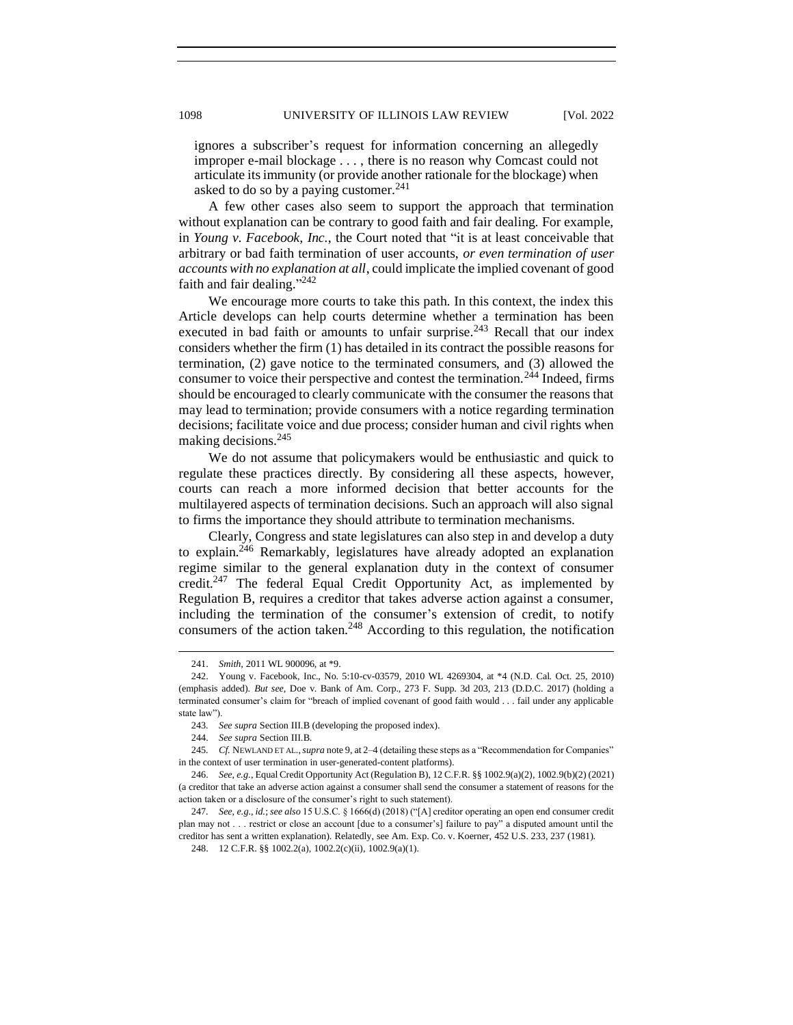ignores a subscriber's request for information concerning an allegedly improper e-mail blockage . . . , there is no reason why Comcast could not articulate its immunity (or provide another rationale for the blockage) when asked to do so by a paying customer. $241$ 

A few other cases also seem to support the approach that termination without explanation can be contrary to good faith and fair dealing. For example, in *Young v. Facebook, Inc.*, the Court noted that "it is at least conceivable that arbitrary or bad faith termination of user accounts, *or even termination of user accounts with no explanation at all*, could implicate the implied covenant of good faith and fair dealing."<sup>242</sup>

We encourage more courts to take this path. In this context, the index this Article develops can help courts determine whether a termination has been executed in bad faith or amounts to unfair surprise.<sup>243</sup> Recall that our index considers whether the firm (1) has detailed in its contract the possible reasons for termination, (2) gave notice to the terminated consumers, and (3) allowed the consumer to voice their perspective and contest the termination.<sup>244</sup> Indeed, firms should be encouraged to clearly communicate with the consumer the reasons that may lead to termination; provide consumers with a notice regarding termination decisions; facilitate voice and due process; consider human and civil rights when making decisions.<sup>245</sup>

We do not assume that policymakers would be enthusiastic and quick to regulate these practices directly. By considering all these aspects, however, courts can reach a more informed decision that better accounts for the multilayered aspects of termination decisions. Such an approach will also signal to firms the importance they should attribute to termination mechanisms.

Clearly, Congress and state legislatures can also step in and develop a duty to explain.<sup>246</sup> Remarkably, legislatures have already adopted an explanation regime similar to the general explanation duty in the context of consumer credit.<sup>247</sup> The federal Equal Credit Opportunity Act, as implemented by Regulation B, requires a creditor that takes adverse action against a consumer, including the termination of the consumer's extension of credit, to notify consumers of the action taken.<sup>248</sup> According to this regulation, the notification

<sup>241.</sup> *Smith*, 2011 WL 900096, at \*9.

<sup>242.</sup> Young v. Facebook, Inc., No. 5:10-cv-03579, 2010 WL 4269304, at \*4 (N.D. Cal. Oct. 25, 2010) (emphasis added). *But see*, Doe v. Bank of Am. Corp., 273 F. Supp. 3d 203, 213 (D.D.C. 2017) (holding a terminated consumer's claim for "breach of implied covenant of good faith would . . . fail under any applicable state law").

<sup>243</sup>*. See supra* Section III.B (developing the proposed index).

<sup>244.</sup> *See supra* Section III.B.

<sup>245</sup>*. Cf.* NEWLAND ET AL.,*supra* not[e 9,](#page-3-4) at 2–4 (detailing these steps as a "Recommendation for Companies" in the context of user termination in user-generated-content platforms).

<sup>246.</sup> *See*, *e.g.*, Equal Credit Opportunity Act (Regulation B), 12 C.F.R. §§ 1002.9(a)(2), 1002.9(b)(2) (2021) (a creditor that take an adverse action against a consumer shall send the consumer a statement of reasons for the action taken or a disclosure of the consumer's right to such statement).

<sup>247</sup>*. See*, *e.g.*, *id.*; *see also* 15 U.S.C. § 1666(d) (2018) ("[A] creditor operating an open end consumer credit plan may not . . . restrict or close an account [due to a consumer's] failure to pay" a disputed amount until the creditor has sent a written explanation). Relatedly, see Am. Exp. Co. v. Koerner, 452 U.S. 233, 237 (1981).

<sup>248.</sup> 12 C.F.R. §§ 1002.2(a), 1002.2(c)(ii), 1002.9(a)(1).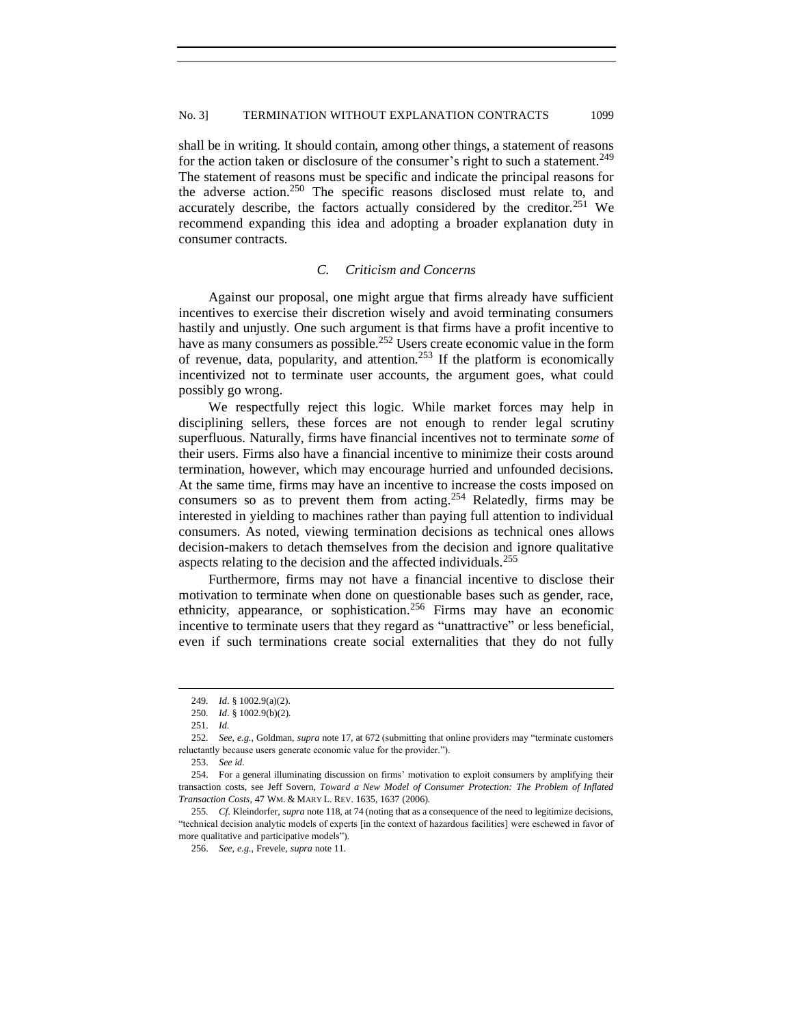shall be in writing. It should contain, among other things, a statement of reasons for the action taken or disclosure of the consumer's right to such a statement.<sup>249</sup> The statement of reasons must be specific and indicate the principal reasons for the adverse action.<sup>250</sup> The specific reasons disclosed must relate to, and accurately describe, the factors actually considered by the creditor.<sup>251</sup> We recommend expanding this idea and adopting a broader explanation duty in consumer contracts.

## *C. Criticism and Concerns*

<span id="page-40-0"></span>Against our proposal, one might argue that firms already have sufficient incentives to exercise their discretion wisely and avoid terminating consumers hastily and unjustly. One such argument is that firms have a profit incentive to have as many consumers as possible.<sup>252</sup> Users create economic value in the form of revenue, data, popularity, and attention.<sup>253</sup> If the platform is economically incentivized not to terminate user accounts, the argument goes, what could possibly go wrong.

We respectfully reject this logic. While market forces may help in disciplining sellers, these forces are not enough to render legal scrutiny superfluous. Naturally, firms have financial incentives not to terminate *some* of their users. Firms also have a financial incentive to minimize their costs around termination, however, which may encourage hurried and unfounded decisions. At the same time, firms may have an incentive to increase the costs imposed on consumers so as to prevent them from acting.<sup>254</sup> Relatedly, firms may be interested in yielding to machines rather than paying full attention to individual consumers. As noted, viewing termination decisions as technical ones allows decision-makers to detach themselves from the decision and ignore qualitative aspects relating to the decision and the affected individuals.<sup>255</sup>

Furthermore, firms may not have a financial incentive to disclose their motivation to terminate when done on questionable bases such as gender, race, ethnicity, appearance, or sophistication.<sup>256</sup> Firms may have an economic incentive to terminate users that they regard as "unattractive" or less beneficial, even if such terminations create social externalities that they do not fully

<sup>249</sup>*. Id*. § 1002.9(a)(2).

<sup>250</sup>*. Id*. § 1002.9(b)(2).

<sup>251.</sup> *Id.*

<sup>252</sup>*. See, e.g.*, Goldman, *supra* not[e 17,](#page-4-0) at 672 (submitting that online providers may "terminate customers reluctantly because users generate economic value for the provider.").

<sup>253.</sup> *See id.*

<sup>254.</sup> For a general illuminating discussion on firms' motivation to exploit consumers by amplifying their transaction costs, see Jeff Sovern, *Toward a New Model of Consumer Protection: The Problem of Inflated Transaction Costs*, 47 WM. & MARY L. REV. 1635, 1637 (2006).

<sup>255</sup>*. Cf*. Kleindorfer, *supra* note 118, at 74 (noting that as a consequence of the need to legitimize decisions, "technical decision analytic models of experts [in the context of hazardous facilities] were eschewed in favor of more qualitative and participative models").

<sup>256.</sup> *See, e.g.*, Frevele, *supra* note 11.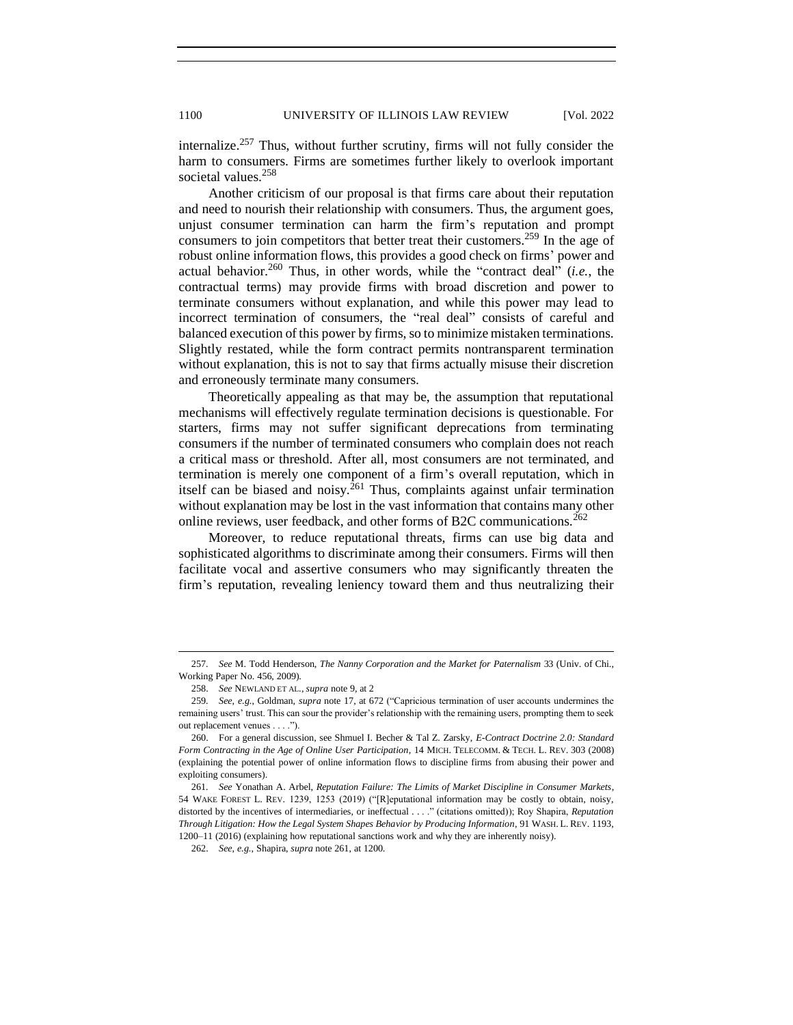internalize.<sup>257</sup> Thus, without further scrutiny, firms will not fully consider the harm to consumers. Firms are sometimes further likely to overlook important societal values.<sup>258</sup>

Another criticism of our proposal is that firms care about their reputation and need to nourish their relationship with consumers. Thus, the argument goes, unjust consumer termination can harm the firm's reputation and prompt consumers to join competitors that better treat their customers.<sup>259</sup> In the age of robust online information flows, this provides a good check on firms' power and actual behavior.<sup>260</sup> Thus, in other words, while the "contract deal" (*i.e.*, the contractual terms) may provide firms with broad discretion and power to terminate consumers without explanation, and while this power may lead to incorrect termination of consumers, the "real deal" consists of careful and balanced execution of this power by firms, so to minimize mistaken terminations. Slightly restated, while the form contract permits nontransparent termination without explanation, this is not to say that firms actually misuse their discretion and erroneously terminate many consumers.

Theoretically appealing as that may be, the assumption that reputational mechanisms will effectively regulate termination decisions is questionable. For starters, firms may not suffer significant deprecations from terminating consumers if the number of terminated consumers who complain does not reach a critical mass or threshold. After all, most consumers are not terminated, and termination is merely one component of a firm's overall reputation, which in itself can be biased and noisy.<sup>261</sup> Thus, complaints against unfair termination without explanation may be lost in the vast information that contains many other online reviews, user feedback, and other forms of B2C communications.<sup>262</sup>

Moreover, to reduce reputational threats, firms can use big data and sophisticated algorithms to discriminate among their consumers. Firms will then facilitate vocal and assertive consumers who may significantly threaten the firm's reputation, revealing leniency toward them and thus neutralizing their

<sup>257</sup>*. See* M. Todd Henderson, *The Nanny Corporation and the Market for Paternalism* 33 (Univ. of Chi., Working Paper No. 456, 2009).

<sup>258.</sup> *See* NEWLAND ET AL., *supra* not[e 9,](#page-3-4) at 2

<sup>259</sup>*. See, e.g.*, Goldman, *supra* not[e 17,](#page-4-0) at 672 ("Capricious termination of user accounts undermines the remaining users' trust. This can sour the provider's relationship with the remaining users, prompting them to seek out replacement venues . . . .").

<sup>260.</sup> For a general discussion, see Shmuel I. Becher & Tal Z. Zarsky, *E-Contract Doctrine 2.0: Standard Form Contracting in the Age of Online User Participation*, 14 MICH. TELECOMM. & TECH. L. REV. 303 (2008) (explaining the potential power of online information flows to discipline firms from abusing their power and exploiting consumers).

<sup>261</sup>*. See* Yonathan A. Arbel, *Reputation Failure: The Limits of Market Discipline in Consumer Markets*, 54 WAKE FOREST L. REV. 1239, 1253 (2019) ("[R]eputational information may be costly to obtain, noisy, distorted by the incentives of intermediaries, or ineffectual . . . ." (citations omitted)); Roy Shapira, *Reputation Through Litigation: How the Legal System Shapes Behavior by Producing Information*, 91 WASH. L. REV. 1193, 1200–11 (2016) (explaining how reputational sanctions work and why they are inherently noisy).

<sup>262.</sup> *See, e.g.*, Shapira, *supra* note 261, at 1200.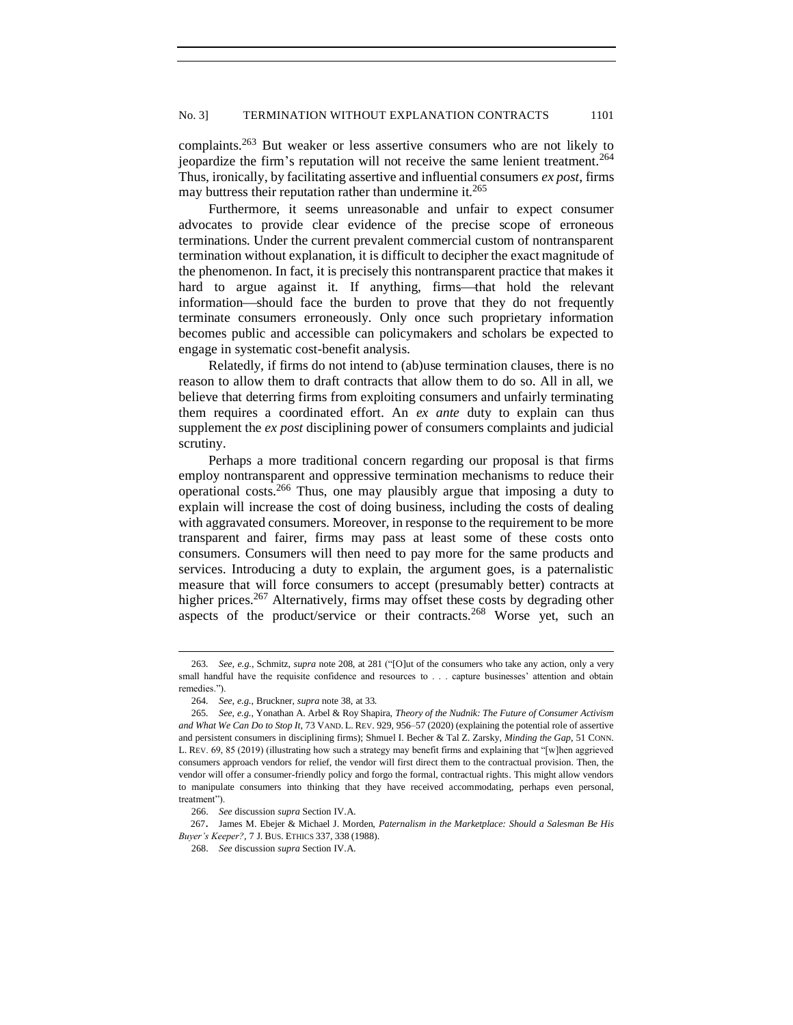complaints.<sup>263</sup> But weaker or less assertive consumers who are not likely to jeopardize the firm's reputation will not receive the same lenient treatment.<sup>264</sup> Thus, ironically, by facilitating assertive and influential consumers *ex post*, firms may buttress their reputation rather than undermine it.<sup>265</sup>

Furthermore, it seems unreasonable and unfair to expect consumer advocates to provide clear evidence of the precise scope of erroneous terminations. Under the current prevalent commercial custom of nontransparent termination without explanation, it is difficult to decipher the exact magnitude of the phenomenon. In fact, it is precisely this nontransparent practice that makes it hard to argue against it. If anything, firms—that hold the relevant information—should face the burden to prove that they do not frequently terminate consumers erroneously. Only once such proprietary information becomes public and accessible can policymakers and scholars be expected to engage in systematic cost-benefit analysis.

Relatedly, if firms do not intend to (ab)use termination clauses, there is no reason to allow them to draft contracts that allow them to do so. All in all, we believe that deterring firms from exploiting consumers and unfairly terminating them requires a coordinated effort. An *ex ante* duty to explain can thus supplement the *ex post* disciplining power of consumers complaints and judicial scrutiny.

Perhaps a more traditional concern regarding our proposal is that firms employ nontransparent and oppressive termination mechanisms to reduce their operational costs.<sup>266</sup> Thus, one may plausibly argue that imposing a duty to explain will increase the cost of doing business, including the costs of dealing with aggravated consumers. Moreover, in response to the requirement to be more transparent and fairer, firms may pass at least some of these costs onto consumers. Consumers will then need to pay more for the same products and services. Introducing a duty to explain, the argument goes, is a paternalistic measure that will force consumers to accept (presumably better) contracts at higher prices.<sup>267</sup> Alternatively, firms may offset these costs by degrading other aspects of the product/service or their contracts.<sup>268</sup> Worse yet, such an

267. James M. Ebejer & Michael J. Morden, *Paternalism in the Marketplace: Should a Salesman Be His Buyer's Keeper?*, 7 J. BUS. ETHICS 337, 338 (1988).

<sup>263</sup>*. See, e.g.*, Schmitz, *supra* note 208, at 281 ("[O]ut of the consumers who take any action, only a very small handful have the requisite confidence and resources to . . . capture businesses' attention and obtain remedies.").

<sup>264</sup>*. See, e.g.*, Bruckner, *supra* note 38, at 33.

<sup>265</sup>*. See, e.g.*, Yonathan A. Arbel & Roy Shapira, *Theory of the Nudnik: The Future of Consumer Activism and What We Can Do to Stop It*, 73 VAND. L. REV. 929, 956–57 (2020) (explaining the potential role of assertive and persistent consumers in disciplining firms); Shmuel I. Becher & Tal Z. Zarsky, *Minding the Gap*, 51 CONN. L. REV. 69, 85 (2019) (illustrating how such a strategy may benefit firms and explaining that "[w]hen aggrieved consumers approach vendors for relief, the vendor will first direct them to the contractual provision. Then, the vendor will offer a consumer-friendly policy and forgo the formal, contractual rights. This might allow vendors to manipulate consumers into thinking that they have received accommodating, perhaps even personal, treatment").

<sup>266.</sup> *See* discussion *supra* Section IV.A.

<sup>268.</sup> *See* discussion *supra* Section IV.A.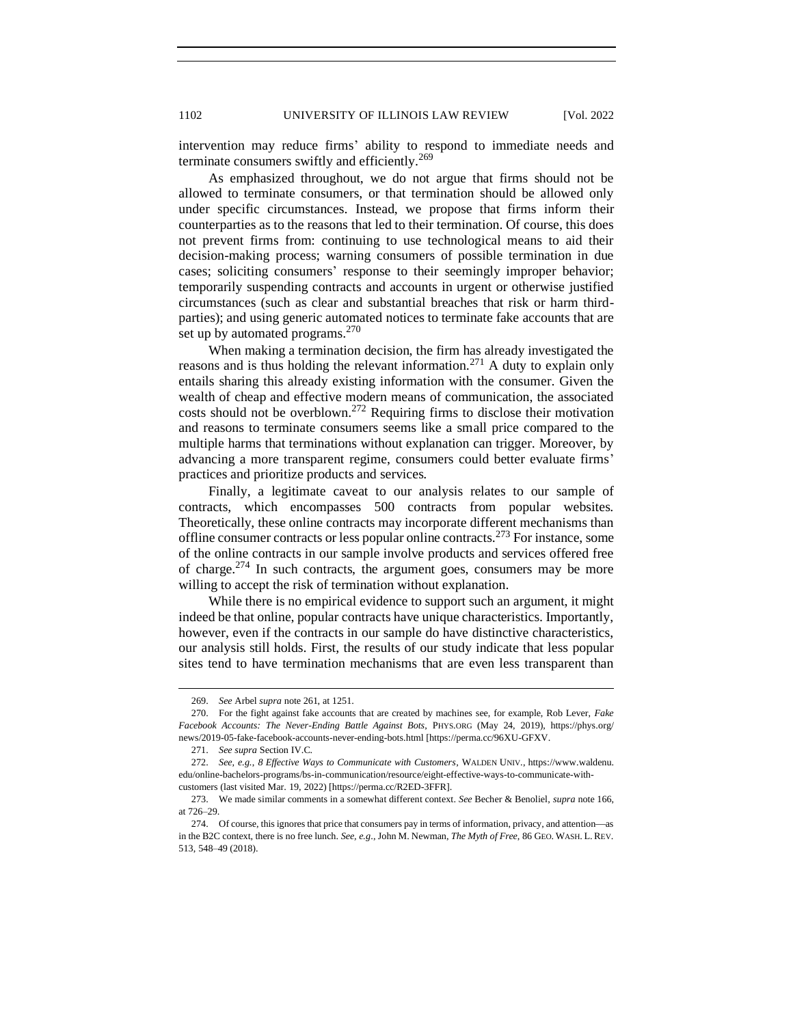intervention may reduce firms' ability to respond to immediate needs and terminate consumers swiftly and efficiently.<sup>269</sup>

As emphasized throughout, we do not argue that firms should not be allowed to terminate consumers, or that termination should be allowed only under specific circumstances. Instead, we propose that firms inform their counterparties as to the reasons that led to their termination. Of course, this does not prevent firms from: continuing to use technological means to aid their decision-making process; warning consumers of possible termination in due cases; soliciting consumers' response to their seemingly improper behavior; temporarily suspending contracts and accounts in urgent or otherwise justified circumstances (such as clear and substantial breaches that risk or harm thirdparties); and using generic automated notices to terminate fake accounts that are set up by automated programs.<sup>270</sup>

When making a termination decision, the firm has already investigated the reasons and is thus holding the relevant information.<sup>271</sup> A duty to explain only entails sharing this already existing information with the consumer. Given the wealth of cheap and effective modern means of communication, the associated costs should not be overblown.<sup>272</sup> Requiring firms to disclose their motivation and reasons to terminate consumers seems like a small price compared to the multiple harms that terminations without explanation can trigger. Moreover, by advancing a more transparent regime, consumers could better evaluate firms' practices and prioritize products and services.

Finally, a legitimate caveat to our analysis relates to our sample of contracts, which encompasses 500 contracts from popular websites. Theoretically, these online contracts may incorporate different mechanisms than offline consumer contracts or less popular online contracts.<sup>273</sup> For instance, some of the online contracts in our sample involve products and services offered free of charge.<sup>274</sup> In such contracts, the argument goes, consumers may be more willing to accept the risk of termination without explanation.

While there is no empirical evidence to support such an argument, it might indeed be that online, popular contracts have unique characteristics. Importantly, however, even if the contracts in our sample do have distinctive characteristics, our analysis still holds. First, the results of our study indicate that less popular sites tend to have termination mechanisms that are even less transparent than

<sup>269.</sup> *See* Arbel *supra* note 261, at 1251.

<sup>270.</sup> For the fight against fake accounts that are created by machines see, for example, Rob Lever, *Fake Facebook Accounts: The Never-Ending Battle Against Bots*, PHYS.ORG (May 24, 2019), https://phys.org/ news/2019-05-fake-facebook-accounts-never-ending-bots.html [https://perma.cc/96XU-GFXV.

<sup>271.</sup> *See supra* Section IV.C.

<sup>272.</sup> *See, e.g.*, *8 Effective Ways to Communicate with Customers*, WALDEN UNIV., https://www.waldenu. edu/online-bachelors-programs/bs-in-communication/resource/eight-effective-ways-to-communicate-withcustomers (last visited Mar. 19, 2022) [https://perma.cc/R2ED-3FFR].

<sup>273.</sup> We made similar comments in a somewhat different context. *See* Becher & Benoliel, *supra* note 166, at 726–29.

<sup>274.</sup> Of course, this ignores that price that consumers pay in terms of information, privacy, and attention—as in the B2C context, there is no free lunch. *See, e.g*., John M. Newman, *The Myth of Free*, 86 GEO. WASH. L. REV. 513, 548–49 (2018).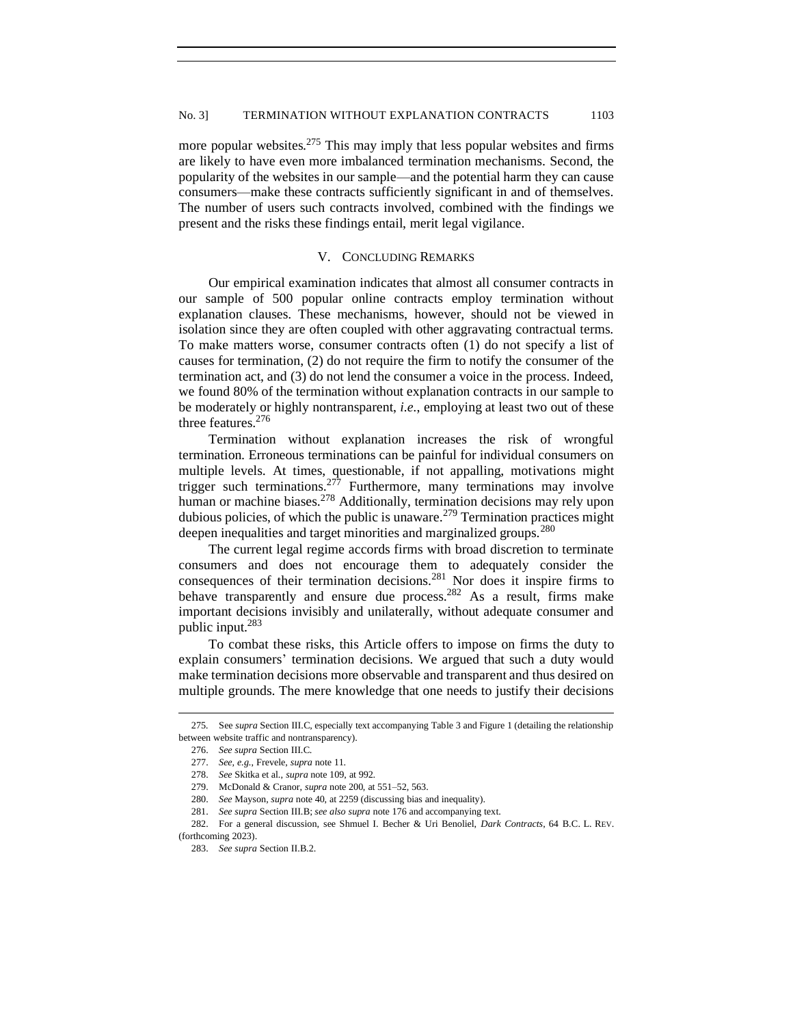more popular websites.<sup>275</sup> This may imply that less popular websites and firms are likely to have even more imbalanced termination mechanisms. Second, the popularity of the websites in our sample—and the potential harm they can cause consumers—make these contracts sufficiently significant in and of themselves. The number of users such contracts involved, combined with the findings we present and the risks these findings entail, merit legal vigilance.

## V. CONCLUDING REMARKS

<span id="page-44-0"></span>Our empirical examination indicates that almost all consumer contracts in our sample of 500 popular online contracts employ termination without explanation clauses. These mechanisms, however, should not be viewed in isolation since they are often coupled with other aggravating contractual terms. To make matters worse, consumer contracts often (1) do not specify a list of causes for termination, (2) do not require the firm to notify the consumer of the termination act, and (3) do not lend the consumer a voice in the process. Indeed, we found 80% of the termination without explanation contracts in our sample to be moderately or highly nontransparent, *i.e.*, employing at least two out of these three features.<sup>276</sup>

Termination without explanation increases the risk of wrongful termination. Erroneous terminations can be painful for individual consumers on multiple levels. At times, questionable, if not appalling, motivations might trigger such terminations.<sup>277</sup> Furthermore, many terminations may involve human or machine biases.<sup>278</sup> Additionally, termination decisions may rely upon dubious policies, of which the public is unaware.<sup>279</sup> Termination practices might deepen inequalities and target minorities and marginalized groups.<sup>280</sup>

The current legal regime accords firms with broad discretion to terminate consumers and does not encourage them to adequately consider the consequences of their termination decisions.<sup>281</sup> Nor does it inspire firms to behave transparently and ensure due process.<sup>282</sup> As a result, firms make important decisions invisibly and unilaterally, without adequate consumer and public input.<sup>283</sup>

To combat these risks, this Article offers to impose on firms the duty to explain consumers' termination decisions. We argued that such a duty would make termination decisions more observable and transparent and thus desired on multiple grounds. The mere knowledge that one needs to justify their decisions

(forthcoming 2023).

<sup>275</sup>*.* See *supra* Section III.C, especially text accompanying Table 3 and Figure 1 (detailing the relationship between website traffic and nontransparency).

<sup>276.</sup> *See supra* Section III.C.

<sup>277.</sup> *See, e.g.*, Frevele, *supra* note 11.

<sup>278.</sup> *See* Skitka et al., *supra* note 109, at 992.

<sup>279.</sup> McDonald & Cranor, *supra* note 200, at 551–52, 563.

<sup>280.</sup> *See* Mayson, *supra* note 40, at 2259 (discussing bias and inequality).

<sup>281.</sup> *See supra* Section III.B; *see also supra* note 176 and accompanying text.

<sup>282.</sup> For a general discussion, see Shmuel I. Becher & Uri Benoliel, *Dark Contracts*, 64 B.C. L. REV.

<sup>283.</sup> *See supra* Section II.B.2.